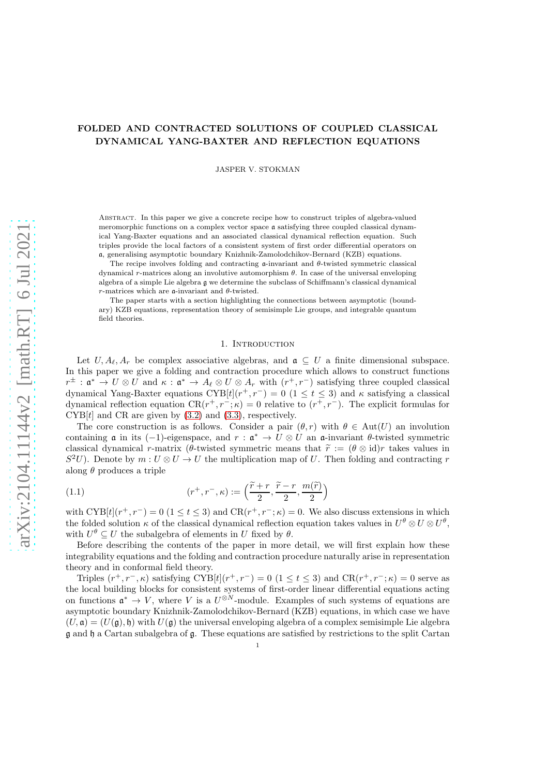# FOLDED AND CONTRACTED SOLUTIONS OF COUPLED CLASSICAL DYNAMICAL YANG-BAXTER AND REFLECTION EQUATIONS

JASPER V. STOKMAN

ABSTRACT. In this paper we give a concrete recipe how to construct triples of algebra-valued meromorphic functions on a complex vector space a satisfying three coupled classical dynamical Yang-Baxter equations and an associated classical dynamical reflection equation. Such triples provide the local factors of a consistent system of first order differential operators on a, generalising asymptotic boundary Knizhnik-Zamolodchikov-Bernard (KZB) equations.

The recipe involves folding and contracting  $\alpha$ -invariant and  $\theta$ -twisted symmetric classical dynamical r-matrices along an involutive automorphism θ. In case of the universal enveloping algebra of a simple Lie algebra g we determine the subclass of Schiffmann's classical dynamical  $r$ -matrices which are a-invariant and  $\theta$ -twisted.

The paper starts with a section highlighting the connections between asymptotic (boundary) KZB equations, representation theory of semisimple Lie groups, and integrable quantum field theories.

## 1. INTRODUCTION

Let  $U, A_{\ell}, A_r$  be complex associative algebras, and  $\mathfrak{a} \subseteq U$  a finite dimensional subspace. In this paper we give a folding and contraction procedure which allows to construct functions  $r^{\pm}$ :  $\mathfrak{a}^* \to U \otimes U$  and  $\kappa : \mathfrak{a}^* \to A_{\ell} \otimes U \otimes A_r$  with  $(r^+, r^-)$  satisfying three coupled classical dynamical Yang-Baxter equations  $\text{CYB}[t](r^+, r^-) = 0$  (1 ≤ t ≤ 3) and  $\kappa$  satisfying a classical dynamical reflection equation  $CR(r^+, r^-; \kappa) = 0$  relative to  $(r^+, r^-)$ . The explicit formulas for  $CYB[t]$  and CR are given by  $(3.2)$  and  $(3.3)$ , respectively.

The core construction is as follows. Consider a pair  $(\theta, r)$  with  $\theta \in Aut(U)$  an involution containing **a** in its  $(-1)$ -eigenspace, and  $r : \mathfrak{a}^* \to U \otimes U$  an  $\mathfrak{a}$ -invariant  $\theta$ -twisted symmetric classical dynamical r-matrix (θ-twisted symmetric means that  $\tilde{r} := (\theta \otimes id)r$  takes values in  $S^2U$ ). Denote by  $m: U \otimes U \to U$  the multiplication map of U. Then folding and contracting r along  $\theta$  produces a triple

(1.1) 
$$
(r^+, r^-, \kappa) := \left(\frac{\widetilde{r} + r}{2}, \frac{\widetilde{r} - r}{2}, \frac{m(\widetilde{r})}{2}\right)
$$

with  $\text{CYB}[t](r^+, r^-) = 0$   $(1 \le t \le 3)$  and  $\text{CR}(r^+, r^-; \kappa) = 0$ . We also discuss extensions in which the folded solution  $\kappa$  of the classical dynamical reflection equation takes values in  $U^{\theta} \otimes U \otimes U^{\theta}$ , with  $U^{\theta} \subseteq U$  the subalgebra of elements in U fixed by  $\theta$ .

Before describing the contents of the paper in more detail, we will first explain how these integrability equations and the folding and contraction procedure naturally arise in representation theory and in conformal field theory.

Triples  $(r^+, r^-, \kappa)$  satisfying CYB[t] $(r^+, r^-) = 0$  (1 ≤ t ≤ 3) and CR $(r^+, r^-; \kappa) = 0$  serve as the local building blocks for consistent systems of first-order linear differential equations acting on functions  $\mathfrak{a}^* \to V$ , where V is a  $U^{\otimes N}$ -module. Examples of such systems of equations are asymptotic boundary Knizhnik-Zamolodchikov-Bernard (KZB) equations, in which case we have  $(U, \mathfrak{a}) = (U(\mathfrak{a}), \mathfrak{h})$  with  $U(\mathfrak{a})$  the universal enveloping algebra of a complex semisimple Lie algebra g and h a Cartan subalgebra of g. These equations are satisfied by restrictions to the split Cartan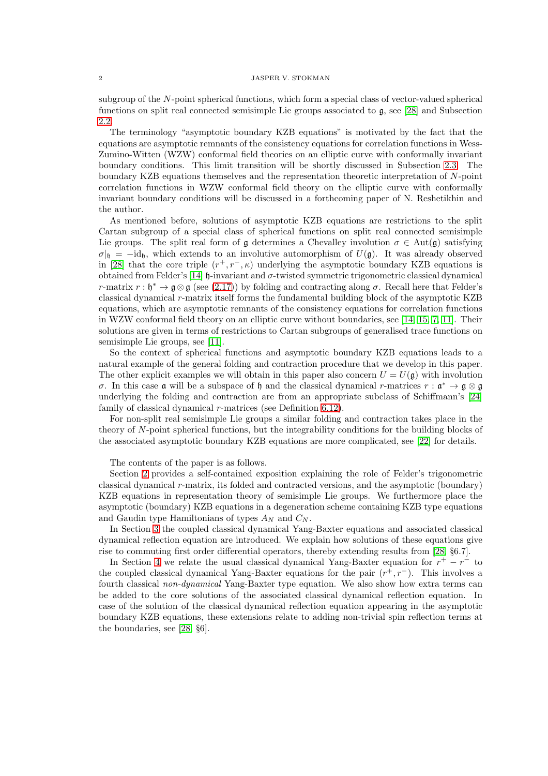subgroup of the N-point spherical functions, which form a special class of vector-valued spherical functions on split real connected semisimple Lie groups associated to g, see [\[28\]](#page-35-0) and Subsection [2.2.](#page-9-0)

The terminology "asymptotic boundary KZB equations" is motivated by the fact that the equations are asymptotic remnants of the consistency equations for correlation functions in Wess-Zumino-Witten (WZW) conformal field theories on an elliptic curve with conformally invariant boundary conditions. This limit transition will be shortly discussed in Subsection [2.3.](#page-13-0) The boundary KZB equations themselves and the representation theoretic interpretation of N-point correlation functions in WZW conformal field theory on the elliptic curve with conformally invariant boundary conditions will be discussed in a forthcoming paper of N. Reshetikhin and the author.

As mentioned before, solutions of asymptotic KZB equations are restrictions to the split Cartan subgroup of a special class of spherical functions on split real connected semisimple Lie groups. The split real form of g determines a Chevalley involution  $\sigma \in Aut(g)$  satisfying  $\sigma|h = -id_h$ , which extends to an involutive automorphism of  $U(\mathfrak{g})$ . It was already observed in [\[28\]](#page-35-0) that the core triple  $(r^+, r^-, \kappa)$  underlying the asymptotic boundary KZB equations is obtained from Felder's [\[14\]](#page-34-0) h-invariant and  $\sigma$ -twisted symmetric trigonometric classical dynamical r-matrix  $r : \mathfrak{h}^* \to \mathfrak{g} \otimes \mathfrak{g}$  (see [\(2.17\)](#page-7-0)) by folding and contracting along  $\sigma$ . Recall here that Felder's classical dynamical r-matrix itself forms the fundamental building block of the asymptotic KZB equations, which are asymptotic remnants of the consistency equations for correlation functions in WZW conformal field theory on an elliptic curve without boundaries, see [\[14,](#page-34-0) [15,](#page-34-1) [7,](#page-34-2) [11\]](#page-34-3). Their solutions are given in terms of restrictions to Cartan subgroups of generalised trace functions on semisimple Lie groups, see [\[11\]](#page-34-3).

So the context of spherical functions and asymptotic boundary KZB equations leads to a natural example of the general folding and contraction procedure that we develop in this paper. The other explicit examples we will obtain in this paper also concern  $U = U(\mathfrak{g})$  with involution σ. In this case **α** will be a subspace of  $\mathfrak{h}$  and the classical dynamical r-matrices  $r : \mathfrak{a}^* \to \mathfrak{g} \otimes \mathfrak{g}$ underlying the folding and contraction are from an appropriate subclass of Schiffmann's [\[24\]](#page-34-4) family of classical dynamical r-matrices (see Definition [6.12\)](#page-29-0).

For non-split real semisimple Lie groups a similar folding and contraction takes place in the theory of N-point spherical functions, but the integrability conditions for the building blocks of the associated asymptotic boundary KZB equations are more complicated, see [\[22\]](#page-34-5) for details.

The contents of the paper is as follows.

Section [2](#page-2-0) provides a self-contained exposition explaining the role of Felder's trigonometric classical dynamical r-matrix, its folded and contracted versions, and the asymptotic (boundary) KZB equations in representation theory of semisimple Lie groups. We furthermore place the asymptotic (boundary) KZB equations in a degeneration scheme containing KZB type equations and Gaudin type Hamiltonians of types  $A_N$  and  $C_N$ .

In Section [3](#page-15-2) the coupled classical dynamical Yang-Baxter equations and associated classical dynamical reflection equation are introduced. We explain how solutions of these equations give rise to commuting first order differential operators, thereby extending results from [\[28,](#page-35-0) §6.7].

In Section [4](#page-18-0) we relate the usual classical dynamical Yang-Baxter equation for  $r^+ - r^-$  to the coupled classical dynamical Yang-Baxter equations for the pair  $(r^+, r^-)$ . This involves a fourth classical non-dynamical Yang-Baxter type equation. We also show how extra terms can be added to the core solutions of the associated classical dynamical reflection equation. In case of the solution of the classical dynamical reflection equation appearing in the asymptotic boundary KZB equations, these extensions relate to adding non-trivial spin reflection terms at the boundaries, see [\[28,](#page-35-0) §6].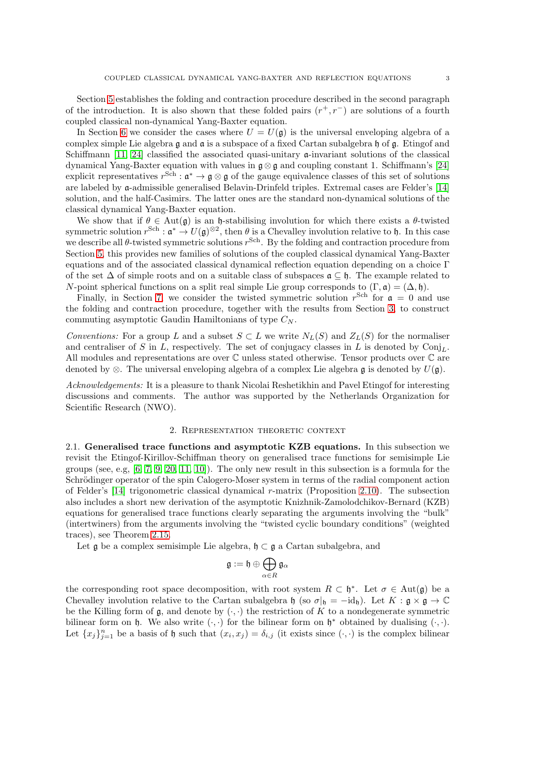Section [5](#page-19-0) establishes the folding and contraction procedure described in the second paragraph of the introduction. It is also shown that these folded pairs  $(r^+, r^-)$  are solutions of a fourth coupled classical non-dynamical Yang-Baxter equation.

In Section [6](#page-24-0) we consider the cases where  $U = U(\mathfrak{g})$  is the universal enveloping algebra of a complex simple Lie algebra  $\mathfrak g$  and  $\mathfrak a$  is a subspace of a fixed Cartan subalgebra  $\mathfrak h$  of  $\mathfrak g$ . Etingof and Schiffmann [\[11,](#page-34-3) [24\]](#page-34-4) classified the associated quasi-unitary  $\alpha$ -invariant solutions of the classical dynamical Yang-Baxter equation with values in  $\mathfrak{g} \otimes \mathfrak{g}$  and coupling constant 1. Schiffmann's [\[24\]](#page-34-4) explicit representatives  $r^{Sch} : \mathfrak{a}^* \to \mathfrak{g} \otimes \mathfrak{g}$  of the gauge equivalence classes of this set of solutions are labeled by a-admissible generalised Belavin-Drinfeld triples. Extremal cases are Felder's [\[14\]](#page-34-0) solution, and the half-Casimirs. The latter ones are the standard non-dynamical solutions of the classical dynamical Yang-Baxter equation.

We show that if  $\theta \in Aut(\mathfrak{g})$  is an h-stabilising involution for which there exists a  $\theta$ -twisted symmetric solution  $r^{\text{Sch}}: \mathfrak{a}^* \to U(\mathfrak{g})^{\otimes 2}$ , then  $\theta$  is a Chevalley involution relative to  $\mathfrak{h}$ . In this case we describe all  $\theta$ -twisted symmetric solutions  $r^{\text{Sch}}$ . By the folding and contraction procedure from Section [5,](#page-19-0) this provides new families of solutions of the coupled classical dynamical Yang-Baxter equations and of the associated classical dynamical reflection equation depending on a choice Γ of the set  $\Delta$  of simple roots and on a suitable class of subspaces  $\mathfrak{a} \subset \mathfrak{h}$ . The example related to N-point spherical functions on a split real simple Lie group corresponds to  $(\Gamma, \mathfrak{a}) = (\Delta, \mathfrak{h}).$ 

Finally, in Section [7,](#page-32-0) we consider the twisted symmetric solution  $r^{Sch}$  for  $\mathfrak{a} = 0$  and use the folding and contraction procedure, together with the results from Section [3,](#page-15-2) to construct commuting asymptotic Gaudin Hamiltonians of type  $C_N$ .

Conventions: For a group L and a subset  $S \subset L$  we write  $N_L(S)$  and  $Z_L(S)$  for the normaliser and centraliser of S in L, respectively. The set of conjugacy classes in L is denoted by  $Conj<sub>L</sub>$ . All modules and representations are over C unless stated otherwise. Tensor products over C are denoted by ⊗. The universal enveloping algebra of a complex Lie algebra  $\mathfrak g$  is denoted by  $U(\mathfrak g)$ .

Acknowledgements: It is a pleasure to thank Nicolai Reshetikhin and Pavel Etingof for interesting discussions and comments. The author was supported by the Netherlands Organization for Scientific Research (NWO).

## 2. Representation theoretic context

<span id="page-2-0"></span>2.1. Generalised trace functions and asymptotic KZB equations. In this subsection we revisit the Etingof-Kirillov-Schiffman theory on generalised trace functions for semisimple Lie groups (see, e.g,  $[6, 7, 9, 20, 11, 10]$  $[6, 7, 9, 20, 11, 10]$  $[6, 7, 9, 20, 11, 10]$  $[6, 7, 9, 20, 11, 10]$  $[6, 7, 9, 20, 11, 10]$  $[6, 7, 9, 20, 11, 10]$ ). The only new result in this subsection is a formula for the Schrödinger operator of the spin Calogero-Moser system in terms of the radial component action of Felder's [\[14\]](#page-34-0) trigonometric classical dynamical r-matrix (Proposition [2.10\)](#page-6-0). The subsection also includes a short new derivation of the asymptotic Knizhnik-Zamolodchikov-Bernard (KZB) equations for generalised trace functions clearly separating the arguments involving the "bulk" (intertwiners) from the arguments involving the "twisted cyclic boundary conditions" (weighted traces), see Theorem [2.15.](#page-8-0)

Let  $\mathfrak g$  be a complex semisimple Lie algebra,  $\mathfrak h \subset \mathfrak g$  a Cartan subalgebra, and

$$
\mathfrak{g}:=\mathfrak{h}\oplus\bigoplus_{\alpha\in R}\mathfrak{g}_{\alpha}
$$

the corresponding root space decomposition, with root system  $R \subset \mathfrak{h}^*$ . Let  $\sigma \in Aut(\mathfrak{g})$  be a Chevalley involution relative to the Cartan subalgebra h (so  $\sigma|_{\mathfrak{h}} = -id_{\mathfrak{h}}$ ). Let  $K : \mathfrak{g} \times \mathfrak{g} \to \mathbb{C}$ be the Killing form of  $\mathfrak g$ , and denote by  $(\cdot, \cdot)$  the restriction of K to a nondegenerate symmetric bilinear form on  $\mathfrak{h}$ . We also write  $(\cdot, \cdot)$  for the bilinear form on  $\mathfrak{h}^*$  obtained by dualising  $(\cdot, \cdot)$ . Let  $\{x_j\}_{j=1}^n$  be a basis of h such that  $(x_i, x_j) = \delta_{i,j}$  (it exists since  $(\cdot, \cdot)$  is the complex bilinear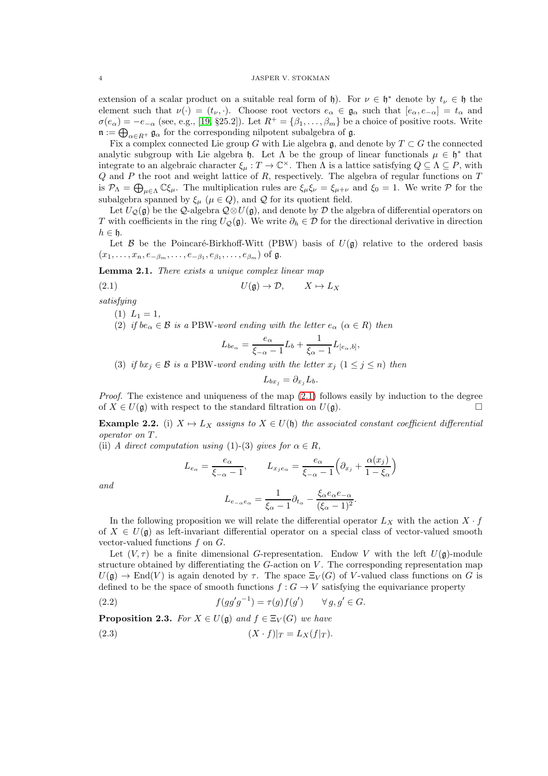extension of a scalar product on a suitable real form of  $\mathfrak{h}$ ). For  $\nu \in \mathfrak{h}^*$  denote by  $t_{\nu} \in \mathfrak{h}$  the element such that  $\nu(\cdot) = (t_{\nu}, \cdot)$ . Choose root vectors  $e_{\alpha} \in \mathfrak{g}_{\alpha}$  such that  $[e_{\alpha}, e_{-\alpha}] = t_{\alpha}$  and  $\sigma(e_{\alpha}) = -e_{-\alpha}$  (see, e.g., [\[19,](#page-34-10) §25.2]). Let  $R^+ = {\beta_1, \ldots, \beta_m}$  be a choice of positive roots. Write  $\mathfrak{n} := \bigoplus_{\alpha \in R^+} \mathfrak{g}_{\alpha}$  for the corresponding nilpotent subalgebra of  $\mathfrak{g}$ .

Fix a complex connected Lie group G with Lie algebra g, and denote by  $T \subset G$  the connected analytic subgroup with Lie algebra  $\mathfrak{h}$ . Let  $\Lambda$  be the group of linear functionals  $\mu \in \mathfrak{h}^*$  that integrate to an algebraic character  $\xi_{\mu}: T \to \mathbb{C}^{\times}$ . Then  $\Lambda$  is a lattice satisfying  $Q \subseteq \Lambda \subseteq P$ , with  $Q$  and  $P$  the root and weight lattice of  $R$ , respectively. The algebra of regular functions on  $T$ is  $\mathcal{P}_{\Lambda} = \bigoplus_{\mu \in \Lambda} \mathbb{C}\xi_{\mu}$ . The multiplication rules are  $\xi_{\mu}\xi_{\nu} = \xi_{\mu+\nu}$  and  $\xi_0 = 1$ . We write  $\mathcal P$  for the subalgebra spanned by  $\xi_{\mu}$  ( $\mu \in Q$ ), and  $Q$  for its quotient field.

Let  $U_{\mathcal{Q}}(\mathfrak{g})$  be the  $\mathcal{Q}$ -algebra  $\mathcal{Q}\otimes U(\mathfrak{g})$ , and denote by  $\mathcal D$  the algebra of differential operators on T with coefficients in the ring  $U_{\mathcal{Q}}(\mathfrak{g})$ . We write  $\partial_h \in \mathcal{D}$  for the directional derivative in direction  $h \in \mathfrak{h}$ .

Let  $\mathcal B$  be the Poincaré-Birkhoff-Witt (PBW) basis of  $U(\mathfrak g)$  relative to the ordered basis  $(x_1,\ldots,x_n,e_{-\beta_m},\ldots,e_{-\beta_1},e_{\beta_1},\ldots,e_{\beta_m})$  of  $\mathfrak{g}.$ 

<span id="page-3-3"></span>**Lemma 2.1.** There exists a unique complex linear map

$$
(2.1) \t\t\t U(\mathfrak{g}) \to \mathcal{D}, \t\t X \mapsto L_X
$$

satisfying

- $(1)$   $L_1 = 1$ ,
- (2) if  $be_{\alpha} \in \mathcal{B}$  is a PBW-word ending with the letter  $e_{\alpha}$  ( $\alpha \in R$ ) then

<span id="page-3-0"></span>
$$
L_{be_{\alpha}} = \frac{e_{\alpha}}{\xi_{-\alpha} - 1} L_b + \frac{1}{\xi_{\alpha} - 1} L_{[e_{\alpha},b]},
$$

(3) if  $bx_j \in \mathcal{B}$  is a PBW-word ending with the letter  $x_j$   $(1 \leq j \leq n)$  then

$$
L_{bx_j} = \partial_{x_j} L_b.
$$

*Proof.* The existence and uniqueness of the map  $(2.1)$  follows easily by induction to the degree of  $X \in U(\mathfrak{g})$  with respect to the standard filtration on  $U(\mathfrak{g})$ .

<span id="page-3-4"></span>**Example 2.2.** (i)  $X \mapsto L_X$  assigns to  $X \in U(\mathfrak{h})$  the associated constant coefficient differential operator on T .

(ii) A direct computation using (1)-(3) gives for  $\alpha \in R$ ,

$$
L_{e_{\alpha}} = \frac{e_{\alpha}}{\xi_{-\alpha} - 1}, \qquad L_{x_j e_{\alpha}} = \frac{e_{\alpha}}{\xi_{-\alpha} - 1} \Big( \partial_{x_j} + \frac{\alpha(x_j)}{1 - \xi_{\alpha}} \Big)
$$

$$
L_{e_{-\alpha} e_{\alpha}} = \frac{1}{\xi_{\alpha} - 1} \partial_{t_{\alpha}} - \frac{\xi_{\alpha} e_{\alpha} e_{-\alpha}}{(\xi_{\alpha} - 1)^2}.
$$

and

In the following proposition we will relate the differential operator 
$$
L_X
$$
 with the action  $X \cdot f$  of  $X \in U(\mathfrak{g})$  as left-invariant differential operator on a special class of vector-valued smooth vector-valued functions  $f$  on  $G$ .

Let  $(V, \tau)$  be a finite dimensional G-representation. Endow V with the left  $U(\mathfrak{g})$ -module structure obtained by differentiating the  $G$ -action on  $V$ . The corresponding representation map  $U(\mathfrak{g}) \to \text{End}(V)$  is again denoted by  $\tau$ . The space  $\Xi_V(G)$  of V-valued class functions on G is defined to be the space of smooth functions  $f : G \to V$  satisfying the equivariance property

<span id="page-3-1"></span>(2.2) 
$$
f(gg'g^{-1}) = \tau(g)f(g') \quad \forall g, g' \in G.
$$

**Proposition 2.3.** For  $X \in U(\mathfrak{g})$  and  $f \in \Xi_V(G)$  we have

<span id="page-3-2"></span>
$$
(2.3) \t\t\t (X \cdot f)|_T = L_X(f|_T).
$$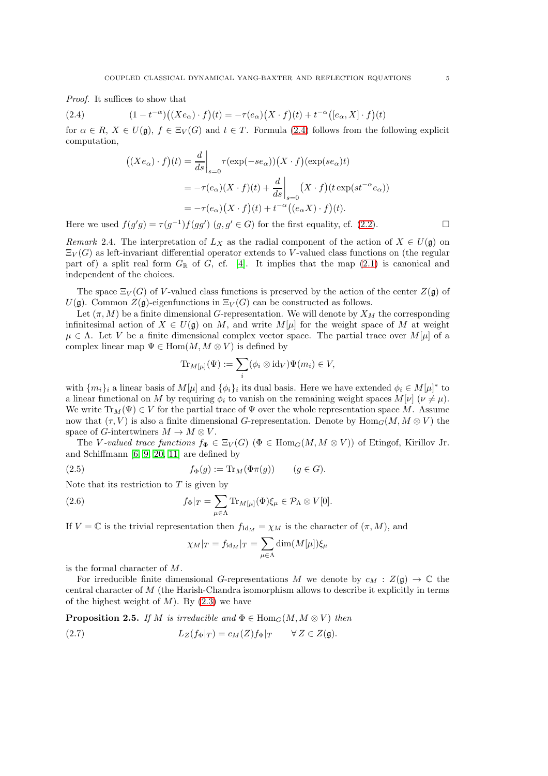Proof. It suffices to show that

(2.4) 
$$
(1-t^{-\alpha})((Xe_{\alpha})\cdot f)(t) = -\tau(e_{\alpha})(X\cdot f)(t) + t^{-\alpha}([e_{\alpha}, X]\cdot f)(t)
$$

for  $\alpha \in R$ ,  $X \in U(\mathfrak{g})$ ,  $f \in \Xi_V(G)$  and  $t \in T$ . Formula [\(2.4\)](#page-4-0) follows from the following explicit computation,

<span id="page-4-0"></span>
$$
\begin{aligned} \left( (Xe_{\alpha}) \cdot f \right)(t) &= \frac{d}{ds} \bigg|_{s=0} \tau(\exp(-se_{\alpha})) \big( X \cdot f \big) (\exp(se_{\alpha}) t \big) \\ &= -\tau(e_{\alpha}) (X \cdot f)(t) + \frac{d}{ds} \bigg|_{s=0} \big( X \cdot f \big) (t \exp(st^{-\alpha}e_{\alpha})) \\ &= -\tau(e_{\alpha}) \big( X \cdot f \big)(t) + t^{-\alpha} \big( (e_{\alpha} X) \cdot f \big)(t). \end{aligned}
$$

Here we used  $f(g'g) = \tau(g^{-1})f(gg')$   $(g, g' \in G)$  for the first equality, cf. [\(2.2\)](#page-3-1).

<span id="page-4-2"></span>Remark 2.4. The interpretation of  $L_X$  as the radial component of the action of  $X \in U(\mathfrak{g})$  on  $\Xi_V(G)$  as left-invariant differential operator extends to V-valued class functions on (the regular part of) a split real form  $G_{\mathbb{R}}$  of G, cf. [\[4\]](#page-34-11). It implies that the map  $(2.1)$  is canonical and independent of the choices.

The space  $\Xi_V(G)$  of V-valued class functions is preserved by the action of the center  $Z(\mathfrak{g})$  of  $U(\mathfrak{g})$ . Common  $Z(\mathfrak{g})$ -eigenfunctions in  $\Xi_V(G)$  can be constructed as follows.

Let  $(\pi, M)$  be a finite dimensional G-representation. We will denote by  $X_M$  the corresponding infinitesimal action of  $X \in U(\mathfrak{g})$  on M, and write  $M[\mu]$  for the weight space of M at weight  $\mu \in \Lambda$ . Let V be a finite dimensional complex vector space. The partial trace over  $M[\mu]$  of a complex linear map  $\Psi \in \text{Hom}(M, M \otimes V)$  is defined by

$$
\mathrm{Tr}_{M[\mu]}(\Psi) := \sum_{i} (\phi_i \otimes \mathrm{id}_V) \Psi(m_i) \in V,
$$

with  $\{m_i\}_i$  a linear basis of  $M[\mu]$  and  $\{\phi_i\}_i$  its dual basis. Here we have extended  $\phi_i \in M[\mu]^*$  to a linear functional on M by requiring  $\phi_i$  to vanish on the remaining weight spaces  $M[\nu](\nu \neq \mu)$ . We write  $\text{Tr}_M(\Psi) \in V$  for the partial trace of  $\Psi$  over the whole representation space M. Assume now that  $(\tau, V)$  is also a finite dimensional G-representation. Denote by Hom<sub>G</sub> $(M, M \otimes V)$  the space of G-intertwiners  $M \to M \otimes V$ .

The V-valued trace functions  $f_{\Phi} \in \Xi_V(G)$  ( $\Phi \in \text{Hom}_G(M, M \otimes V)$ ) of Etingof, Kirillov Jr. and Schiffmann [\[6,](#page-34-6) [9,](#page-34-7) [20,](#page-34-8) [11\]](#page-34-3) are defined by

(2.5) 
$$
f_{\Phi}(g) := \text{Tr}_M(\Phi \pi(g)) \qquad (g \in G).
$$

Note that its restriction to  $T$  is given by

(2.6) 
$$
f_{\Phi}|_{T} = \sum_{\mu \in \Lambda} \text{Tr}_{M[\mu]}(\Phi) \xi_{\mu} \in \mathcal{P}_{\Lambda} \otimes V[0].
$$

If  $V = \mathbb{C}$  is the trivial representation then  $f_{\text{Id}_M} = \chi_M$  is the character of  $(\pi, M)$ , and

<span id="page-4-3"></span>
$$
\chi_M|_T = f_{\mathrm{id}_M}|_T = \sum_{\mu \in \Lambda} \dim(M[\mu]) \xi_\mu
$$

is the formal character of M.

For irreducible finite dimensional G-representations M we denote by  $c_M : Z(\mathfrak{g}) \to \mathbb{C}$  the central character of M (the Harish-Chandra isomorphism allows to describe it explicitly in terms of the highest weight of  $M$ ). By  $(2.3)$  we have

<span id="page-4-1"></span>**Proposition 2.5.** If M is irreducible and  $\Phi \in \text{Hom}_G(M, M \otimes V)$  then

(2.7) 
$$
L_Z(f_{\Phi}|_T) = c_M(Z)f_{\Phi}|_T \qquad \forall Z \in Z(\mathfrak{g}).
$$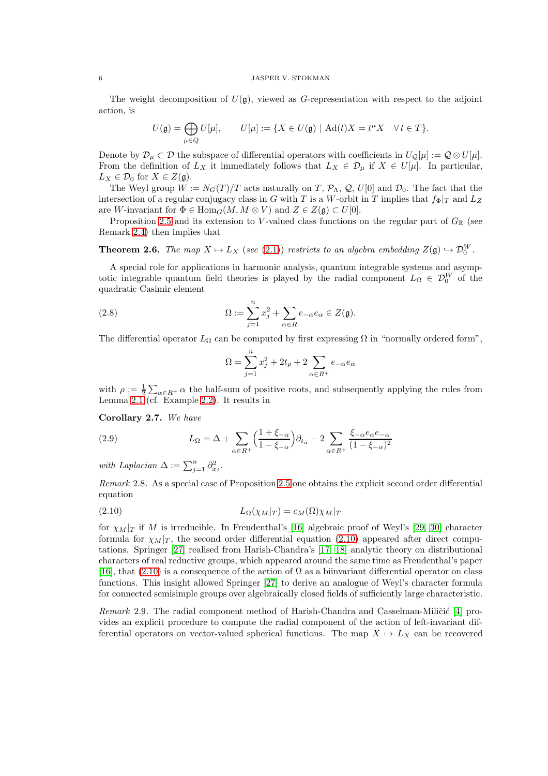The weight decomposition of  $U(\mathfrak{g})$ , viewed as G-representation with respect to the adjoint action, is

$$
U(\mathfrak{g})=\bigoplus_{\mu\in Q}U[\mu],\qquad U[\mu]:=\{X\in U(\mathfrak{g})\mid \mathrm{Ad}(t)X=t^{\mu}X\quad\forall\,t\in T\}.
$$

Denote by  $\mathcal{D}_{\mu} \subset \mathcal{D}$  the subspace of differential operators with coefficients in  $U_{\mathcal{Q}}[\mu] := \mathcal{Q} \otimes U[\mu].$ From the definition of  $L_X$  it immediately follows that  $L_X \in \mathcal{D}_{\mu}$  if  $X \in U[\mu]$ . In particular,  $L_X \in \mathcal{D}_0$  for  $X \in Z(\mathfrak{g})$ .

The Weyl group  $W := N_G(T)/T$  acts naturally on T,  $\mathcal{P}_\Lambda$ , Q, U[0] and  $\mathcal{D}_0$ . The fact that the intersection of a regular conjugacy class in G with T is a W-orbit in T implies that  $f_{\Phi}|_{T}$  and  $L_{Z}$ are W-invariant for  $\Phi \in \text{Hom}_G(M, M \otimes V)$  and  $Z \in Z(\mathfrak{g}) \subset U[0]$ .

Proposition [2.5](#page-4-1) and its extension to V-valued class functions on the regular part of  $G_{\mathbb{R}}$  (see Remark [2.4\)](#page-4-2) then implies that

<span id="page-5-2"></span>**Theorem 2.6.** The map  $X \mapsto L_X$  (see [\(2.1\)](#page-3-0)) restricts to an algebra embedding  $Z(\mathfrak{g}) \hookrightarrow \mathcal{D}_0^W$ .

A special role for applications in harmonic analysis, quantum integrable systems and asymptotic integrable quantum field theories is played by the radial component  $L_{\Omega} \in \mathcal{D}_{0}^{W}$  of the quadratic Casimir element

(2.8) 
$$
\Omega := \sum_{j=1}^{n} x_j^2 + \sum_{\alpha \in R} e_{-\alpha} e_{\alpha} \in Z(\mathfrak{g}).
$$

The differential operator  $L_{\Omega}$  can be computed by first expressing  $\Omega$  in "normally ordered form",

$$
\Omega=\sum_{j=1}^n x_j^2+2t_\rho+2\sum_{\alpha\in R^+}e_{-\alpha}e_\alpha
$$

with  $\rho := \frac{1}{2} \sum_{\alpha \in R^+} \alpha$  the half-sum of positive roots, and subsequently applying the rules from Lemma [2.1](#page-3-3) (cf. Example [2.2\)](#page-3-4). It results in

Corollary 2.7. We have

<span id="page-5-1"></span>(2.9) 
$$
L_{\Omega} = \Delta + \sum_{\alpha \in R^{+}} \left(\frac{1+\xi_{-\alpha}}{1-\xi_{-\alpha}}\right) \partial_{t_{\alpha}} - 2 \sum_{\alpha \in R^{+}} \frac{\xi_{-\alpha} e_{\alpha} e_{-\alpha}}{(1-\xi_{-\alpha})^{2}}
$$

with Laplacian  $\Delta := \sum_{j=1}^n \partial_{x_j}^2$ .

Remark 2.8. As a special case of Proposition [2.5](#page-4-1) one obtains the explicit second order differential equation

<span id="page-5-0"></span>
$$
(2.10)\t\t\t L_{\Omega}(\chi_M|_T) = c_M(\Omega)\chi_M|_T
$$

for  $\chi_M|_T$  if M is irreducible. In Freudenthal's [\[16\]](#page-34-12) algebraic proof of Weyl's [\[29,](#page-35-1) [30\]](#page-35-2) character formula for  $\chi_M|_T$ , the second order differential equation [\(2.10\)](#page-5-0) appeared after direct computations. Springer [\[27\]](#page-34-13) realised from Harish-Chandra's [\[17,](#page-34-14) [18\]](#page-34-15) analytic theory on distributional characters of real reductive groups, which appeared around the same time as Freudenthal's paper [\[16\]](#page-34-12), that [\(2.10\)](#page-5-0) is a consequence of the action of  $\Omega$  as a biinvariant differential operator on class functions. This insight allowed Springer [\[27\]](#page-34-13) to derive an analogue of Weyl's character formula for connected semisimple groups over algebraically closed fields of sufficiently large characteristic.

Remark 2.9. The radial component method of Harish-Chandra and Casselman-Miličić [\[4\]](#page-34-11) provides an explicit procedure to compute the radial component of the action of left-invariant differential operators on vector-valued spherical functions. The map  $X \mapsto L_X$  can be recovered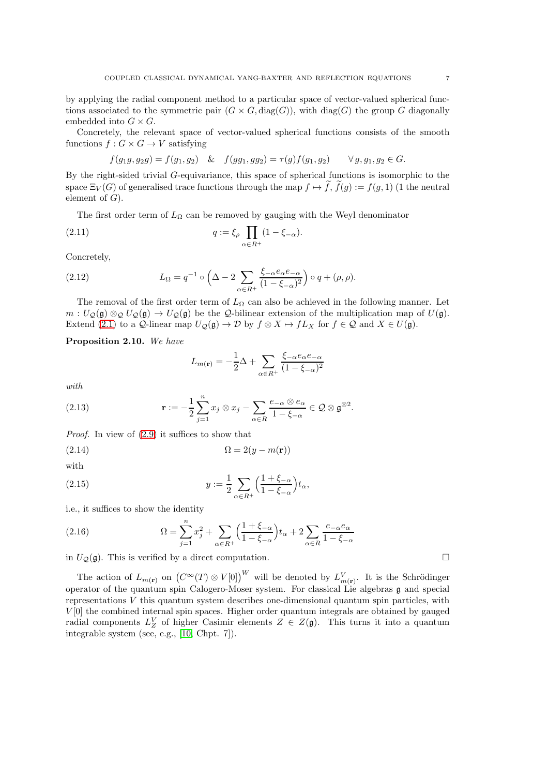by applying the radial component method to a particular space of vector-valued spherical functions associated to the symmetric pair  $(G \times G, \text{diag}(G))$ , with  $\text{diag}(G)$  the group G diagonally embedded into  $G \times G$ .

Concretely, the relevant space of vector-valued spherical functions consists of the smooth functions  $f: G \times G \rightarrow V$  satisfying

$$
f(g_1g, g_2g) = f(g_1, g_2) \& f(gg_1, gg_2) = \tau(g)f(g_1, g_2) \qquad \forall g, g_1, g_2 \in G.
$$

By the right-sided trivial G-equivariance, this space of spherical functions is isomorphic to the space  $\Xi_V(G)$  of generalised trace functions through the map  $f \mapsto f$ ,  $f(q) := f(q, 1)$  (1 the neutral element of  $G$ ).

The first order term of  $L_{\Omega}$  can be removed by gauging with the Weyl denominator

(2.11) 
$$
q := \xi_{\rho} \prod_{\alpha \in R^{+}} (1 - \xi_{-\alpha}).
$$

Concretely,

(2.12) 
$$
L_{\Omega} = q^{-1} \circ \left(\Delta - 2 \sum_{\alpha \in R^{+}} \frac{\xi_{-\alpha} e_{\alpha} e_{-\alpha}}{(1 - \xi_{-\alpha})^{2}}\right) \circ q + (\rho, \rho).
$$

The removal of the first order term of  $L_{\Omega}$  can also be achieved in the following manner. Let  $m: U_{\mathcal{Q}}(\mathfrak{g}) \otimes_{\mathcal{Q}} U_{\mathcal{Q}}(\mathfrak{g}) \to U_{\mathcal{Q}}(\mathfrak{g})$  be the  $\mathcal{Q}$ -bilinear extension of the multiplication map of  $U(\mathfrak{g})$ . Extend [\(2.1\)](#page-3-0) to a Q-linear map  $U_Q(\mathfrak{g}) \to \mathcal{D}$  by  $f \otimes X \mapsto fL_X$  for  $f \in \mathcal{Q}$  and  $X \in U(\mathfrak{g})$ .

<span id="page-6-0"></span>Proposition 2.10. We have

<span id="page-6-2"></span><span id="page-6-1"></span>
$$
L_{m(\mathbf{r})} = -\frac{1}{2}\Delta + \sum_{\alpha \in R^{+}} \frac{\xi_{-\alpha} e_{\alpha} e_{-\alpha}}{(1 - \xi_{-\alpha})^2}
$$

with

(2.13) 
$$
\mathbf{r} := -\frac{1}{2} \sum_{j=1}^{n} x_j \otimes x_j - \sum_{\alpha \in R} \frac{e_{-\alpha} \otimes e_{\alpha}}{1 - \xi_{-\alpha}} \in \mathcal{Q} \otimes \mathfrak{g}^{\otimes 2}.
$$

Proof. In view of [\(2.9\)](#page-5-1) it suffices to show that

$$
\Omega = 2(y - m(\mathbf{r}))
$$

$$
\quad\text{with}\quad
$$

(2.15) 
$$
y := \frac{1}{2} \sum_{\alpha \in R^+} \left( \frac{1 + \xi_{-\alpha}}{1 - \xi_{-\alpha}} \right) t_\alpha,
$$

i.e., it suffices to show the identity

(2.16) 
$$
\Omega = \sum_{j=1}^{n} x_j^2 + \sum_{\alpha \in R^+} \left( \frac{1 + \xi_{-\alpha}}{1 - \xi_{-\alpha}} \right) t_\alpha + 2 \sum_{\alpha \in R} \frac{e_{-\alpha} e_{\alpha}}{1 - \xi_{-\alpha}}
$$

in  $U_{\mathcal{Q}}(\mathfrak{g})$ . This is verified by a direct computation.

The action of  $L_{m(\mathbf{r})}$  on  $(C^{\infty}(T) \otimes V[0])^W$  will be denoted by  $L^V_{m(\mathbf{r})}$ . It is the Schrödinger operator of the quantum spin Calogero-Moser system. For classical Lie algebras g and special representations  $V$  this quantum system describes one-dimensional quantum spin particles, with  $V[0]$  the combined internal spin spaces. Higher order quantum integrals are obtained by gauged radial components  $L_Z^V$  of higher Casimir elements  $Z \in Z(\mathfrak{g})$ . This turns it into a quantum integrable system (see, e.g., [\[10,](#page-34-9) Chpt. 7]).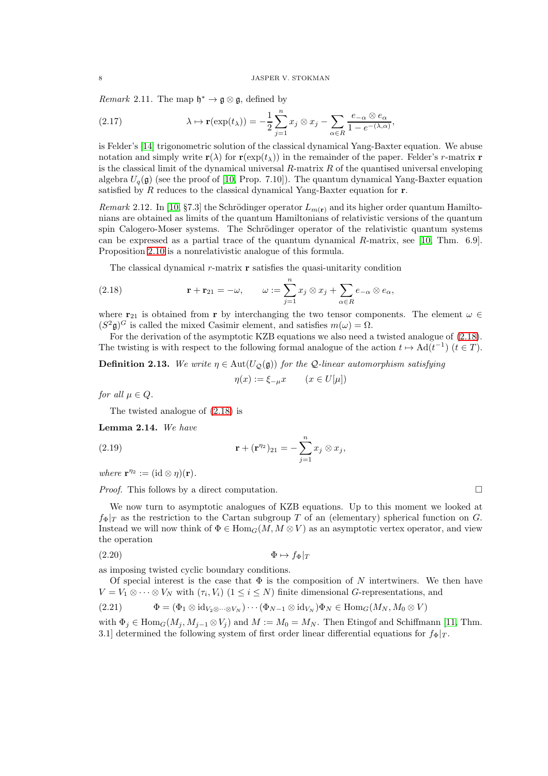<span id="page-7-6"></span>Remark 2.11. The map  $\mathfrak{h}^* \to \mathfrak{g} \otimes \mathfrak{g}$ , defined by

<span id="page-7-0"></span>(2.17) 
$$
\lambda \mapsto \mathbf{r}(\exp(t_{\lambda})) = -\frac{1}{2} \sum_{j=1}^{n} x_{j} \otimes x_{j} - \sum_{\alpha \in R} \frac{e_{-\alpha} \otimes e_{\alpha}}{1 - e^{-(\lambda, \alpha)}},
$$

is Felder's [\[14\]](#page-34-0) trigonometric solution of the classical dynamical Yang-Baxter equation. We abuse notation and simply write  $\mathbf{r}(\lambda)$  for  $\mathbf{r}(\exp(t_\lambda))$  in the remainder of the paper. Felder's r-matrix **r** is the classical limit of the dynamical universal  $R$ -matrix  $R$  of the quantised universal enveloping algebra  $U_q(\mathfrak{g})$  (see the proof of [\[10,](#page-34-9) Prop. 7.10]). The quantum dynamical Yang-Baxter equation satisfied by R reduces to the classical dynamical Yang-Baxter equation for  $\bf{r}$ .

Remark 2.12. In [\[10,](#page-34-9) §7.3] the Schrödinger operator  $L_{m(\mathbf{r})}$  and its higher order quantum Hamiltonians are obtained as limits of the quantum Hamiltonians of relativistic versions of the quantum spin Calogero-Moser systems. The Schrödinger operator of the relativistic quantum systems can be expressed as a partial trace of the quantum dynamical  $R$ -matrix, see [\[10,](#page-34-9) Thm. 6.9]. Proposition [2.10](#page-6-0) is a nonrelativistic analogue of this formula.

<span id="page-7-1"></span>The classical dynamical  $r$ -matrix  $\bf{r}$  satisfies the quasi-unitarity condition

(2.18) 
$$
\mathbf{r} + \mathbf{r}_{21} = -\omega, \qquad \omega := \sum_{j=1}^{n} x_j \otimes x_j + \sum_{\alpha \in R} e_{-\alpha} \otimes e_{\alpha},
$$

where  $\mathbf{r}_{21}$  is obtained from r by interchanging the two tensor components. The element  $\omega \in$  $(S^2\mathfrak{g})^G$  is called the mixed Casimir element, and satisfies  $m(\omega) = \Omega$ .

For the derivation of the asymptotic KZB equations we also need a twisted analogue of [\(2.18\)](#page-7-1). The twisting is with respect to the following formal analogue of the action  $t \mapsto \text{Ad}(t^{-1})$   $(t \in T)$ .

**Definition 2.13.** We write  $\eta \in \text{Aut}(U_{\mathcal{O}}(\mathfrak{g}))$  for the Q-linear automorphism satisfying

<span id="page-7-4"></span>
$$
\eta(x) := \xi_{-\mu} x \qquad (x \in U[\mu])
$$

for all  $\mu \in Q$ .

The twisted analogue of [\(2.18\)](#page-7-1) is

<span id="page-7-5"></span>Lemma 2.14. We have

(2.19) 
$$
\mathbf{r} + (\mathbf{r}^{\eta_2})_{21} = -\sum_{j=1}^n x_j \otimes x_j,
$$

where  $\mathbf{r}^{\eta_2} := (\mathrm{id} \otimes \eta)(\mathbf{r}).$ 

*Proof.* This follows by a direct computation.

We now turn to asymptotic analogues of KZB equations. Up to this moment we looked at  $f_{\Phi}|_T$  as the restriction to the Cartan subgroup T of an (elementary) spherical function on G. Instead we will now think of  $\Phi \in \text{Hom}_G(M, M \otimes V)$  as an asymptotic vertex operator, and view the operation

<span id="page-7-3"></span>
$$
(2.20) \t\t \Phi \mapsto f_{\Phi}|_T
$$

as imposing twisted cyclic boundary conditions.

Of special interest is the case that  $\Phi$  is the composition of N intertwiners. We then have  $V = V_1 \otimes \cdots \otimes V_N$  with  $(\tau_i, V_i)$   $(1 \leq i \leq N)$  finite dimensional G-representations, and

<span id="page-7-2"></span>
$$
(2.21) \qquad \Phi = (\Phi_1 \otimes \mathrm{id}_{V_2 \otimes \cdots \otimes V_N}) \cdots (\Phi_{N-1} \otimes \mathrm{id}_{V_N}) \Phi_N \in \mathrm{Hom}_G(M_N, M_0 \otimes V)
$$

with  $\Phi_i \in \text{Hom}_G(M_i, M_{i-1} \otimes V_i)$  and  $M := M_0 = M_N$ . Then Etingof and Schiffmann [\[11,](#page-34-3) Thm. 3.1] determined the following system of first order linear differential equations for  $f_{\Phi}|_{T}$ .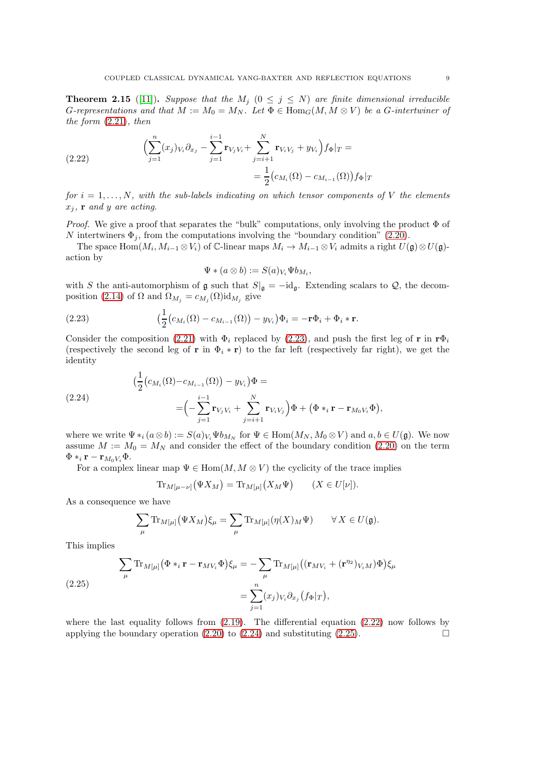<span id="page-8-0"></span>**Theorem 2.15** ([\[11\]](#page-34-3)). Suppose that the  $M_j$  ( $0 \leq j \leq N$ ) are finite dimensional irreducible G-representations and that  $M := M_0 = M_N$ . Let  $\Phi \in \text{Hom}_G(M, M \otimes V)$  be a G-intertwiner of the form  $(2.21)$ , then

<span id="page-8-2"></span>(2.22) 
$$
\left(\sum_{j=1}^{n} (x_j)_{V_i} \partial_{x_j} - \sum_{j=1}^{i-1} \mathbf{r}_{V_j V_i} + \sum_{j=i+1}^{N} \mathbf{r}_{V_i V_j} + y_{V_i}\right) f_{\Phi}|_T = \frac{1}{2} \left(c_{M_i}(\Omega) - c_{M_{i-1}}(\Omega)\right) f_{\Phi}|_T
$$

for  $i = 1, \ldots, N$ , with the sub-labels indicating on which tensor components of V the elements  $x_j$ , **r** and y are acting.

*Proof.* We give a proof that separates the "bulk" computations, only involving the product  $\Phi$  of N intertwiners  $\Phi_j$ , from the computations involving the "boundary condition" [\(2.20\)](#page-7-3).

The space  $\text{Hom}(M_i, M_{i-1} \otimes V_i)$  of C-linear maps  $M_i \to M_{i-1} \otimes V_i$  admits a right  $U(\mathfrak{g}) \otimes U(\mathfrak{g})$ action by

<span id="page-8-1"></span>
$$
\Psi\ast(a\otimes b):=S(a)_{V_i}\Psi b_{M_i},
$$

with S the anti-automorphism of g such that  $S|_{\mathfrak{g}} = -id_{\mathfrak{g}}$ . Extending scalars to  $\mathcal{Q}$ , the decom-position [\(2.14\)](#page-6-1) of  $\Omega$  and  $\Omega_{M_j} = c_{M_j}(\Omega) \mathrm{id}_{M_j}$  give

(2.23) 
$$
\left(\frac{1}{2}(c_{M_i}(\Omega) - c_{M_{i-1}}(\Omega)) - y_{V_i}\right)\Phi_i = -\mathbf{r}\Phi_i + \Phi_i * \mathbf{r}.
$$

Consider the composition [\(2.21\)](#page-7-2) with  $\Phi_i$  replaced by [\(2.23\)](#page-8-1), and push the first leg of r in r $\Phi_i$ (respectively the second leg of r in  $\Phi_i * r$ ) to the far left (respectively far right), we get the identity

<span id="page-8-3"></span>(2.24)  
\n
$$
(\frac{1}{2}(c_{M_i}(\Omega)-c_{M_{i-1}}(\Omega)) - y_{V_i})\Phi =
$$
\n
$$
= (-\sum_{j=1}^{i-1} \mathbf{r}_{V_j V_i} + \sum_{j=i+1}^{N} \mathbf{r}_{V_i V_j})\Phi + (\Phi *_{i} \mathbf{r} - \mathbf{r}_{M_0 V_i} \Phi),
$$

where we write  $\Psi *_{i} (a \otimes b) := S(a)_{V_{i}} \Psi b_{M_{N}}$  for  $\Psi \in \text{Hom}(M_{N}, M_{0} \otimes V)$  and  $a, b \in U(\mathfrak{g})$ . We now assume  $M := M_0 = M_N$  and consider the effect of the boundary condition [\(2.20\)](#page-7-3) on the term  $\Phi *_i \mathbf{r} - \mathbf{r}_{M_0 V_i} \Phi.$ 

For a complex linear map  $\Psi \in \text{Hom}(M, M \otimes V)$  the cyclicity of the trace implies

$$
\operatorname{Tr}_{M[\mu-\nu]}(\Psi X_M) = \operatorname{Tr}_{M[\mu]}(X_M \Psi) \qquad (X \in U[\nu]).
$$

As a consequence we have

$$
\sum_{\mu} \text{Tr}_{M[\mu]} (\Psi X_M) \xi_{\mu} = \sum_{\mu} \text{Tr}_{M[\mu]} (\eta(X)_M \Psi) \qquad \forall X \in U(\mathfrak{g}).
$$

This implies

<span id="page-8-4"></span>(2.25) 
$$
\sum_{\mu} \text{Tr}_{M[\mu]} (\Phi *_{i} \mathbf{r} - \mathbf{r}_{MV_{i}} \Phi) \xi_{\mu} = -\sum_{\mu} \text{Tr}_{M[\mu]} ((\mathbf{r}_{MV_{i}} + (\mathbf{r}^{\eta_{2}})_{V_{i}M}) \Phi) \xi_{\mu}
$$

$$
= \sum_{j=1}^{n} (x_{j})_{V_{i}} \partial_{x_{j}} (f_{\Phi}|_{T}),
$$

where the last equality follows from  $(2.19)$ . The differential equation  $(2.22)$  now follows by applying the boundary operation [\(2.20\)](#page-7-3) to [\(2.24\)](#page-8-3) and substituting [\(2.25\)](#page-8-4).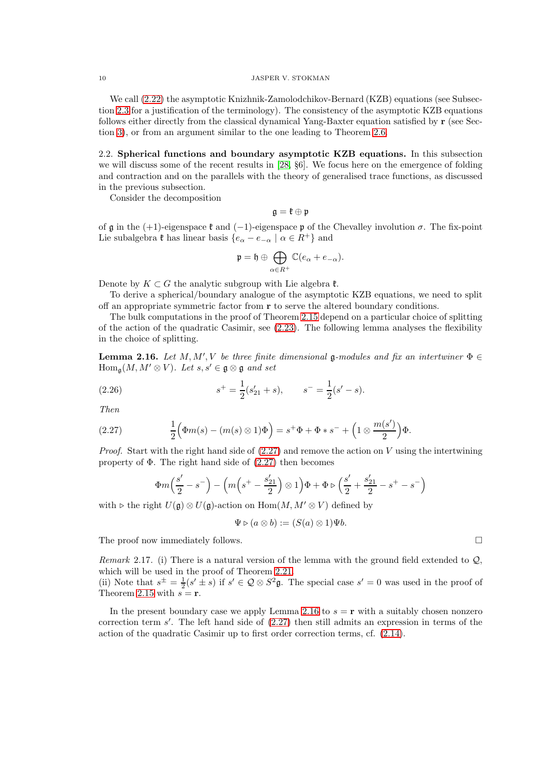We call  $(2.22)$  the asymptotic Knizhnik-Zamolodchikov-Bernard (KZB) equations (see Subsection [2.3](#page-13-0) for a justification of the terminology). The consistency of the asymptotic KZB equations follows either directly from the classical dynamical Yang-Baxter equation satisfied by r (see Section [3\)](#page-15-2), or from an argument similar to the one leading to Theorem [2.6.](#page-5-2)

<span id="page-9-0"></span>2.2. Spherical functions and boundary asymptotic KZB equations. In this subsection we will discuss some of the recent results in [\[28,](#page-35-0) §6]. We focus here on the emergence of folding and contraction and on the parallels with the theory of generalised trace functions, as discussed in the previous subsection.

Consider the decomposition

$$
\mathfrak{g}=\mathfrak{k}\oplus\mathfrak{p}
$$

of g in the (+1)-eigenspace  $\mathfrak k$  and (-1)-eigenspace p of the Chevalley involution  $\sigma$ . The fix-point Lie subalgebra  $\mathfrak k$  has linear basis  $\{e_{\alpha}-e_{-\alpha} \mid \alpha \in R^+\}$  and

$$
\mathfrak{p}=\mathfrak{h}\oplus\bigoplus_{\alpha\in R^+}\mathbb{C}(e_\alpha+e_{-\alpha}).
$$

Denote by  $K \subset G$  the analytic subgroup with Lie algebra  $\mathfrak{k}$ .

To derive a spherical/boundary analogue of the asymptotic KZB equations, we need to split off an appropriate symmetric factor from r to serve the altered boundary conditions.

The bulk computations in the proof of Theorem [2.15](#page-8-0) depend on a particular choice of splitting of the action of the quadratic Casimir, see [\(2.23\)](#page-8-1). The following lemma analyses the flexibility in the choice of splitting.

<span id="page-9-2"></span>**Lemma 2.16.** Let  $M, M', V$  be three finite dimensional g-modules and fix an intertwiner  $\Phi \in$  $\text{Hom}_{\mathfrak{a}}(M, M' \otimes V)$ . Let  $s, s' \in \mathfrak{g} \otimes \mathfrak{g}$  and set

(2.26) 
$$
s^+ = \frac{1}{2}(s'_{21} + s), \qquad s^- = \frac{1}{2}(s' - s).
$$

Then

(2.27) 
$$
\frac{1}{2} \Big( \Phi m(s) - (m(s) \otimes 1) \Phi \Big) = s^+ \Phi + \Phi * s^- + \Big( 1 \otimes \frac{m(s')}{2} \Big) \Phi.
$$

*Proof.* Start with the right hand side of  $(2.27)$  and remove the action on V using the intertwining property of  $\Phi$ . The right hand side of  $(2.27)$  then becomes

<span id="page-9-1"></span>
$$
\Phi m\left(\frac{s'}{2} - s^-\right) - \left(m\left(s^+ - \frac{s'_{21}}{2}\right) \otimes 1\right) \Phi + \Phi \triangleright \left(\frac{s'}{2} + \frac{s'_{21}}{2} - s^+ - s^-\right)
$$

with  $\triangleright$  the right  $U(\mathfrak{g}) \otimes U(\mathfrak{g})$ -action on  $\text{Hom}(M, M' \otimes V)$  defined by

$$
\Psi \triangleright (a \otimes b) := (S(a) \otimes 1)\Psi b.
$$

The proof now immediately follows.

Remark 2.17. (i) There is a natural version of the lemma with the ground field extended to  $Q$ , which will be used in the proof of Theorem [2.21.](#page-11-0)

(ii) Note that  $s^{\pm} = \frac{1}{2}(s' \pm s)$  if  $s' \in \mathcal{Q} \otimes S^2 \mathfrak{g}$ . The special case  $s' = 0$  was used in the proof of Theorem [2.15](#page-8-0) with  $s = r$ .

In the present boundary case we apply Lemma [2.16](#page-9-2) to  $s = r$  with a suitably chosen nonzero correction term s'. The left hand side of  $(2.27)$  then still admits an expression in terms of the action of the quadratic Casimir up to first order correction terms, cf. [\(2.14\)](#page-6-1).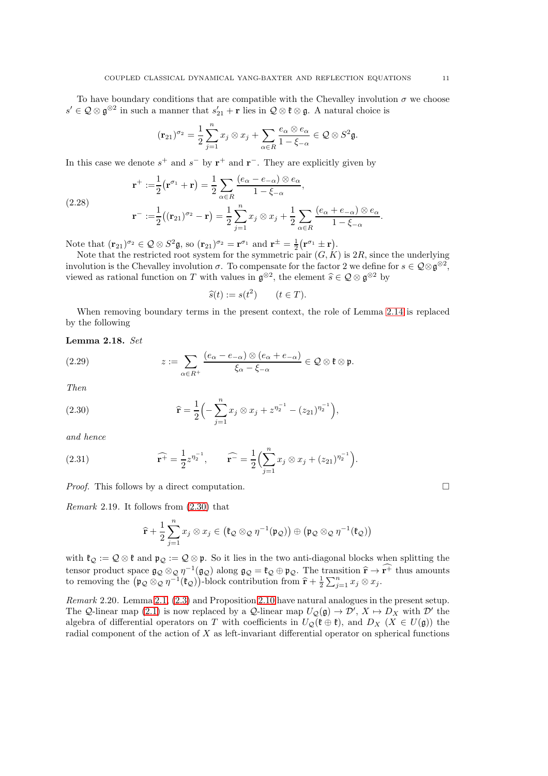To have boundary conditions that are compatible with the Chevalley involution  $\sigma$  we choose  $s' \in \mathcal{Q} \otimes \mathfrak{g}^{\otimes 2}$  in such a manner that  $s'_{21} + \mathbf{r}$  lies in  $\mathcal{Q} \otimes \mathfrak{k} \otimes \mathfrak{g}$ . A natural choice is

$$
(\mathbf{r}_{21})^{\sigma_2} = \frac{1}{2} \sum_{j=1}^n x_j \otimes x_j + \sum_{\alpha \in R} \frac{e_\alpha \otimes e_\alpha}{1 - \xi_{-\alpha}} \in \mathcal{Q} \otimes S^2 \mathfrak{g}.
$$

In this case we denote  $s^+$  and  $s^-$  by  $r^+$  and  $r^-$ . They are explicitly given by

(2.28)  

$$
\mathbf{r}^+ := \frac{1}{2} \left( \mathbf{r}^{\sigma_1} + \mathbf{r} \right) = \frac{1}{2} \sum_{\alpha \in R} \frac{(e_\alpha - e_{-\alpha}) \otimes e_\alpha}{1 - \xi_{-\alpha}},
$$

$$
\mathbf{r}^- := \frac{1}{2} \left( (\mathbf{r}_{21})^{\sigma_2} - \mathbf{r} \right) = \frac{1}{2} \sum_{j=1}^n x_j \otimes x_j + \frac{1}{2} \sum_{\alpha \in R} \frac{(e_\alpha + e_{-\alpha}) \otimes e_\alpha}{1 - \xi_{-\alpha}}
$$

Note that  $(\mathbf{r}_{21})^{\sigma_2} \in \mathcal{Q} \otimes S^2 \mathfrak{g}$ , so  $(\mathbf{r}_{21})^{\sigma_2} = \mathbf{r}^{\sigma_1}$  and  $\mathbf{r}^{\pm} = \frac{1}{2} (\mathbf{r}^{\sigma_1} \pm \mathbf{r}).$ 

Note that the restricted root system for the symmetric pair  $(G, K)$  is  $2R$ , since the underlying involution is the Chevalley involution  $\sigma$ . To compensate for the factor 2 we define for  $s \in \mathcal{Q} \otimes \mathfrak{g}^{\otimes 2}$ , viewed as rational function on T with values in  $\mathfrak{g}^{\otimes 2}$ , the element  $\widehat{s} \in \mathcal{Q} \otimes \mathfrak{g}^{\otimes 2}$  by

$$
\widehat{s}(t) := s(t^2) \qquad (t \in T).
$$

When removing boundary terms in the present context, the role of Lemma [2.14](#page-7-5) is replaced by the following

<span id="page-10-2"></span>Lemma 2.18. Set

(2.29) 
$$
z := \sum_{\alpha \in R^+} \frac{(e_\alpha - e_{-\alpha}) \otimes (e_\alpha + e_{-\alpha})}{\xi_\alpha - \xi_{-\alpha}} \in \mathcal{Q} \otimes \mathfrak{k} \otimes \mathfrak{p}.
$$

Then

<span id="page-10-0"></span>(2.30) 
$$
\widehat{\mathbf{r}} = \frac{1}{2} \left( -\sum_{j=1}^{n} x_j \otimes x_j + z^{\eta_2^{-1}} - (z_{21})^{\eta_2^{-1}} \right),
$$

and hence

(2.31) 
$$
\widehat{\mathbf{r}^+} = \frac{1}{2} z^{\eta_2^{-1}}, \qquad \widehat{\mathbf{r}^-} = \frac{1}{2} \Bigl( \sum_{j=1}^n x_j \otimes x_j + (z_{21})^{\eta_2^{-1}} \Bigr).
$$

*Proof.* This follows by a direct computation.  $\square$ 

Remark 2.19. It follows from [\(2.30\)](#page-10-0) that

<span id="page-10-3"></span>
$$
\widehat{\mathbf{r}} + \frac{1}{2} \sum_{j=1}^n x_j \otimes x_j \in \left( \mathfrak{k}_{\mathcal{Q}} \otimes_{\mathcal{Q}} \eta^{-1}(\mathfrak{p}_{\mathcal{Q}}) \right) \oplus \left( \mathfrak{p}_{\mathcal{Q}} \otimes_{\mathcal{Q}} \eta^{-1}(\mathfrak{k}_{\mathcal{Q}}) \right)
$$

with  $\mathfrak{k}_{\mathcal{Q}} := \mathcal{Q} \otimes \mathfrak{k}$  and  $\mathfrak{p}_{\mathcal{Q}} := \mathcal{Q} \otimes \mathfrak{p}$ . So it lies in the two anti-diagonal blocks when splitting the tensor product space  $\mathfrak{g}_{\mathcal{Q}} \otimes_{\mathcal{Q}} \eta^{-1}(\mathfrak{g}_{\mathcal{Q}})$  along  $\mathfrak{g}_{\mathcal{Q}} = \mathfrak{k}_{\mathcal{Q}} \oplus \mathfrak{p}_{\mathcal{Q}}$ . The transition  $\hat{\mathbf{r}} \to \mathbf{r}^+$  thus amounts to removing the  $(\mathfrak{p}_{\mathcal{Q}} \otimes_{\mathcal{Q}} \eta^{-1}(\mathfrak{k}_{\mathcal$ 

<span id="page-10-1"></span>Remark 2.20. Lemma [2.1,](#page-3-3) [\(2.3\)](#page-3-2) and Proposition [2.10](#page-6-0) have natural analogues in the present setup. The Q-linear map [\(2.1\)](#page-3-0) is now replaced by a Q-linear map  $U_Q(\mathfrak{g}) \to \mathcal{D}'$ ,  $X \mapsto D_X$  with  $\mathcal{D}'$  the algebra of differential operators on T with coefficients in  $U_{\mathcal{O}}(\mathfrak{k} \oplus \mathfrak{k})$ , and  $D_X$  ( $X \in U(\mathfrak{g})$ ) the radial component of the action of X as left-invariant differential operator on spherical functions

.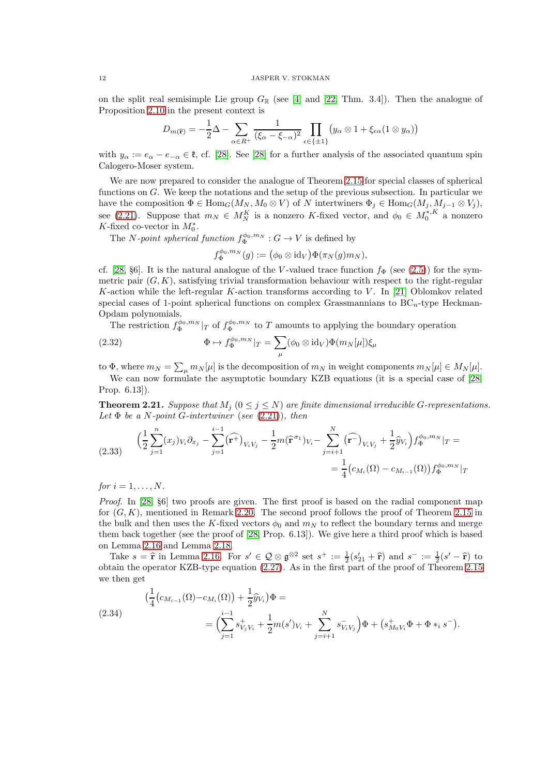on the split real semisimple Lie group  $G_{\mathbb{R}}$  (see [\[4\]](#page-34-11) and [\[22,](#page-34-5) Thm. 3.4]). Then the analogue of Proposition [2.10](#page-6-0) in the present context is

$$
D_{m(\widehat{\mathbf{r}})} = -\frac{1}{2}\Delta - \sum_{\alpha \in R^{+}} \frac{1}{(\xi_{\alpha} - \xi_{-\alpha})^{2}} \prod_{\epsilon \in \{\pm 1\}} \left( y_{\alpha} \otimes 1 + \xi_{\epsilon \alpha} (1 \otimes y_{\alpha}) \right)
$$

with  $y_\alpha := e_\alpha - e_{-\alpha} \in \mathfrak{k}$ , cf. [\[28\]](#page-35-0). See [28] for a further analysis of the associated quantum spin Calogero-Moser system.

We are now prepared to consider the analogue of Theorem [2.15](#page-8-0) for special classes of spherical functions on  $G$ . We keep the notations and the setup of the previous subsection. In particular we have the composition  $\Phi \in \text{Hom}_G(M_N, M_0 \otimes V)$  of N intertwiners  $\Phi_j \in \text{Hom}_G(M_j, M_{j-1} \otimes V_j)$ , see [\(2.21\)](#page-7-2). Suppose that  $m_N \in M_N^K$  is a nonzero K-fixed vector, and  $\phi_0 \in M_0^{*, K}$  a nonzero K-fixed co-vector in  $M_0^*$ .

The *N*-point spherical function  $f_{\Phi}^{\phi_0, m_N}: G \to V$  is defined by

<span id="page-11-1"></span>
$$
f^{\phi_0,m_N}_{\Phi}(g):=\big(\phi_0\otimes\operatorname{id}_V\big)\Phi(\pi_N(g)m_N),
$$

cf. [\[28,](#page-35-0) §6]. It is the natural analogue of the V-valued trace function  $f_{\Phi}$  (see [\(2.5\)](#page-4-3)) for the symmetric pair  $(G, K)$ , satisfying trivial transformation behaviour with respect to the right-regular K-action while the left-regular K-action transforms according to V. In [\[21\]](#page-34-16) Oblomkov related special cases of 1-point spherical functions on complex Grassmannians to  $BC_n$ -type Heckman-Opdam polynomials.

The restriction  $f_{\Phi}^{\phi_0, m_N}|_T$  of  $f_{\Phi}^{\phi_0, m_N}$  to T amounts to applying the boundary operation

(2.32) 
$$
\Phi \mapsto f_{\Phi}^{\phi_0, m_N}|_T = \sum_{\mu} (\phi_0 \otimes \mathrm{id}_V) \Phi(m_N[\mu]) \xi_{\mu}
$$

to  $\Phi$ , where  $m_N = \sum_{\mu} m_N[\mu]$  is the decomposition of  $m_N$  in weight components  $m_N[\mu] \in M_N[\mu]$ .

We can now formulate the asymptotic boundary KZB equations (it is a special case of [\[28,](#page-35-0) Prop. 6.13]).

<span id="page-11-0"></span>**Theorem 2.21.** Suppose that  $M_j$  ( $0 \leq j \leq N$ ) are finite dimensional irreducible G-representations. Let  $\Phi$  be a N-point G-intertwiner (see [\(2.21\)](#page-7-2)), then

<span id="page-11-3"></span>
$$
(2.33) \qquad \left(\frac{1}{2}\sum_{j=1}^{n}(x_j)_{V_i}\partial_{x_j} - \sum_{j=1}^{i-1}(\widehat{\mathbf{r}^+})_{V_iV_j} - \frac{1}{2}m(\widehat{\mathbf{r}}^{\sigma_1})_{V_i} - \sum_{j=i+1}^{N}(\widehat{\mathbf{r}^-})_{V_iV_j} + \frac{1}{2}\widehat{y}_{V_i}\right)f_{\Phi}^{\phi_0,m_N}|_T = \newline = \frac{1}{4}\big(c_{M_i}(\Omega) - c_{M_{i-1}}(\Omega)\big)f_{\Phi}^{\phi_0,m_N}|_T
$$

for  $i = 1, \ldots, N$ .

Proof. In [\[28,](#page-35-0) §6] two proofs are given. The first proof is based on the radial component map for  $(G, K)$ , mentioned in Remark [2.20.](#page-10-1) The second proof follows the proof of Theorem [2.15](#page-8-0) in the bulk and then uses the K-fixed vectors  $\phi_0$  and  $m_N$  to reflect the boundary terms and merge them back together (see the proof of [\[28,](#page-35-0) Prop. 6.13]). We give here a third proof which is based on Lemma [2.16](#page-9-2) and Lemma [2.18.](#page-10-2)

Take  $s = \hat{\mathbf{r}}$  in Lemma [2.16.](#page-9-2) For  $s' \in \mathcal{Q} \otimes \mathfrak{g}^{\otimes 2}$  set  $s^+ := \frac{1}{2}(s'_2 + \hat{\mathbf{r}})$  and  $s^- := \frac{1}{2}(s' - \hat{\mathbf{r}})$  to obtain the operator KZB-type equation [\(2.27\)](#page-9-1). As in the first part of the proof of Theorem [2.15](#page-8-0) we then get

<span id="page-11-2"></span>
$$
\begin{aligned} \left( \frac{1}{4} \left( c_{M_{i-1}}(\Omega) - c_{M_i}(\Omega) \right) + \frac{1}{2} \hat{y}_{V_i} \right) \Phi &= \\ &= \left( \sum_{j=1}^{i-1} s_{V_j V_i}^+ + \frac{1}{2} m(s')_{V_i} + \sum_{j=i+1}^N s_{V_i V_j}^- \right) \Phi + \left( s_{M_0 V_i}^+ \Phi + \Phi *_{i} s^- \right). \end{aligned}
$$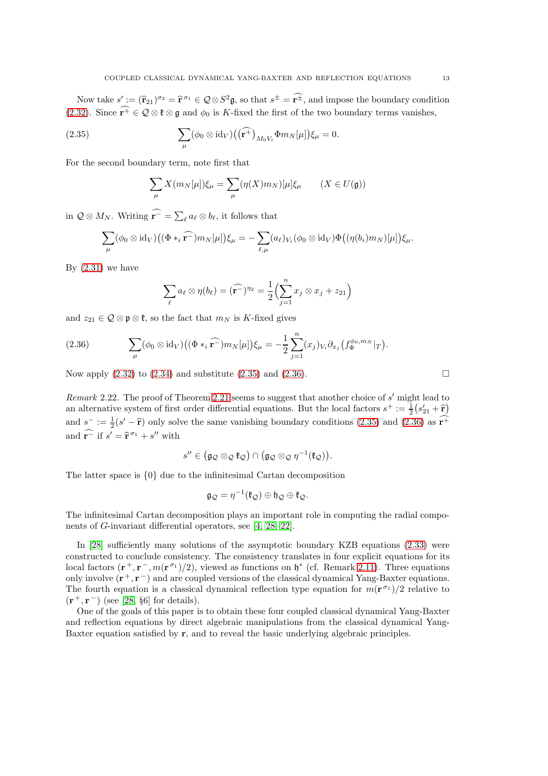Now take  $s' := (\hat{r}_{21})^{\sigma_2} = \hat{r}^{\sigma_1} \in \mathcal{Q} \otimes S^2 \mathfrak{g}$ , so that  $s^{\pm} = \hat{r}^{\pm}$ , and impose the boundary condition [\(2.32\)](#page-11-1). Since  $\widehat{r^+} \in \mathcal{Q} \otimes \mathfrak{k} \otimes \mathfrak{g}$  and  $\phi_0$  is K-fixed the first of the two boundary terms vanishes,

(2.35) 
$$
\sum_{\mu} (\phi_0 \otimes \mathrm{id}_V) ((\widehat{\mathbf{r}^+})_{M_0 V_i} \Phi m_N[\mu]) \xi_{\mu} = 0.
$$

For the second boundary term, note first that

<span id="page-12-0"></span>
$$
\sum_{\mu} X(m_N[\mu]) \xi_{\mu} = \sum_{\mu} (\eta(X)m_N)[\mu] \xi_{\mu} \qquad (X \in U(\mathfrak{g}))
$$

in  $\mathcal{Q} \otimes M_N$ . Writing  $\widehat{\mathbf{r}^-} = \sum_{\ell} a_{\ell} \otimes b_{\ell}$ , it follows that

$$
\sum_{\mu} (\phi_0 \otimes \mathrm{id}_V) \big( (\Phi *_{i} \widehat{\mathbf{r}^{-}}) m_N[\mu] \big) \xi_{\mu} = - \sum_{\ell, \mu} (a_{\ell})_{V_i} (\phi_0 \otimes \mathrm{id}_V) \Phi \big( (\eta(b_i) m_N)[\mu] \big) \xi_{\mu}.
$$

By  $(2.31)$  we have

$$
\sum_{\ell} a_{\ell} \otimes \eta(b_{\ell}) = (\widehat{\mathbf{r}^{-}})^{n_2} = \frac{1}{2} \Biggl( \sum_{j=1}^{n} x_j \otimes x_j + z_{21} \Biggr)
$$

and  $z_{21} \in \mathcal{Q} \otimes \mathfrak{p} \otimes \mathfrak{k}$ , so the fact that  $m_N$  is K-fixed gives

<span id="page-12-1"></span>(2.36) 
$$
\sum_{\mu} (\phi_0 \otimes \mathrm{id}_V) \big( (\Phi *_{i} \widehat{\mathbf{r}^{-}}) m_N[\mu] \big) \xi_{\mu} = -\frac{1}{2} \sum_{j=1}^{n} (x_j)_{V_i} \partial_{x_j} \big( f_{\Phi}^{\phi_0, m_N} |_{T} \big).
$$

Now apply  $(2.32)$  to  $(2.34)$  and substitute  $(2.35)$  and  $(2.36)$ .

Remark 2.22. The proof of Theorem [2.21](#page-11-0) seems to suggest that another choice of s' might lead to an alternative system of first order differential equations. But the local factors  $s^+ := \frac{1}{2}(s'_{21} + \hat{r})$ and  $s^- := \frac{1}{2}(s'-\hat{r})$  only solve the same vanishing boundary conditions [\(2.35\)](#page-12-0) and [\(2.36\)](#page-12-1) as  $r^+$ and  $\mathbf{r}^-$  if  $s' = \hat{\mathbf{r}}^{\sigma_1} + s''$  with

$$
s'' \in \bigl(\mathfrak{g}_{\mathcal{Q}} \otimes_{\mathcal{Q}} \mathfrak{k}_{\mathcal{Q}}\bigr) \cap \bigl(\mathfrak{g}_{\mathcal{Q}} \otimes_{\mathcal{Q}} \eta^{-1}(\mathfrak{k}_{\mathcal{Q}})\bigr).
$$

The latter space is {0} due to the infinitesimal Cartan decomposition

$$
\mathfrak{g}_{\mathcal{Q}} = \eta^{-1}(\mathfrak{k}_{\mathcal{Q}}) \oplus \mathfrak{h}_{\mathcal{Q}} \oplus \mathfrak{k}_{\mathcal{Q}}.
$$

The infinitesimal Cartan decomposition plays an important role in computing the radial components of G-invariant differential operators, see [\[4,](#page-34-11) [28,](#page-35-0) [22\]](#page-34-5).

In [\[28\]](#page-35-0) sufficiently many solutions of the asymptotic boundary KZB equations [\(2.33\)](#page-11-3) were constructed to conclude consistency. The consistency translates in four explicit equations for its local factors  $(\mathbf{r}^+, \mathbf{r}^-, m(\mathbf{r}^{\sigma_1})/2)$ , viewed as functions on  $\mathfrak{h}^*$  (cf. Remark [2.11\)](#page-7-6). Three equations only involve  $(\mathbf{r}^+, \mathbf{r}^-)$  and are coupled versions of the classical dynamical Yang-Baxter equations. The fourth equation is a classical dynamical reflection type equation for  $m(\mathbf{r}^{\sigma_1})/2$  relative to  $(r^+, r^-)$  (see [\[28,](#page-35-0) §6] for details).

One of the goals of this paper is to obtain these four coupled classical dynamical Yang-Baxter and reflection equations by direct algebraic manipulations from the classical dynamical Yang-Baxter equation satisfied by r, and to reveal the basic underlying algebraic principles.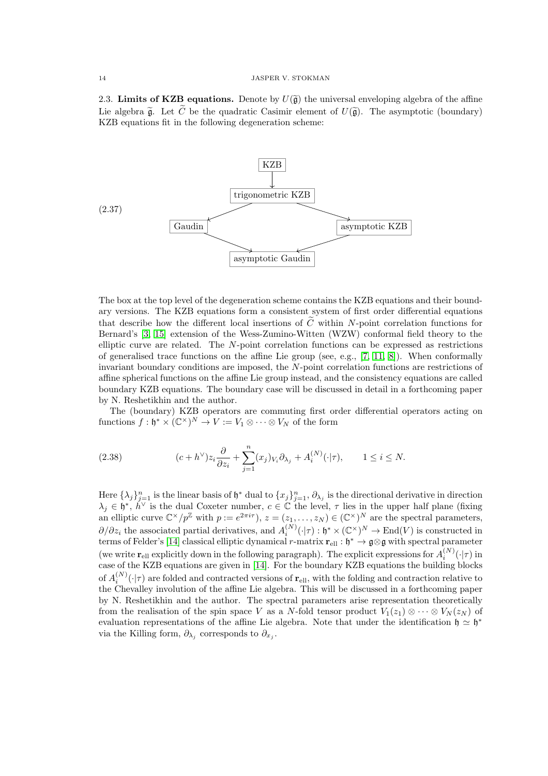<span id="page-13-0"></span>2.3. Limits of KZB equations. Denote by  $U(\widetilde{\mathfrak{g}})$  the universal enveloping algebra of the affine Lie algebra  $\tilde{\mathfrak{g}}$ . Let  $\tilde{C}$  be the quadratic Casimir element of  $U(\tilde{\mathfrak{g}})$ . The asymptotic (boundary) KZB equations fit in the following degeneration scheme:

<span id="page-13-1"></span>

The box at the top level of the degeneration scheme contains the KZB equations and their boundary versions. The KZB equations form a consistent system of first order differential equations that describe how the different local insertions of  $\tilde{C}$  within N-point correlation functions for Bernard's [\[3,](#page-34-17) [15\]](#page-34-1) extension of the Wess-Zumino-Witten (WZW) conformal field theory to the elliptic curve are related. The N-point correlation functions can be expressed as restrictions of generalised trace functions on the affine Lie group (see, e.g., [\[7,](#page-34-2) [11,](#page-34-3) [8\]](#page-34-18)). When conformally invariant boundary conditions are imposed, the N-point correlation functions are restrictions of affine spherical functions on the affine Lie group instead, and the consistency equations are called boundary KZB equations. The boundary case will be discussed in detail in a forthcoming paper by N. Reshetikhin and the author.

The (boundary) KZB operators are commuting first order differential operators acting on functions  $f: \mathfrak{h}^* \times (\mathbb{C}^{\times})^N \to V := V_1 \otimes \cdots \otimes V_N$  of the form

(2.38) 
$$
(c+h^{\vee})z_i\frac{\partial}{\partial z_i} + \sum_{j=1}^n (x_j)_{V_i}\partial_{\lambda_j} + A_i^{(N)}(\cdot|\tau), \qquad 1 \le i \le N.
$$

Here  $\{\lambda_j\}_{j=1}^n$  is the linear basis of  $\mathfrak{h}^*$  dual to  $\{x_j\}_{j=1}^n$ ,  $\partial_{\lambda_j}$  is the directional derivative in direction  $\lambda_j \in \mathfrak{h}^*, h^{\vee}$  is the dual Coxeter number,  $c \in \mathbb{C}$  the level,  $\tau$  lies in the upper half plane (fixing an elliptic curve  $\mathbb{C}^{\times}/p^{\mathbb{Z}}$  with  $p := e^{2\pi i \tau}$ ,  $z = (z_1, \ldots, z_N) \in (\mathbb{C}^{\times})^N$  are the spectral parameters,  $\partial/\partial z_i$  the associated partial derivatives, and  $A_i^{(N)}(\cdot|\tau): \mathfrak{h}^* \times (\mathbb{C}^{\times})^N \to \text{End}(V)$  is constructed in terms of Felder's [\[14\]](#page-34-0) classical elliptic dynamical r-matrix  $\mathbf{r}_{ell}: \mathfrak{h}^* \to \mathfrak{g} \otimes \mathfrak{g}$  with spectral parameter (we write  $\mathbf{r}_{ell}$  explicitly down in the following paragraph). The explicit expressions for  $A_i^{(N)}$  $i^{(IV)}(\cdot|\tau)$  in case of the KZB equations are given in [\[14\]](#page-34-0). For the boundary KZB equations the building blocks of  $A_i^{(N)}(\cdot|\tau)$  are folded and contracted versions of  $\mathbf{r}_{\text{ell}}$ , with the folding and contraction relative to the Chevalley involution of the affine Lie algebra. This will be discussed in a forthcoming paper by N. Reshetikhin and the author. The spectral parameters arise representation theoretically from the realisation of the spin space V as a N-fold tensor product  $V_1(z_1) \otimes \cdots \otimes V_N(z_N)$  of evaluation representations of the affine Lie algebra. Note that under the identification  $\mathfrak{h} \simeq \mathfrak{h}^*$ via the Killing form,  $\partial_{\lambda_j}$  corresponds to  $\partial_{x_j}$ .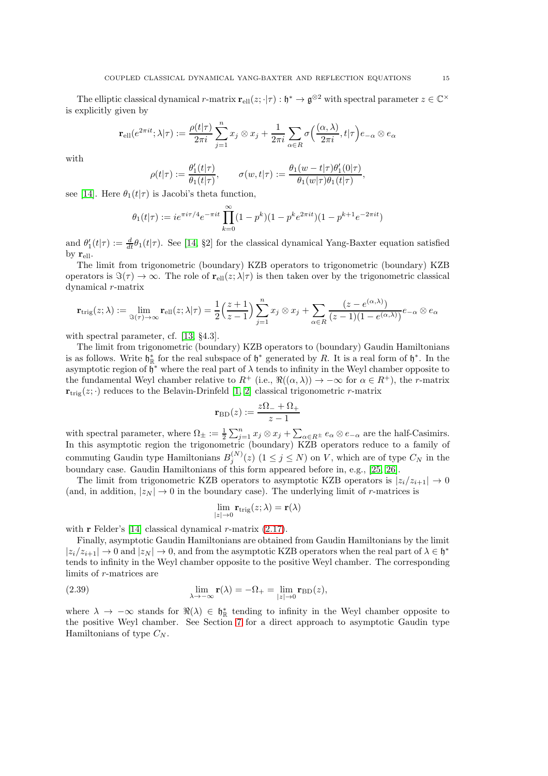The elliptic classical dynamical r-matrix  $\mathbf{r}_{ell}(z; \cdot | \tau) : \mathfrak{h}^* \to \mathfrak{g}^{\otimes 2}$  with spectral parameter  $z \in \mathbb{C}^{\times}$ is explicitly given by

$$
\mathbf{r}_{\textrm{ell}}(e^{2\pi i t};\lambda|\tau):=\frac{\rho(t|\tau)}{2\pi i}\sum_{j=1}^nx_j\otimes x_j+\frac{1}{2\pi i}\sum_{\alpha\in R}\sigma\Big(\frac{(\alpha,\lambda)}{2\pi i},t|\tau\Big)e_{-\alpha}\otimes e_{\alpha}
$$

with

$$
\rho(t|\tau) := \frac{\theta'_1(t|\tau)}{\theta_1(t|\tau)}, \qquad \sigma(w,t|\tau) := \frac{\theta_1(w-t|\tau)\theta'_1(0|\tau)}{\theta_1(w|\tau)\theta_1(t|\tau)},
$$

see [\[14\]](#page-34-0). Here  $\theta_1(t|\tau)$  is Jacobi's theta function,

$$
\theta_1(t|\tau) := i e^{\pi i \tau/4} e^{-\pi i t} \prod_{k=0}^{\infty} (1 - p^k)(1 - p^k e^{2\pi i t})(1 - p^{k+1} e^{-2\pi i t})
$$

and  $\theta_1'(t|\tau) := \frac{d}{dt}\theta_1(t|\tau)$ . See [\[14,](#page-34-0) §2] for the classical dynamical Yang-Baxter equation satisfied by  $\mathbf{r}_{\text{ell}}$ .

The limit from trigonometric (boundary) KZB operators to trigonometric (boundary) KZB operators is  $\Im(\tau) \to \infty$ . The role of  $\mathbf{r}_{ell}(z; \lambda | \tau)$  is then taken over by the trigonometric classical dynamical r-matrix

$$
\mathbf{r}_{\text{trig}}(z;\lambda) := \lim_{\Im(\tau) \to \infty} \mathbf{r}_{\text{ell}}(z;\lambda|\tau) = \frac{1}{2} \left(\frac{z+1}{z-1}\right) \sum_{j=1}^{n} x_j \otimes x_j + \sum_{\alpha \in R} \frac{(z - e^{(\alpha,\lambda)})}{(z-1)(1 - e^{(\alpha,\lambda)})} e_{-\alpha} \otimes e_{\alpha}
$$

with spectral parameter, cf. [\[13,](#page-34-19) §4.3].

The limit from trigonometric (boundary) KZB operators to (boundary) Gaudin Hamiltonians is as follows. Write  $\mathfrak{h}_{\mathbb{R}}^*$  for the real subspace of  $\mathfrak{h}^*$  generated by R. It is a real form of  $\mathfrak{h}^*$ . In the asymptotic region of  $\mathfrak{h}^*$  where the real part of  $\lambda$  tends to infinity in the Weyl chamber opposite to the fundamental Weyl chamber relative to  $R^+$  (i.e.,  $\Re((\alpha,\lambda)) \to -\infty$  for  $\alpha \in R^+$ ), the r-matrix  $\mathbf{r}_{\text{trig}}(z; \cdot)$  reduces to the Belavin-Drinfeld [\[1,](#page-34-20) [2\]](#page-34-21) classical trigonometric r-matrix

$$
\mathbf{r}_{\mathrm{BD}}(z) := \frac{z\Omega_- + \Omega_+}{z - 1}
$$

with spectral parameter, where  $\Omega_{\pm} := \frac{1}{2} \sum_{j=1}^{n} x_j \otimes x_j + \sum_{\alpha \in R^{\pm}} e_{\alpha} \otimes e_{-\alpha}$  are the half-Casimirs. In this asymptotic region the trigonometric (boundary) KZB operators reduce to a family of commuting Gaudin type Hamiltonians  $B_i^{(N)}$  $j_j^{(N)}(z)$   $(1 \leq j \leq N)$  on V, which are of type  $C_N$  in the boundary case. Gaudin Hamiltonians of this form appeared before in, e.g., [\[25,](#page-34-22) [26\]](#page-34-23).

The limit from trigonometric KZB operators to asymptotic KZB operators is  $|z_i/z_{i+1}| \to 0$ (and, in addition,  $|z_N| \to 0$  in the boundary case). The underlying limit of r-matrices is

$$
\lim_{|z|\to 0} \mathbf{r}_{\text{trig}}(z;\lambda) = \mathbf{r}(\lambda)
$$

with  $\mathbf r$  Felder's [\[14\]](#page-34-0) classical dynamical  $r$ -matrix [\(2.17\)](#page-7-0).

Finally, asymptotic Gaudin Hamiltonians are obtained from Gaudin Hamiltonians by the limit  $|z_i/z_{i+1}| \to 0$  and  $|z_N| \to 0$ , and from the asymptotic KZB operators when the real part of  $\lambda \in \mathfrak{h}^*$ tends to infinity in the Weyl chamber opposite to the positive Weyl chamber. The corresponding limits of r-matrices are

(2.39) 
$$
\lim_{\lambda \to -\infty} \mathbf{r}(\lambda) = -\Omega_{+} = \lim_{|z| \to 0} \mathbf{r}_{\text{BD}}(z),
$$

where  $\lambda \to -\infty$  stands for  $\Re(\lambda) \in \mathfrak{h}_{\mathbb{R}}^*$  tending to infinity in the Weyl chamber opposite to the positive Weyl chamber. See Section [7](#page-32-0) for a direct approach to asymptotic Gaudin type Hamiltonians of type  $C_N$ .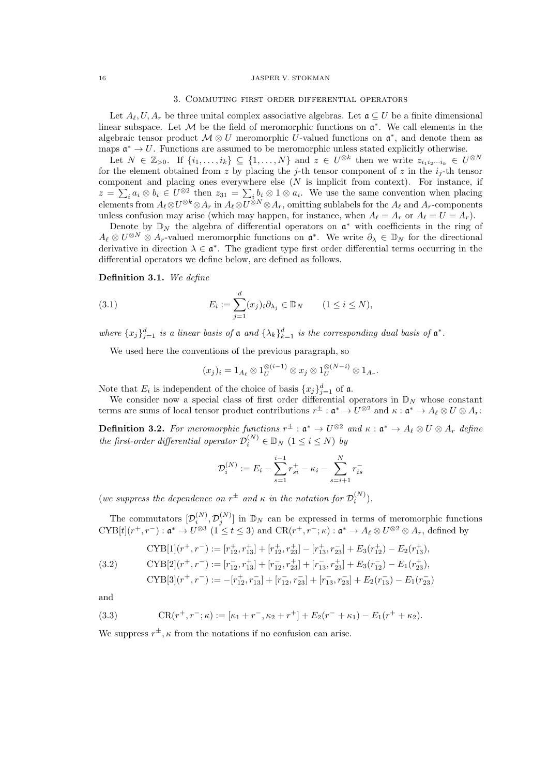## 3. Commuting first order differential operators

<span id="page-15-2"></span>Let  $A_{\ell}, U, A_{r}$  be three unital complex associative algebras. Let  $\mathfrak{a} \subseteq U$  be a finite dimensional linear subspace. Let  $M$  be the field of meromorphic functions on  $\mathfrak{a}^*$ . We call elements in the algebraic tensor product  $\mathcal{M} \otimes U$  meromorphic U-valued functions on  $\mathfrak{a}^*$ , and denote them as maps  $\mathfrak{a}^* \to U$ . Functions are assumed to be meromorphic unless stated explicitly otherwise.

Let  $N \in \mathbb{Z}_{>0}$ . If  $\{i_1,\ldots,i_k\} \subseteq \{1,\ldots,N\}$  and  $z \in U^{\otimes k}$  then we write  $z_{i_1i_2\cdots i_k} \in U^{\otimes N}$ for the element obtained from z by placing the j-th tensor component of z in the  $i_j$ -th tensor component and placing ones everywhere else  $(N$  is implicit from context). For instance, if  $z = \sum_i a_i \otimes b_i \in U^{\otimes 2}$  then  $z_{31} = \sum_i b_i \otimes 1 \otimes a_i$ . We use the same convention when placing elements from  $A_\ell \otimes U^{\otimes k} \otimes A_r$  in  $A_\ell \otimes U^{\otimes N} \otimes A_r$ , omitting sublabels for the  $A_\ell$  and  $A_r$ -components unless confusion may arise (which may happen, for instance, when  $A_{\ell} = A_r$  or  $A_{\ell} = U = A_r$ ).

Denote by  $\mathbb{D}_N$  the algebra of differential operators on  $\mathfrak{a}^*$  with coefficients in the ring of  $A_{\ell} \otimes U^{\otimes N} \otimes A_r$ -valued meromorphic functions on  $\mathfrak{a}^*$ . We write  $\partial_{\lambda} \in \mathbb{D}_N$  for the directional derivative in direction  $\lambda \in \mathfrak{a}^*$ . The gradient type first order differential terms occurring in the differential operators we define below, are defined as follows.

Definition 3.1. We define

(3.1) 
$$
E_i := \sum_{j=1}^d (x_j)_i \partial_{\lambda_j} \in \mathbb{D}_N \qquad (1 \le i \le N),
$$

where  $\{x_j\}_{j=1}^d$  is a linear basis of  $\mathfrak a$  and  $\{\lambda_k\}_{k=1}^d$  is the corresponding dual basis of  $\mathfrak a^*$ .

We used here the conventions of the previous paragraph, so

$$
(x_j)_i = 1_{A_\ell} \otimes 1_U^{\otimes (i-1)} \otimes x_j \otimes 1_U^{\otimes (N-i)} \otimes 1_{A_r}.
$$

Note that  $E_i$  is independent of the choice of basis  $\{x_j\}_{j=1}^d$  of  $\mathfrak{a}$ .

We consider now a special class of first order differential operators in  $\mathbb{D}_N$  whose constant terms are sums of local tensor product contributions  $r^{\pm} : \mathfrak{a}^* \to U^{\otimes 2}$  and  $\kappa : \mathfrak{a}^* \to A_{\ell} \otimes U \otimes A_r$ :

<span id="page-15-3"></span>**Definition 3.2.** For meromorphic functions  $r^{\pm}$  :  $\mathfrak{a}^* \to U^{\otimes 2}$  and  $\kappa : \mathfrak{a}^* \to A_{\ell} \otimes U \otimes A_r$  define the first-order differential operator  $\mathcal{D}_i^{(N)} \in \mathbb{D}_N$   $(1 \le i \le N)$  by

$$
\mathcal{D}_i^{(N)} := E_i - \sum_{s=1}^{i-1} r_{si}^+ - \kappa_i - \sum_{s=i+1}^{N} r_{is}^-
$$

(we suppress the dependence on  $r^{\pm}$  and  $\kappa$  in the notation for  $\mathcal{D}_i^{(N)}$ ).

The commutators  $[\mathcal{D}_i^{(N)}, \mathcal{D}_j^{(N)}]$  in  $\mathbb{D}_N$  can be expressed in terms of meromorphic functions  $\text{CYB}[t](r^+, r^-): \mathfrak{a}^* \to U^{\otimes 3} \ (1 \leq t \leq 3)$  and  $\text{CR}(r^+, r^-; \kappa): \mathfrak{a}^* \to A_{\ell} \otimes U^{\otimes 2} \otimes A_r$ , defined by

$$
CYB[1](r^+, r^-) := [r_{12}^+, r_{13}^+] + [r_{12}^+, r_{23}^+] - [r_{13}^+, r_{23}^-] + E_3(r_{12}^+) - E_2(r_{13}^+),
$$

<span id="page-15-0"></span>(3.2) 
$$
\text{CYB}[2](r^+, r^-) := [r_{12}^-, r_{13}^+] + [r_{12}^-, r_{23}^+] + [r_{13}^-, r_{23}^+] + E_3(r_{12}^-) - E_1(r_{23}^+),
$$

$$
\text{CYB}[3](r^+, r^-) := -[r_{12}^+, r_{13}^-] + [r_{12}^-, r_{23}^-] + [r_{13}^-, r_{23}^-] + E_2(r_{13}^-) - E_1(r_{23}^-)
$$

and

<span id="page-15-1"></span>(3.3) 
$$
CR(r^+, r^-; \kappa) := [\kappa_1 + r^-, \kappa_2 + r^+] + E_2(r^- + \kappa_1) - E_1(r^+ + \kappa_2).
$$

We suppress  $r^{\pm}$ ,  $\kappa$  from the notations if no confusion can arise.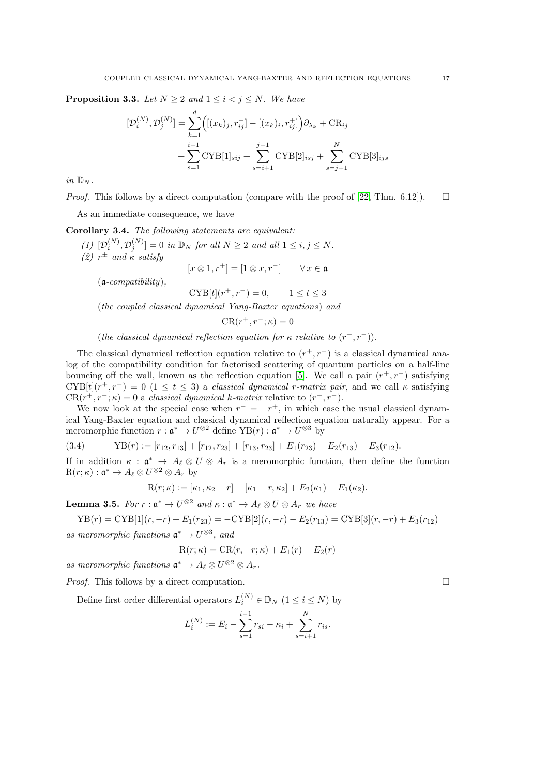<span id="page-16-0"></span>**Proposition 3.3.** Let  $N \geq 2$  and  $1 \leq i < j \leq N$ . We have

$$
[\mathcal{D}_{i}^{(N)}, \mathcal{D}_{j}^{(N)}] = \sum_{k=1}^{d} \Big( [(x_k)_j, r_{ij}^-] - [(x_k)_i, r_{ij}^+] \Big) \partial_{\lambda_k} + \text{CR}_{ij} + \sum_{s=1}^{i-1} \text{CYB}[1]_{sij} + \sum_{s=i+1}^{j-1} \text{CYB}[2]_{isj} + \sum_{s=j+1}^{N} \text{CYB}[3]_{ijs}
$$

in  $\mathbb{D}_N$ .

*Proof.* This follows by a direct computation (compare with the proof of [\[22,](#page-34-5) Thm. 6.12]).  $\square$ 

As an immediate consequence, we have

Corollary 3.4. The following statements are equivalent:

- (1)  $[\mathcal{D}_i^{(N)}, \mathcal{D}_j^{(N)}] = 0$  in  $\mathbb{D}_N$  for all  $N \geq 2$  and all  $1 \leq i, j \leq N$ .
- (2)  $r^{\pm}$  and  $\kappa$  satisfy

$$
[x \otimes 1, r^+] = [1 \otimes x, r^-] \qquad \forall x \in \mathfrak{a}
$$

 $(a$ -compatibility),

 $\text{CYB}[t](r^+, r^-) = 0, \qquad 1 \le t \le 3$ 

(the coupled classical dynamical Yang-Baxter equations) and

$$
CR(r^+, r^-; \kappa) = 0
$$

(the classical dynamical reflection equation for  $\kappa$  relative to  $(r^+, r^-)$ ).

The classical dynamical reflection equation relative to  $(r^+, r^-)$  is a classical dynamical analog of the compatibility condition for factorised scattering of quantum particles on a half-line bouncing off the wall, known as the reflection equation [\[5\]](#page-34-24). We call a pair  $(r^+, r^-)$  satisfying  $\text{CYB}[t](r^+, r^-) = 0$   $(1 \le t \le 3)$  a *classical dynamical r-matrix pair*, and we call  $\kappa$  satisfying  $CR(r^+, r^-; \kappa) = 0$  a classical dynamical k-matrix relative to  $(r^+, r^-)$ .

We now look at the special case when  $r^- = -r^+$ , in which case the usual classical dynamical Yang-Baxter equation and classical dynamical reflection equation naturally appear. For a meromorphic function  $r: \mathfrak{a}^* \to U^{\otimes 2}$  define  $\text{YB}(r): \mathfrak{a}^* \to U^{\otimes 3}$  by

(3.4) 
$$
YB(r) := [r_{12}, r_{13}] + [r_{12}, r_{23}] + [r_{13}, r_{23}] + E_1(r_{23}) - E_2(r_{13}) + E_3(r_{12}).
$$

If in addition  $\kappa : \mathfrak{a}^* \to A_{\ell} \otimes U \otimes A_r$  is a meromorphic function, then define the function  $R(r; \kappa) : \mathfrak{a}^* \to A_{\ell} \otimes U^{\otimes 2} \otimes A_r$  by

$$
R(r; \kappa) := [\kappa_1, \kappa_2 + r] + [\kappa_1 - r, \kappa_2] + E_2(\kappa_1) - E_1(\kappa_2).
$$

<span id="page-16-1"></span>**Lemma 3.5.** For  $r : \mathfrak{a}^* \to U^{\otimes 2}$  and  $\kappa : \mathfrak{a}^* \to A_{\ell} \otimes U \otimes A_r$  we have

$$
YB(r) = CYB[1](r, -r) + E_1(r_{23}) = -CYB[2](r, -r) - E_2(r_{13}) = CYB[3](r, -r) + E_3(r_{12})
$$
as meromorphic functions  $\mathfrak{a}^* \to U^{\otimes 3}$ , and

$$
R(r; \kappa) = CR(r, -r; \kappa) + E_1(r) + E_2(r)
$$

as meromorphic functions  $\mathfrak{a}^* \to A_{\ell} \otimes U^{\otimes 2} \otimes A_r$ .

*Proof.* This follows by a direct computation.  $\square$ 

Define first order differential operators  $L_i^{(N)} \in \mathbb{D}_N$   $(1 \le i \le N)$  by

$$
L_i^{(N)} := E_i - \sum_{s=1}^{i-1} r_{si} - \kappa_i + \sum_{s=i+1}^{N} r_{is}.
$$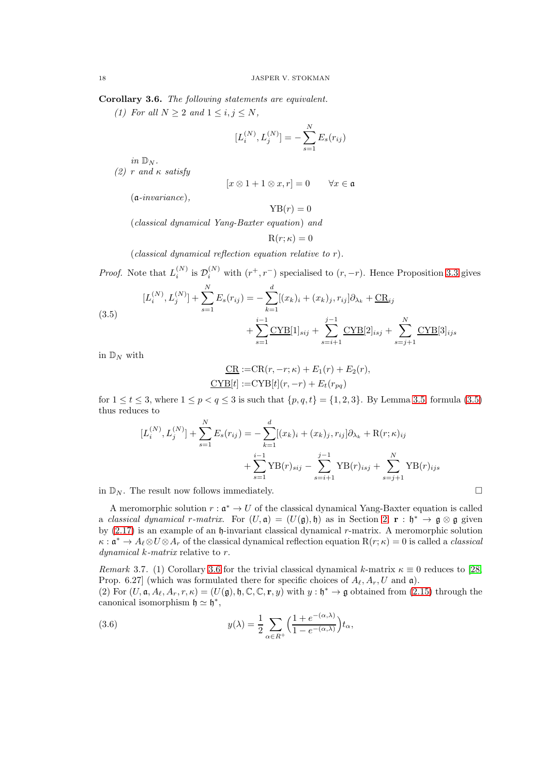<span id="page-17-1"></span>Corollary 3.6. The following statements are equivalent.

(1) For all  $N \geq 2$  and  $1 \leq i, j \leq N$ ,

$$
[L_i^{(N)}, L_j^{(N)}] = -\sum_{s=1}^N E_s(r_{ij})
$$

in  $\mathbb{D}_N$ .

(2) r and  $\kappa$  satisfy

$$
[x \otimes 1 + 1 \otimes x, r] = 0 \qquad \forall x \in \mathfrak{a}
$$

(a-invariance),

$$
YB(r) = 0
$$

(classical dynamical Yang-Baxter equation) and

$$
\mathrm{R}(r;\kappa)=0
$$

(classical dynamical reflection equation relative to  $r$ ).

*Proof.* Note that  $L_i^{(N)}$  is  $\mathcal{D}_i^{(N)}$  with  $(r^+, r^-)$  specialised to  $(r, -r)$ . Hence Proposition [3.3](#page-16-0) gives

<span id="page-17-0"></span>(3.5)  
\n
$$
[L_i^{(N)}, L_j^{(N)}] + \sum_{s=1}^N E_s(r_{ij}) = -\sum_{k=1}^d [(x_k)_i + (x_k)_j, r_{ij}] \partial_{\lambda_k} + \underline{CR}_{ij} + \sum_{s=i+1}^{i-1} \underline{CYB}[1]_{sij} + \sum_{s=i+1}^{j-1} \underline{CYB}[2]_{isj} + \sum_{s=j+1}^N \underline{CYB}[3]_{ijs}
$$

in  $\mathbb{D}_N$  with

$$
\underline{\text{CR}} := \text{CR}(r, -r; \kappa) + E_1(r) + E_2(r),
$$
  

$$
\underline{\text{CYB}}[t] := \text{CYB}[t](r, -r) + E_t(r_{pq})
$$

for  $1 \le t \le 3$ , where  $1 \le p < q \le 3$  is such that  $\{p,q,t\} = \{1,2,3\}$ . By Lemma [3.5,](#page-16-1) formula [\(3.5\)](#page-17-0) thus reduces to

$$
[L_i^{(N)}, L_j^{(N)}] + \sum_{s=1}^N E_s(r_{ij}) = -\sum_{k=1}^d [(x_k)_i + (x_k)_j, r_{ij}] \partial_{\lambda_k} + R(r; \kappa)_{ij} + \sum_{s=1}^{i-1} YB(r)_{sij} - \sum_{s=i+1}^{j-1} YB(r)_{isj} + \sum_{s=j+1}^N YB(r)_{ijs}
$$

in  $\mathbb{D}_N$ . The result now follows immediately.

A meromorphic solution  $r : \mathfrak{a}^* \to U$  of the classical dynamical Yang-Baxter equation is called a classical dynamical r-matrix. For  $(U, \mathfrak{a}) = (U(\mathfrak{g}), \mathfrak{h})$  as in Section [2,](#page-2-0)  $\mathbf{r} : \mathfrak{h}^* \to \mathfrak{g} \otimes \mathfrak{g}$  given by  $(2.17)$  is an example of an  $\mathfrak h$ -invariant classical dynamical r-matrix. A meromorphic solution  $\kappa: \mathfrak{a}^* \to A_{\ell} \otimes U \otimes A_r$  of the classical dynamical reflection equation  $R(r;\kappa) = 0$  is called a *classical* dynamical k-matrix relative to r.

Remark 3.7. (1) Corollary [3.6](#page-17-1) for the trivial classical dynamical k-matrix  $\kappa \equiv 0$  reduces to [\[28,](#page-35-0) Prop. 6.27] (which was formulated there for specific choices of  $A_{\ell}, A_{r}, U$  and  $\mathfrak{a}$ ).

(2) For  $(U, \mathfrak{a}, A_{\ell}, A_r, r, \kappa) = (U(\mathfrak{g}), \mathfrak{h}, \mathbb{C}, \mathbb{C}, \mathbf{r}, y)$  with  $y : \mathfrak{h}^* \to \mathfrak{g}$  obtained from [\(2.15\)](#page-6-2) through the canonical isomorphism  $\mathfrak{h} \simeq \mathfrak{h}^*$ ,

(3.6) 
$$
y(\lambda) = \frac{1}{2} \sum_{\alpha \in R^+} \left( \frac{1 + e^{-(\alpha, \lambda)}}{1 - e^{-(\alpha, \lambda)}} \right) t_\alpha,
$$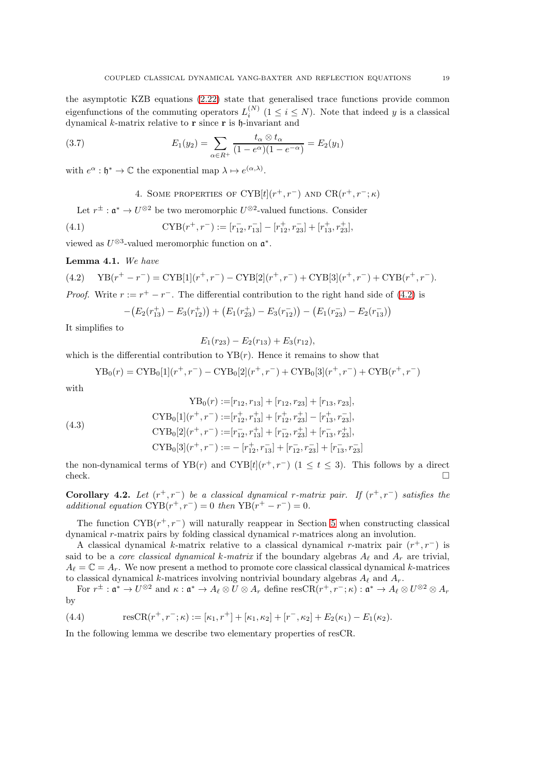the asymptotic KZB equations [\(2.22\)](#page-8-2) state that generalised trace functions provide common eigenfunctions of the commuting operators  $L_i^{(N)}$   $(1 \le i \le N)$ . Note that indeed y is a classical dynamical  $k$ -matrix relative to  $\bf{r}$  since  $\bf{r}$  is  $\bf{h}$ -invariant and

(3.7) 
$$
E_1(y_2) = \sum_{\alpha \in R^+} \frac{t_\alpha \otimes t_\alpha}{(1 - e^{\alpha})(1 - e^{-\alpha})} = E_2(y_1)
$$

<span id="page-18-0"></span>with  $e^{\alpha} : \mathfrak{h}^* \to \mathbb{C}$  the exponential map  $\lambda \mapsto e^{(\alpha,\lambda)}$ .

<span id="page-18-4"></span>4. SOME PROPERTIES OF 
$$
CYB[t](r^+, r^-)
$$
 and  $CR(r^+, r^-; \kappa)$ 

Let  $r^{\pm}$ :  $\mathfrak{a}^* \to U^{\otimes 2}$  be two meromorphic  $U^{\otimes 2}$ -valued functions. Consider

(4.1) 
$$
\text{CYB}(r^+, r^-) := [r_{12}^-, r_{13}^-] - [r_{12}^+, r_{23}^-] + [r_{13}^+, r_{23}^+],
$$

viewed as  $U^{\otimes 3}$ -valued meromorphic function on  $\mathfrak{a}^*$ .

Lemma 4.1. We have

<span id="page-18-1"></span>(4.2) 
$$
YB(r^+ - r^-) = CYB[1](r^+, r^-) - CYB[2](r^+, r^-) + CYB[3](r^+, r^-) + CYB(r^+, r^-).
$$
 *Proof.* Write  $r := r^+ - r^-$ . The differential contribution to the right hand side of (4.2) is

$$
-\big(E_2(r_{13}^+) - E_3(r_{12}^+)\big) + \big(E_1(r_{23}^+) - E_3(r_{12}^-)\big) - \big(E_1(r_{23}^-) - E_2(r_{13}^-)\big)
$$

It simplifies to

$$
E_1(r_{23}) - E_2(r_{13}) + E_3(r_{12}),
$$

which is the differential contribution to  $YB(r)$ . Hence it remains to show that

$$
YB_0(r) = CYB_0[1](r^+, r^-) - CYB_0[2](r^+, r^-) + CYB_0[3](r^+, r^-) + CYB(r^+, r^-)
$$

with

<span id="page-18-2"></span>(4.3)  
\n
$$
YB_{0}(r) := [r_{12}, r_{13}] + [r_{12}, r_{23}] + [r_{13}, r_{23}],
$$
\n
$$
CYB_{0}[1](r^{+}, r^{-}) := [r_{12}^{+}, r_{13}^{+}] + [r_{12}^{+}, r_{23}^{+}] - [r_{13}^{+}, r_{23}^{-}],
$$
\n
$$
CYB_{0}[2](r^{+}, r^{-}) := [r_{12}^{-}, r_{13}^{+}] + [r_{12}^{-}, r_{23}^{+}] + [r_{13}^{-}, r_{23}^{+}],
$$
\n
$$
CYB_{0}[3](r^{+}, r^{-}) := - [r_{12}^{+}, r_{13}^{-}] + [r_{12}^{-}, r_{23}^{-}] + [r_{13}^{-}, r_{23}^{-}]
$$

the non-dynamical terms of YB(r) and CYB[t]( $r^+, r^-$ ) ( $1 \le t \le 3$ ). This follows by a direct  $check.$ 

<span id="page-18-3"></span>**Corollary 4.2.** Let  $(r^+, r^-)$  be a classical dynamical r-matrix pair. If  $(r^+, r^-)$  satisfies the additional equation  $\text{CYB}(r^+, r^-) = 0$  then  $\text{YB}(r^+ - r^-) = 0$ .

The function  $CYB(r^+, r^-)$  will naturally reappear in Section [5](#page-19-0) when constructing classical dynamical r-matrix pairs by folding classical dynamical r-matrices along an involution.

A classical dynamical k-matrix relative to a classical dynamical r-matrix pair  $(r^+, r^-)$  is said to be a *core classical dynamical k-matrix* if the boundary algebras  $A_{\ell}$  and  $A_{r}$  are trivial,  $A_{\ell} = \mathbb{C} = A_r$ . We now present a method to promote core classical classical dynamical k-matrices to classical dynamical k-matrices involving nontrivial boundary algebras  $A_{\ell}$  and  $A_{r}$ .

For  $r^{\pm} : \mathfrak{a}^* \to U^{\otimes 2}$  and  $\kappa : \mathfrak{a}^* \to A_{\ell} \otimes U \otimes A_r$  define  $\operatorname{resCR}(r^+, r^-; \kappa) : \mathfrak{a}^* \to A_{\ell} \otimes U^{\otimes 2} \otimes A_r$ by

(4.4) 
$$
\text{resCR}(r^+, r^-; \kappa) := [\kappa_1, r^+] + [\kappa_1, \kappa_2] + [r^-, \kappa_2] + E_2(\kappa_1) - E_1(\kappa_2).
$$

In the following lemma we describe two elementary properties of resCR.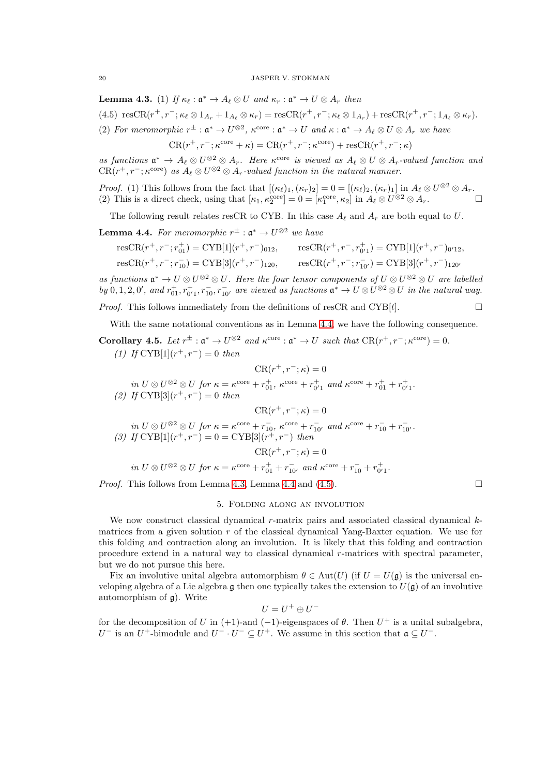<span id="page-19-2"></span>**Lemma 4.3.** (1) If  $\kappa_{\ell} : \mathfrak{a}^* \to A_{\ell} \otimes U$  and  $\kappa_r : \mathfrak{a}^* \to U \otimes A_r$  then

<span id="page-19-3"></span>(4.5)  $resCR(r^+, r^-; \kappa_\ell \otimes 1_{A_r} + 1_{A_\ell} \otimes \kappa_r) = resCR(r^+, r^-; \kappa_\ell \otimes 1_{A_r}) + resCR(r^+, r^-; 1_{A_\ell} \otimes \kappa_r).$ 

(2) For meromorphic  $r^{\pm} : \mathfrak{a}^* \to U^{\otimes 2}$ ,  $\kappa^{\text{core}} : \mathfrak{a}^* \to U$  and  $\kappa : \mathfrak{a}^* \to A_{\ell} \otimes U \otimes A_r$  we have

 $CR(r^+, r^-; \kappa^{\text{core}} + \kappa) = CR(r^+, r^-; \kappa^{\text{core}}) + \text{res}CR(r^+, r^-; \kappa)$ 

as functions  $\mathfrak{a}^* \to A_{\ell} \otimes U^{\otimes 2} \otimes A_r$ . Here  $\kappa^{\text{core}}$  is viewed as  $A_{\ell} \otimes U \otimes A_r$ -valued function and  $CR(r^+, r^-; \kappa^{\text{core}})$  as  $A_{\ell} \otimes U^{\otimes 2} \otimes A_{r}$ -valued function in the natural manner.

*Proof.* (1) This follows from the fact that  $[(\kappa_{\ell})_1, (\kappa_r)_2] = 0 = [(\kappa_{\ell})_2, (\kappa_r)_1]$  in  $A_{\ell} \otimes U^{\otimes 2} \otimes A_r$ . (2) This is a direct check, using that  $[\kappa_1, \kappa_2^{\text{core}}] = 0 = [\kappa_1^{\text{core}}, \kappa_2]$  in  $A_\ell \otimes U^{\otimes 2} \otimes A_r$ .

The following result relates resCR to CYB. In this case  $A_{\ell}$  and  $A_r$  are both equal to U.

<span id="page-19-1"></span>**Lemma 4.4.** For meromorphic  $r^{\pm}$  :  $\mathfrak{a}^* \to U^{\otimes 2}$  we have

$$
\begin{aligned}\n\text{resCR}(r^+, r^-, r_{01}^+) &= \text{CYB}[1](r^+, r^-)_{012}, & \text{resCR}(r^+, r^-, r_{0'1}^+) &= \text{CYB}[1](r^+, r^-)_{0'12}, \\
\text{resCR}(r^+, r^-, r_{10}^-) &= \text{CYB}[3](r^+, r^-)_{120}, & \text{resCR}(r^+, r^-, r_{10'}^-) &= \text{CYB}[3](r^+, r^-)_{120'}\n\end{aligned}
$$

as functions  $\mathfrak{a}^* \to U \otimes U^{\otimes 2} \otimes U$ . Here the four tensor components of  $U \otimes U^{\otimes 2} \otimes U$  are labelled by  $0, 1, 2, 0'$ , and  $r_{01}^+, r_{01}^-, r_{10}^-, r_{10'}^-$  are viewed as functions  $\mathfrak{a}^* \to U \otimes U^{\otimes 2} \otimes U$  in the natural way.

*Proof.* This follows immediately from the definitions of resCR and CYB[t].  $\square$ 

With the same notational conventions as in Lemma [4.4,](#page-19-1) we have the following consequence.

<span id="page-19-4"></span>**Corollary 4.5.** Let  $r^{\pm}$  :  $\mathfrak{a}^* \to U^{\otimes 2}$  and  $\kappa^{\text{core}}$  :  $\mathfrak{a}^* \to U$  such that  $CR(r^+, r^-; \kappa^{\text{core}}) = 0$ . (1) If  $\text{CYB}[1](r^+, r^-) = 0$  then

$$
CR(r^+, r^-; \kappa) = 0
$$

in  $U \otimes U^{\otimes 2} \otimes U$  for  $\kappa = \kappa^{\text{core}} + r_{01}^+, \ \kappa^{\text{core}} + r_{0'1}^+$  and  $\kappa^{\text{core}} + r_{01}^+ + r_{0'1}^+$ .

(2) If  $\text{CYB}[3](r^+, r^-) = 0$  then

$$
CR(r^+, r^-; \kappa) = 0
$$

in  $U \otimes U^{\otimes 2} \otimes U$  for  $\kappa = \kappa^{\text{core}} + r_{10}^-$ ,  $\kappa^{\text{core}} + r_{10'}^-$  and  $\kappa^{\text{core}} + r_{10}^- + r_{10'}^-$ . (3) If  $\text{CYB}[1](r^+, r^-) = 0 = \text{CYB}[3](r^+, r^-)$  then  $CR(r^+, r^-; \kappa) = 0$ 

$$
\text{in } U \otimes U^{\otimes 2} \otimes U \text{ for } \kappa = \kappa^{\text{core}} + r_{01}^+ + r_{10'}^- \text{ and } \kappa^{\text{core}} + r_{10}^- + r_{0'1}^+.
$$

<span id="page-19-0"></span>*Proof.* This follows from Lemma [4.3,](#page-19-2) Lemma [4.4](#page-19-1) and [\(4.5\)](#page-19-3).  $\Box$ 

## 5. Folding along an involution

We now construct classical dynamical  $r$ -matrix pairs and associated classical dynamical  $k$ matrices from a given solution  $r$  of the classical dynamical Yang-Baxter equation. We use for this folding and contraction along an involution. It is likely that this folding and contraction procedure extend in a natural way to classical dynamical r-matrices with spectral parameter, but we do not pursue this here.

Fix an involutive unital algebra automorphism  $\theta \in Aut(U)$  (if  $U = U(\mathfrak{g})$ ) is the universal enveloping algebra of a Lie algebra g then one typically takes the extension to  $U(\mathfrak{g})$  of an involutive automorphism of  $\mathfrak{g}$ ). Write

$$
U=U^+\oplus U^-
$$

for the decomposition of U in (+1)-and (-1)-eigenspaces of  $\theta$ . Then  $U^+$  is a unital subalgebra, U<sup>-</sup> is an U<sup>+</sup>-bimodule and U<sup>-</sup> · U<sup>-</sup>  $\subseteq U^+$ . We assume in this section that  $\mathfrak{a} \subseteq U^-$ .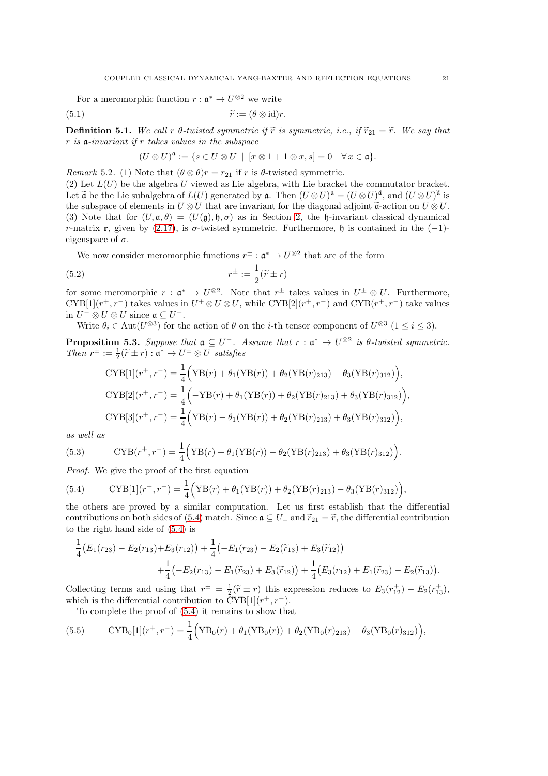For a meromorphic function  $r: \mathfrak{a}^* \to U^{\otimes 2}$  we write

(5.1) 
$$
\widetilde{r} := (\theta \otimes id)r.
$$

**Definition 5.1.** We call r  $\theta$ -twisted symmetric if  $\tilde{r}$  is symmetric, i.e., if  $\tilde{r}_{21} = \tilde{r}$ . We say that  $r$  is a-invariant if  $r$  takes values in the subspace

$$
(U \otimes U)^{\mathfrak{a}} := \{ s \in U \otimes U \mid [x \otimes 1 + 1 \otimes x, s] = 0 \quad \forall x \in \mathfrak{a} \}.
$$

<span id="page-20-3"></span>Remark 5.2. (1) Note that  $(\theta \otimes \theta)r = r_{21}$  if r is  $\theta$ -twisted symmetric.

(2) Let  $L(U)$  be the algebra U viewed as Lie algebra, with Lie bracket the commutator bracket. Let  $\tilde{\mathfrak{a}}$  be the Lie subalgebra of  $L(U)$  generated by  $\mathfrak{a}$ . Then  $(U \otimes U)^{\mathfrak{a}} = (U \otimes U)^{\tilde{\mathfrak{a}}}$ , and  $(U \otimes U)^{\tilde{\mathfrak{a}}}$  is the subspace of elements in  $U \otimes U$  that are invariant for the diagonal adjoint  $\tilde{a}$ -action on  $U \otimes U$ . (3) Note that for  $(U, \mathfrak{a}, \theta) = (U(\mathfrak{g}), \mathfrak{h}, \sigma)$  as in Section [2,](#page-2-0) the h-invariant classical dynamical r-matrix r, given by [\(2.17\)](#page-7-0), is  $\sigma$ -twisted symmetric. Furthermore, h is contained in the (-1)eigenspace of  $\sigma$ .

We now consider meromorphic functions  $r^{\pm}$ :  $\mathfrak{a}^* \to U^{\otimes 2}$  that are of the form

(5.2) 
$$
r^{\pm} := \frac{1}{2}(\widetilde{r} \pm r)
$$

for some meromorphic  $r : \mathfrak{a}^* \to U^{\otimes 2}$ . Note that  $r^{\pm}$  takes values in  $U^{\pm} \otimes U$ . Furthermore, CYB[1]( $r^+, r^-$ ) takes values in  $U^+ \otimes U \otimes U$ , while CYB[2]( $r^+, r^-$ ) and CYB( $r^+, r^-$ ) take values in  $U^- \otimes U \otimes U$  since  $\mathfrak{a} \subseteq U^-$ .

Write  $\theta_i \in \text{Aut}(U^{\otimes 3})$  for the action of  $\theta$  on the *i*-th tensor component of  $U^{\otimes 3}$   $(1 \leq i \leq 3)$ .

<span id="page-20-2"></span>**Proposition 5.3.** Suppose that  $\mathfrak{a} \subseteq U^-$ . Assume that  $r : \mathfrak{a}^* \to U^{\otimes 2}$  is  $\theta$ -twisted symmetric. Then  $r^{\pm} := \frac{1}{2}(\widetilde{r} \pm r) : \mathfrak{a}^* \to U^{\pm} \otimes U$  satisfies

$$
CYB[1](r^+,r^-) = \frac{1}{4} \Big( YB(r) + \theta_1 (YB(r)) + \theta_2 (YB(r)_{213}) - \theta_3 (YB(r)_{312}) \Big),
$$
  
\n
$$
CYB[2](r^+,r^-) = \frac{1}{4} \Big( -YB(r) + \theta_1 (YB(r)) + \theta_2 (YB(r)_{213}) + \theta_3 (YB(r)_{312}) \Big),
$$
  
\n
$$
CYB[3](r^+,r^-) = \frac{1}{4} \Big( YB(r) - \theta_1 (YB(r)) + \theta_2 (YB(r)_{213}) + \theta_3 (YB(r)_{312}) \Big),
$$

as well as

(5.3) 
$$
CYB(r^+, r^-) = \frac{1}{4} (YB(r) + \theta_1 (YB(r)) - \theta_2 (YB(r)_{213}) + \theta_3 (YB(r)_{312}))
$$

Proof. We give the proof of the first equation

<span id="page-20-0"></span>(5.4) 
$$
CYB[1](r^+, r^-) = \frac{1}{4} \Big( YB(r) + \theta_1 (YB(r)) + \theta_2 (YB(r)_{213}) - \theta_3 (YB(r)_{312}) \Big),
$$

the others are proved by a similar computation. Let us first establish that the differential contributions on both sides of [\(5.4\)](#page-20-0) match. Since  $\mathfrak{a} \subseteq U_-$  and  $\widetilde{r}_{21} = \widetilde{r}$ , the differential contribution to the right hand side of [\(5.4\)](#page-20-0) is

$$
\frac{1}{4}\big(E_1(r_{23})-E_2(r_{13})+E_3(r_{12})\big)+\frac{1}{4}\big(-E_1(r_{23})-E_2(\tilde{r}_{13})+E_3(\tilde{r}_{12})\big)\\+\frac{1}{4}\big(-E_2(r_{13})-E_1(\tilde{r}_{23})+E_3(\tilde{r}_{12})\big)+\frac{1}{4}\big(E_3(r_{12})+E_1(\tilde{r}_{23})-E_2(\tilde{r}_{13})\big).
$$

Collecting terms and using that  $r^{\pm} = \frac{1}{2}(\tilde{r} \pm r)$  this expression reduces to  $E_3(r_{12}^+) - E_2(r_{13}^+),$ which is the differential contribution to  $\text{CYB}[1](r^+, r^-)$ .

<span id="page-20-1"></span>To complete the proof of [\(5.4\)](#page-20-0) it remains to show that

(5.5) 
$$
\text{CYB}_0[1](r^+, r^-) = \frac{1}{4} \Big( \text{YB}_0(r) + \theta_1 (\text{YB}_0(r)) + \theta_2 (\text{YB}_0(r)_{213}) - \theta_3 (\text{YB}_0(r)_{312}) \Big),
$$

.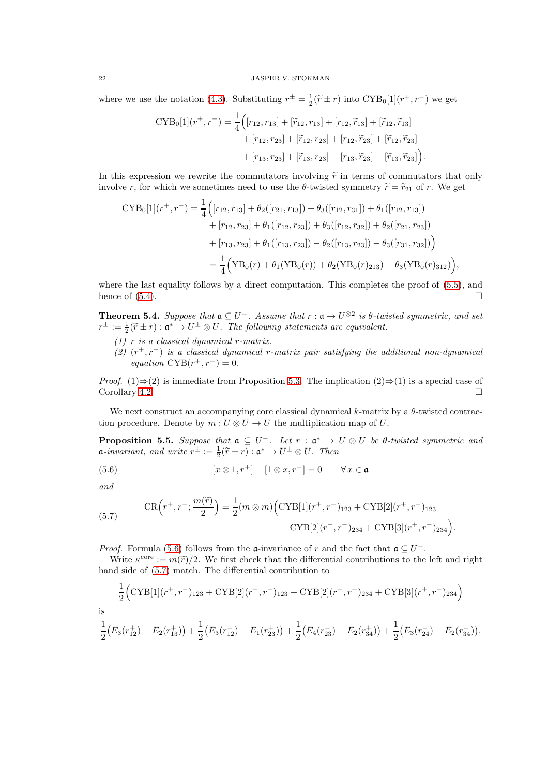where we use the notation [\(4.3\)](#page-18-2). Substituting  $r^{\pm} = \frac{1}{2}(\tilde{r} \pm r)$  into  $\text{CYB}_0[1](r^+, r^-)$  we get

$$
CYB0[1](r+,r-) = \frac{1}{4} ([r12,r13] + [r12,r13] + [r12,r13] + [r12,r13] + [r12,r23] + [r12,r23] + [r12,r23] + [r12,r23] + [r13,r23] + [r13,r23] - [r13,r23] - [r13,r23].
$$

In this expression we rewrite the commutators involving  $\tilde{r}$  in terms of commutators that only involve r, for which we sometimes need to use the  $\theta$ -twisted symmetry  $\tilde{r} = \tilde{r}_{21}$  of r. We get

$$
CYB_0[1](r^+, r^-) = \frac{1}{4} \Big( [r_{12}, r_{13}] + \theta_2([r_{21}, r_{13}]) + \theta_3([r_{12}, r_{31}]) + \theta_1([r_{12}, r_{13}])
$$
  
+  $[r_{12}, r_{23}] + \theta_1([r_{12}, r_{23}]) + \theta_3([r_{12}, r_{32}]) + \theta_2([r_{21}, r_{23}])$   
+  $[r_{13}, r_{23}] + \theta_1([r_{13}, r_{23}]) - \theta_2([r_{13}, r_{23}]) - \theta_3([r_{31}, r_{32}]) \Big)$   
=  $\frac{1}{4} \Big( YB_0(r) + \theta_1(YB_0(r)) + \theta_2(YB_0(r)_{213}) - \theta_3(YB_0(r)_{312}) \Big),$ 

where the last equality follows by a direct computation. This completes the proof of  $(5.5)$ , and hence of  $(5.4)$ .

<span id="page-21-2"></span>**Theorem 5.4.** Suppose that  $\mathfrak{a} \subseteq U^-$ . Assume that  $r : \mathfrak{a} \to U^{\otimes 2}$  is  $\theta$ -twisted symmetric, and set  $r^{\pm} := \frac{1}{2}(\widetilde{r} \pm r) : \mathfrak{a}^* \to U^{\pm} \otimes U$ . The following statements are equivalent.

- $(1)$  r is a classical dynamical r-matrix.
- (2)  $(r^+, r^-)$  is a classical dynamical r-matrix pair satisfying the additional non-dynamical equation  $\text{CYB}(r^+, r^-) = 0.$

*Proof.* (1)⇒(2) is immediate from Proposition [5.3.](#page-20-2) The implication (2)⇒(1) is a special case of  $\Box$   $\Box$ 

We next construct an accompanying core classical dynamical k-matrix by a  $\theta$ -twisted contraction procedure. Denote by  $m: U \otimes U \to U$  the multiplication map of U.

<span id="page-21-3"></span>**Proposition 5.5.** Suppose that  $a \subseteq U^-$ . Let  $r : a^* \to U \otimes U$  be  $\theta$ -twisted symmetric and  $\mathfrak{a}\text{-}invariant, and write r^{\pm} := \frac{1}{2}(\widetilde{r} \pm r) : \mathfrak{a}^* \to U^{\pm} \otimes U.$  Then

<span id="page-21-0"></span>(5.6) 
$$
[x \otimes 1, r^+] - [1 \otimes x, r^-] = 0 \qquad \forall x \in \mathfrak{a}
$$

and

<span id="page-21-1"></span>(5.7) 
$$
\operatorname{CR}\left(r^{+}, r^{-}; \frac{m(\widetilde{r})}{2}\right) = \frac{1}{2}(m \otimes m)\Big(\operatorname{CYB}[1](r^{+}, r^{-})_{123} + \operatorname{CYB}[2](r^{+}, r^{-})_{123} + \operatorname{CYB}[3](r^{+}, r^{-})_{234}\Big).
$$

*Proof.* Formula [\(5.6\)](#page-21-0) follows from the  $\mathfrak{a}$ -invariance of r and the fact that  $\mathfrak{a} \subseteq U^-$ .

Write  $\kappa^{\text{core}} := m(\tilde{r})/2$ . We first check that the differential contributions to the left and right hand side of [\(5.7\)](#page-21-1) match. The differential contribution to

$$
\frac{1}{2} \Big( \text{CYB}[1](r^+, r^-)_{123} + \text{CYB}[2](r^+, r^-)_{123} + \text{CYB}[2](r^+, r^-)_{234} + \text{CYB}[3](r^+, r^-)_{234} \Big)
$$

is

$$
\frac{1}{2}\big(E_3(r_{12}^+) - E_2(r_{13}^+)\big) + \frac{1}{2}\big(E_3(r_{12}^-) - E_1(r_{23}^+)\big) + \frac{1}{2}\big(E_4(r_{23}^-) - E_2(r_{34}^+)\big) + \frac{1}{2}\big(E_3(r_{24}^-) - E_2(r_{34}^-)\big).
$$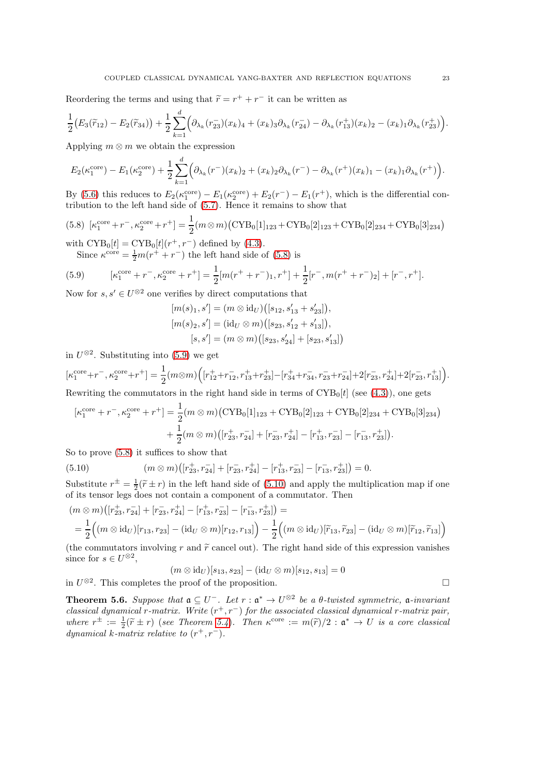Reordering the terms and using that  $\widetilde{r} = r^+ + r^-$  it can be written as

$$
\frac{1}{2}\big(E_3(\widetilde{r}_{12})-E_2(\widetilde{r}_{34})\big)+\frac{1}{2}\sum_{k=1}^d\Big(\partial_{\lambda_k}(r_{23}^-)(x_k)_4+(x_k)_3\partial_{\lambda_k}(r_{24}^-)-\partial_{\lambda_k}(r_{13}^+)(x_k)_2-(x_k)_1\partial_{\lambda_k}(r_{23}^+)\Big).
$$

Applying  $m \otimes m$  we obtain the expression

$$
E_2(\kappa_1^{\text{core}}) - E_1(\kappa_2^{\text{core}}) + \frac{1}{2} \sum_{k=1}^d \Big( \partial_{\lambda_k}(r^-)(x_k)_2 + (x_k)_2 \partial_{\lambda_k}(r^-) - \partial_{\lambda_k}(r^+)(x_k)_1 - (x_k)_1 \partial_{\lambda_k}(r^+) \Big).
$$

By [\(5.6\)](#page-21-0) this reduces to  $E_2(\kappa_1^{\text{core}}) - E_1(\kappa_2^{\text{core}}) + E_2(r^-) - E_1(r^+),$  which is the differential contribution to the left hand side of [\(5.7\)](#page-21-1). Hence it remains to show that

<span id="page-22-0"></span>
$$
(5.8) \ [\kappa_1^{\text{core}} + r^-, \kappa_2^{\text{core}} + r^+] = \frac{1}{2} (m \otimes m) (\text{CYB}_0[1]_{123} + \text{CYB}_0[2]_{123} + \text{CYB}_0[2]_{234} + \text{CYB}_0[3]_{234})
$$
  
with 
$$
\text{CYB}_0[t] = \text{CYB}_0[t](r^+, r^-)
$$
 defined by (4.3).

Since  $\kappa^{\text{core}} = \frac{1}{2}m(r^+ + r^-)$  the left hand side of [\(5.8\)](#page-22-0) is

<span id="page-22-1"></span>(5.9) 
$$
[\kappa_1^{\text{core}} + r^-, \kappa_2^{\text{core}} + r^+] = \frac{1}{2} [m(r^+ + r^-)_1, r^+] + \frac{1}{2} [r^-, m(r^+ + r^-)_2] + [r^-, r^+].
$$

Now for  $s, s' \in U^{\otimes 2}$  one verifies by direct computations that

$$
[m(s)_1, s'] = (m \otimes id_U) ([s_{12}, s'_{13} + s'_{23}]),
$$
  
\n
$$
[m(s)_2, s'] = (id_U \otimes m) ([s_{23}, s'_{12} + s'_{13}]),
$$
  
\n
$$
[s, s'] = (m \otimes m) ([s_{23}, s'_{24}] + [s_{23}, s'_{13}])
$$

in  $U^{\otimes 2}$ . Substituting into [\(5.9\)](#page-22-1) we get

$$
[\kappa_1^{\text{core}} + r^-, \kappa_2^{\text{core}} + r^+] = \frac{1}{2} (m \otimes m) \Big( [r_{12}^+ + r_{12}^-, r_{13}^+ + r_{23}^+] - [r_{34}^+ + r_{34}^-, r_{23}^- + r_{24}^-] + 2[r_{23}^-, r_{24}^+] + 2[r_{23}^-, r_{13}^+] \Big).
$$
  
Rewriting the commutators in the right hand side in terms of CYB<sub>0</sub>[t] (see (4.3)), one gets

 $[\kappa_1^{\text{core}} + r^-, \kappa_2^{\text{core}} + r^+] = \frac{1}{2} (m \otimes m) (\text{CYB}_0[1]_{123} + \text{CYB}_0[2]_{123} + \text{CYB}_0[2]_{234} + \text{CYB}_0[3]_{234})$  $+\frac{1}{2}$  $\frac{1}{2}(m \otimes m)([r_{23}^+, r_{24}^-] + [r_{23}^-, r_{24}^+] - [r_{13}^+, r_{23}^-] - [r_{13}^-, r_{23}^+]).$ 

So to prove [\(5.8\)](#page-22-0) it suffices to show that

<span id="page-22-2"></span>(5.10) 
$$
(m \otimes m) ([r_{23}^+, r_{24}^-] + [r_{23}^-, r_{24}^+] - [r_{13}^+, r_{23}^-] - [r_{13}^-, r_{23}^+]) = 0.
$$

Substitute  $r^{\pm} = \frac{1}{2}(\tilde{r} \pm r)$  in the left hand side of [\(5.10\)](#page-22-2) and apply the multiplication map if one of its tensor legs does not contain a component of a commutator. Then

$$
(m \otimes m) ([r_{23}^+, r_{24}^-] + [r_{23}^-, r_{24}^+] - [r_{13}^+, r_{23}^-] - [r_{13}^-, r_{23}^+]) =
$$
  
=  $\frac{1}{2} ((m \otimes id_U)[r_{13}, r_{23}] - (id_U \otimes m)[r_{12}, r_{13}]) - \frac{1}{2} ((m \otimes id_U)[\tilde{r}_{13}, \tilde{r}_{23}] - (id_U \otimes m)[\tilde{r}_{12}, \tilde{r}_{13}])$ 

(the commutators involving r and  $\tilde{r}$  cancel out). The right hand side of this expression vanishes since for  $s \in U^{\otimes 2}$ ,

$$
(m \otimes id_{U})[s_{13}, s_{23}] - (id_{U} \otimes m)[s_{12}, s_{13}] = 0
$$

in  $U^{\otimes 2}$ . This completes the proof of the proposition.

<span id="page-22-3"></span>**Theorem 5.6.** Suppose that  $a \subseteq U^-$ . Let  $r : a^* \to U^{\otimes 2}$  be a  $\theta$ -twisted symmetric, a-invariant classical dynamical r-matrix. Write  $(r^+, r^-)$  for the associated classical dynamical r-matrix pair, where  $r^{\pm} := \frac{1}{2}(\widetilde{r} \pm r)$  (see Theorem [5.4](#page-21-2)). Then  $\kappa^{\text{core}} := m(\widetilde{r})/2 : \mathfrak{a}^* \to U$  is a core classical dynamical k-matrix relative to  $(r^+, r^-)$ .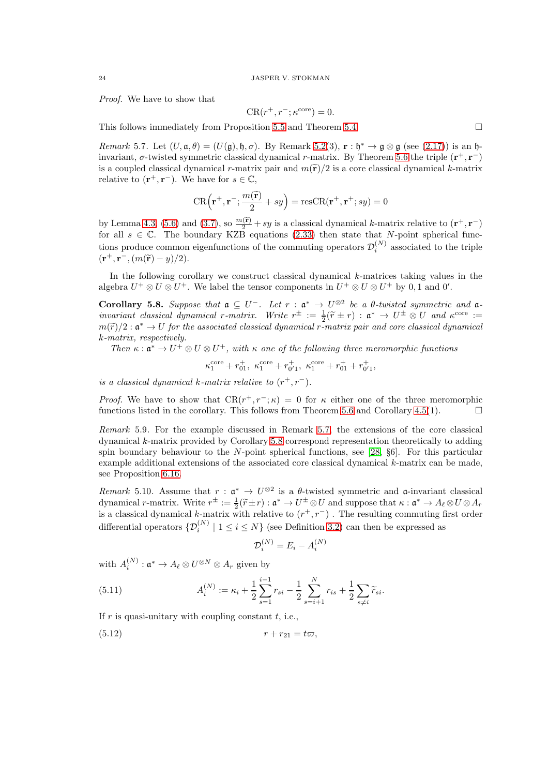Proof. We have to show that

$$
CR(r^+, r^-; \kappa^{\text{core}}) = 0.
$$

This follows immediately from Proposition [5.5](#page-21-3) and Theorem [5.4.](#page-21-2)

<span id="page-23-0"></span>Remark 5.7. Let  $(U, \mathfrak{a}, \theta) = (U(\mathfrak{g}), \mathfrak{h}, \sigma)$ . By Remark [5.2\(](#page-20-3)3),  $\mathbf{r} : \mathfrak{h}^* \to \mathfrak{g} \otimes \mathfrak{g}$  (see [\(2.17\)](#page-7-0)) is an  $\mathfrak{h}$ invariant,  $\sigma$ -twisted symmetric classical dynamical r-matrix. By Theorem [5.6](#page-22-3) the triple  $(\mathbf{r}^+, \mathbf{r}^-)$ is a coupled classical dynamical r-matrix pair and  $m(\tilde{r})/2$  is a core classical dynamical k-matrix relative to  $(\mathbf{r}^+, \mathbf{r}^-)$ . We have for  $s \in \mathbb{C}$ ,

$$
CR\left(\mathbf{r}^+,\mathbf{r}^-;\frac{m(\widetilde{\mathbf{r}})}{2}+sy\right)=\text{resCR}(\mathbf{r}^+,\mathbf{r}^+;sy)=0
$$

by Lemma [4.3,](#page-19-2) [\(5.6\)](#page-21-0) and [\(3.7\)](#page-18-4), so  $\frac{m(\tilde{\mathbf{r}})}{2} + sy$  is a classical dynamical k-matrix relative to  $(\mathbf{r}^+, \mathbf{r}^-)$ for all  $s \in \mathbb{C}$ . The boundary KZB equations [\(2.33\)](#page-11-3) then state that N-point spherical functions produce common eigenfunctions of the commuting operators  $\mathcal{D}_i^{(N)}$  associated to the triple  $(\mathbf{r}^+, \mathbf{r}^-, (m(\tilde{\mathbf{r}}) - y)/2).$ 

In the following corollary we construct classical dynamical k-matrices taking values in the algebra  $U^+ \otimes U \otimes U^+$ . We label the tensor components in  $U^+ \otimes U \otimes U^+$  by 0, 1 and 0'.

<span id="page-23-1"></span>Corollary 5.8. Suppose that  $\mathfrak{a} \subseteq U^-$ . Let  $r : \mathfrak{a}^* \to U^{\otimes 2}$  be a  $\theta$ -twisted symmetric and  $\mathfrak{a}$ invariant classical dynamical r-matrix. Write  $r^{\pm} := \frac{1}{2}(\tilde{r} \pm r) : \mathfrak{a}^* \to U^{\pm} \otimes U$  and  $\kappa^{\text{core}} :=$  $m(\widetilde{r})/2 : \mathfrak{a}^* \to U$  for the associated classical dynamical r-matrix pair and core classical dynamical k-matrix, respectively.

Then  $\kappa : \mathfrak{a}^* \to U^+ \otimes U \otimes U^+$ , with  $\kappa$  one of the following three meromorphic functions

 $\kappa_1^{\text{core}} + r_{01}^+, \ \kappa_1^{\text{core}} + r_{0'1}^+, \ \kappa_1^{\text{core}} + r_{01}^+ + r_{0'1}^+,$ 

is a classical dynamical k-matrix relative to  $(r^+, r^-)$ .

*Proof.* We have to show that  $CR(r^+, r^-; \kappa) = 0$  for  $\kappa$  either one of the three meromorphic functions listed in the corollary. This follows from Theorem [5.6](#page-22-3) and Corollary [4.5\(](#page-19-4)1).  $\Box$ 

Remark 5.9. For the example discussed in Remark [5.7,](#page-23-0) the extensions of the core classical dynamical k-matrix provided by Corollary [5.8](#page-23-1) correspond representation theoretically to adding spin boundary behaviour to the N-point spherical functions, see [\[28,](#page-35-0) §6]. For this particular example additional extensions of the associated core classical dynamical  $k$ -matrix can be made. see Proposition [6.16.](#page-31-0)

<span id="page-23-2"></span>Remark 5.10. Assume that  $r : \mathfrak{a}^* \to U^{\otimes 2}$  is a  $\theta$ -twisted symmetric and  $\mathfrak{a}$ -invariant classical dynamical r-matrix. Write  $r^{\pm} := \frac{1}{2}(\widetilde{r} \pm r) : \mathfrak{a}^* \to U^{\pm} \otimes U$  and suppose that  $\kappa : \mathfrak{a}^* \to A_{\ell} \otimes U \otimes A_r$ is a classical dynamical k-matrix with relative to  $(r^+, r^-)$ . The resulting commuting first order differential operators  $\{\mathcal{D}_{i}^{(N)} \mid 1 \leq i \leq N\}$  (see Definition [3.2\)](#page-15-3) can then be expressed as

$$
\mathcal{D}_i^{(N)} = E_i - A_i^{(N)}
$$

with  $A_i^{(N)}$  $i_i^{(N)}: \mathfrak{a}^* \to A_{\ell} \otimes U^{\otimes N} \otimes A_r$  given by

(5.11) 
$$
A_i^{(N)} := \kappa_i + \frac{1}{2} \sum_{s=1}^{i-1} r_{si} - \frac{1}{2} \sum_{s=i+1}^{N} r_{is} + \frac{1}{2} \sum_{s \neq i} \widetilde{r}_{si}.
$$

If  $r$  is quasi-unitary with coupling constant  $t$ , i.e.,

$$
(5.12) \t\t\t r+r_{21}=t\varpi,
$$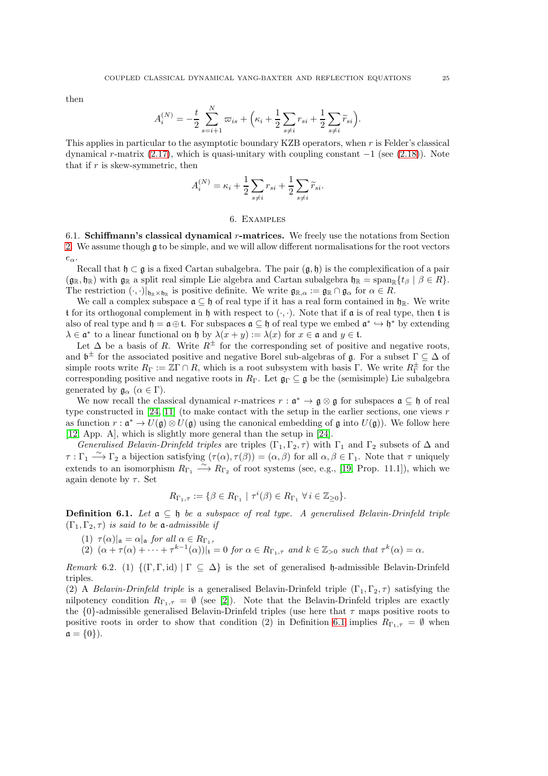then

$$
A_i^{(N)} = -\frac{t}{2} \sum_{s=i+1}^N \varpi_{is} + \left(\kappa_i + \frac{1}{2} \sum_{s \neq i} r_{si} + \frac{1}{2} \sum_{s \neq i} \widetilde{r}_{si}\right).
$$

This applies in particular to the asymptotic boundary KZB operators, when r is Felder's classical dynamical r-matrix  $(2.17)$ , which is quasi-unitary with coupling constant  $-1$  (see  $(2.18)$ ). Note that if  $r$  is skew-symmetric, then

$$
A_i^{(N)} = \kappa_i + \frac{1}{2}\sum_{s\neq i} r_{si} + \frac{1}{2}\sum_{s\neq i} \widetilde{r}_{si}.
$$

## 6. Examples

<span id="page-24-0"></span>6.1. Schiffmann's classical dynamical  $r$ -matrices. We freely use the notations from Section [2.](#page-2-0) We assume though g to be simple, and we will allow different normalisations for the root vectors  $e_{\alpha}$ .

Recall that  $\mathfrak{h} \subset \mathfrak{g}$  is a fixed Cartan subalgebra. The pair  $(\mathfrak{g}, \mathfrak{h})$  is the complexification of a pair  $(\mathfrak{g}_\mathbb{R}, \mathfrak{h}_\mathbb{R})$  with  $\mathfrak{g}_\mathbb{R}$  a split real simple Lie algebra and Cartan subalgebra  $\mathfrak{h}_\mathbb{R} = \text{span}_\mathbb{R} \{ t_\beta \mid \beta \in R \}$ . The restriction  $(\cdot, \cdot)|_{\mathfrak{h}_{\mathbb{R}} \times \mathfrak{h}_{\mathbb{R}}}$  is positive definite. We write  $\mathfrak{g}_{\mathbb{R}, \alpha} := \mathfrak{g}_{\mathbb{R}} \cap \mathfrak{g}_{\alpha}$  for  $\alpha \in R$ .

We call a complex subspace  $\mathfrak{a} \subseteq \mathfrak{h}$  of real type if it has a real form contained in  $\mathfrak{h}_{\mathbb{R}}$ . We write t for its orthogonal complement in h with respect to  $(\cdot, \cdot)$ . Note that if a is of real type, then t is also of real type and  $\mathfrak{h} = \mathfrak{a} \oplus \mathfrak{t}$ . For subspaces  $\mathfrak{a} \subseteq \mathfrak{h}$  of real type we embed  $\mathfrak{a}^* \hookrightarrow \mathfrak{h}^*$  by extending  $\lambda \in \mathfrak{a}^*$  to a linear functional on h by  $\lambda(x+y) := \lambda(x)$  for  $x \in \mathfrak{a}$  and  $y \in \mathfrak{t}$ .

Let  $\Delta$  be a basis of R. Write  $R^{\pm}$  for the corresponding set of positive and negative roots, and  $\mathfrak{b}^{\pm}$  for the associated positive and negative Borel sub-algebras of  $\mathfrak{g}$ . For a subset  $\Gamma \subseteq \Delta$  of simple roots write  $R_{\Gamma} := \mathbb{Z}\Gamma \cap R$ , which is a root subsystem with basis  $\Gamma$ . We write  $R_{\Gamma}^{\pm}$  for the corresponding positive and negative roots in  $R_{\Gamma}$ . Let  $\mathfrak{g}_{\Gamma} \subseteq \mathfrak{g}$  be the (semisimple) Lie subalgebra generated by  $\mathfrak{g}_{\alpha}$  ( $\alpha \in \Gamma$ ).

We now recall the classical dynamical r-matrices  $r : \mathfrak{a}^* \to \mathfrak{g} \otimes \mathfrak{g}$  for subspaces  $\mathfrak{a} \subseteq \mathfrak{h}$  of real type constructed in [\[24,](#page-34-4) [11\]](#page-34-3) (to make contact with the setup in the earlier sections, one views r as function  $r : \mathfrak{a}^* \to U(\mathfrak{g}) \otimes U(\mathfrak{g})$  using the canonical embedding of  $\mathfrak{g}$  into  $U(\mathfrak{g})$ ). We follow here [\[12,](#page-34-25) App. A], which is slightly more general than the setup in [\[24\]](#page-34-4).

Generalised Belavin-Drinfeld triples are triples  $(\Gamma_1, \Gamma_2, \tau)$  with  $\Gamma_1$  and  $\Gamma_2$  subsets of  $\Delta$  and  $\tau : \Gamma_1 \longrightarrow \Gamma_2$  a bijection satisfying  $(\tau(\alpha), \tau(\beta)) = (\alpha, \beta)$  for all  $\alpha, \beta \in \Gamma_1$ . Note that  $\tau$  uniquely extends to an isomorphism  $R_{\Gamma_1} \stackrel{\sim}{\longrightarrow} R_{\Gamma_2}$  of root systems (see, e.g., [\[19,](#page-34-10) Prop. 11.1]), which we again denote by  $\tau$ . Set

$$
R_{\Gamma_1,\tau} := \{ \beta \in R_{\Gamma_1} \mid \tau^i(\beta) \in R_{\Gamma_1} \,\,\forall \, i \in \mathbb{Z}_{\geq 0} \}.
$$

<span id="page-24-1"></span>**Definition 6.1.** Let  $a \subseteq b$  be a subspace of real type. A generalised Belavin-Drinfeld triple  $(\Gamma_1, \Gamma_2, \tau)$  is said to be **a**-admissible if

(1)  $\tau(\alpha)|_{\mathfrak{a}} = \alpha|_{\mathfrak{a}}$  for all  $\alpha \in R_{\Gamma_1}$ ,

(2)  $(\alpha + \tau(\alpha) + \cdots + \tau^{k-1}(\alpha))|_{\mathfrak{t}} = 0$  for  $\alpha \in R_{\Gamma_1, \tau}$  and  $k \in \mathbb{Z}_{>0}$  such that  $\tau^k(\alpha) = \alpha$ .

Remark 6.2. (1)  $\{(\Gamma, \Gamma, id) | \Gamma \subseteq \Delta\}$  is the set of generalised h-admissible Belavin-Drinfeld triples.

(2) A Belavin-Drinfeld triple is a generalised Belavin-Drinfeld triple  $(\Gamma_1, \Gamma_2, \tau)$  satisfying the nilpotency condition  $R_{\Gamma_1,\tau} = \emptyset$  (see [\[2\]](#page-34-21)). Note that the Belavin-Drinfeld triples are exactly the  ${0}$ -admissible generalised Belavin-Drinfeld triples (use here that  $\tau$  maps positive roots to positive roots in order to show that condition (2) in Definition [6.1](#page-24-1) implies  $R_{\Gamma_1,\tau} = \emptyset$  when  $a = \{0\}$ ).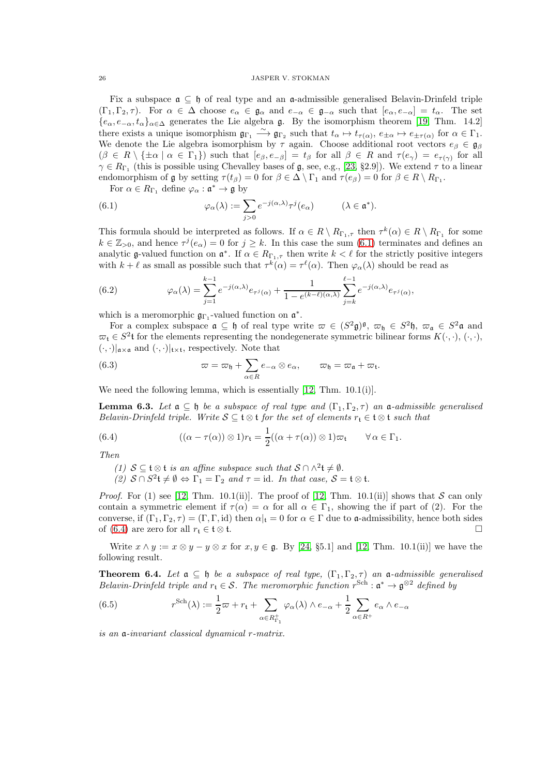Fix a subspace  $\mathfrak{a} \subseteq \mathfrak{h}$  of real type and an  $\mathfrak{a}$ -admissible generalised Belavin-Drinfeld triple  $(\Gamma_1, \Gamma_2, \tau)$ . For  $\alpha \in \Delta$  choose  $e_\alpha \in \mathfrak{g}_\alpha$  and  $e_{-\alpha} \in \mathfrak{g}_{-\alpha}$  such that  $[e_\alpha, e_{-\alpha}] = t_\alpha$ . The set  ${e_{\alpha}, e_{-\alpha}, t_{\alpha}}_{\alpha \in \Delta}$  generates the Lie algebra g. By the isomorphism theorem [\[19,](#page-34-10) Thm. 14.2] there exists a unique isomorphism  $\mathfrak{g}_{\Gamma_1} \stackrel{\sim}{\longrightarrow} \mathfrak{g}_{\Gamma_2}$  such that  $t_\alpha \mapsto t_{\tau(\alpha)}, e_{\pm \alpha} \mapsto e_{\pm \tau(\alpha)}$  for  $\alpha \in \Gamma_1$ . We denote the Lie algebra isomorphism by  $\tau$  again. Choose additional root vectors  $e_{\beta} \in \mathfrak{g}_{\beta}$  $(\beta \in R \setminus \{\pm \alpha \mid \alpha \in \Gamma_1\})$  such that  $[e_\beta, e_{-\beta}] = t_\beta$  for all  $\beta \in R$  and  $\tau(e_\gamma) = e_{\tau(\gamma)}$  for all  $\gamma \in R_{\Gamma_1}$  (this is possible using Chevalley bases of  $\mathfrak{g}$ , see, e.g., [\[23,](#page-34-26) §2.9]). We extend  $\tau$  to a linear endomorphism of  $\mathfrak g$  by setting  $\tau(t_\beta) = 0$  for  $\beta \in \Delta \setminus \Gamma_1$  and  $\tau(e_\beta) = 0$  for  $\beta \in R \setminus R_{\Gamma_1}$ .

<span id="page-25-0"></span>For  $\alpha \in R_{\Gamma_1}$  define  $\varphi_\alpha : \mathfrak{a}^* \to \mathfrak{g}$  by

(6.1) 
$$
\varphi_{\alpha}(\lambda) := \sum_{j>0} e^{-j(\alpha,\lambda)} \tau^{j}(e_{\alpha}) \qquad (\lambda \in \mathfrak{a}^{*}).
$$

This formula should be interpreted as follows. If  $\alpha \in R \setminus R_{\Gamma_1,\tau}$  then  $\tau^k(\alpha) \in R \setminus R_{\Gamma_1}$  for some  $k \in \mathbb{Z}_{>0}$ , and hence  $\tau^{j}(e_{\alpha})=0$  for  $j \geq k$ . In this case the sum [\(6.1\)](#page-25-0) terminates and defines an analytic g-valued function on  $\mathfrak{a}^*$ . If  $\alpha \in R_{\Gamma_1,\tau}$  then write  $k < \ell$  for the strictly positive integers with  $k + \ell$  as small as possible such that  $\tau^k(\alpha) = \tau^{\ell}(\alpha)$ . Then  $\varphi_{\alpha}(\lambda)$  should be read as

<span id="page-25-3"></span>(6.2) 
$$
\varphi_{\alpha}(\lambda) = \sum_{j=1}^{k-1} e^{-j(\alpha,\lambda)} e_{\tau^j(\alpha)} + \frac{1}{1 - e^{(k-\ell)(\alpha,\lambda)}} \sum_{j=k}^{\ell-1} e^{-j(\alpha,\lambda)} e_{\tau^j(\alpha)},
$$

which is a meromorphic  $\mathfrak{g}_{\Gamma_1}$ -valued function on  $\mathfrak{a}^*$ .

For a complex subspace  $\mathfrak{a} \subseteq \mathfrak{h}$  of real type write  $\varpi \in (S^2\mathfrak{g})^{\mathfrak{g}}, \ \varpi_{\mathfrak{h}} \in S^2\mathfrak{h}, \ \varpi_{\mathfrak{a}} \in S^2\mathfrak{a}$  and  $\overline{\omega}_t \in S^2$ t for the elements representing the nondegenerate symmetric bilinear forms  $K(\cdot, \cdot)$ ,  $(\cdot, \cdot)$ ,  $(\cdot,\cdot)|_{\mathfrak{a}\times\mathfrak{a}}$  and  $(\cdot,\cdot)|_{\mathfrak{t}\times\mathfrak{t}}$ , respectively. Note that

(6.3) 
$$
\varpi = \varpi_{\mathfrak{h}} + \sum_{\alpha \in R} e_{-\alpha} \otimes e_{\alpha}, \qquad \varpi_{\mathfrak{h}} = \varpi_{\mathfrak{a}} + \varpi_{\mathfrak{t}}.
$$

We need the following lemma, which is essentially [\[12,](#page-34-25) Thm. 10.1(i)].

<span id="page-25-4"></span>**Lemma 6.3.** Let  $a \subseteq b$  be a subspace of real type and  $(\Gamma_1, \Gamma_2, \tau)$  an  $a$ -admissible generalised Belavin-Drinfeld triple. Write  $S \subseteq \mathfrak{t} \otimes \mathfrak{t}$  for the set of elements  $r_{\mathfrak{t}} \in \mathfrak{t} \otimes \mathfrak{t}$  such that

(6.4) 
$$
((\alpha - \tau(\alpha)) \otimes 1)r_{t} = \frac{1}{2}((\alpha + \tau(\alpha)) \otimes 1)\varpi_{t} \qquad \forall \alpha \in \Gamma_{1}.
$$

Then

- <span id="page-25-1"></span>(1)  $S \subseteq \mathfrak{t} \otimes \mathfrak{t}$  is an affine subspace such that  $S \cap \wedge^2 \mathfrak{t} \neq \emptyset$ .
- (2)  $S \cap S^2 \mathfrak{t} \neq \emptyset \Leftrightarrow \Gamma_1 = \Gamma_2$  and  $\tau = \text{id}$ . In that case,  $S = \mathfrak{t} \otimes \mathfrak{t}$ .

*Proof.* For (1) see [\[12,](#page-34-25) Thm. 10.1(ii)]. The proof of [12, Thm. 10.1(ii)] shows that S can only contain a symmetric element if  $\tau(\alpha) = \alpha$  for all  $\alpha \in \Gamma_1$ , showing the if part of (2). For the converse, if  $(\Gamma_1, \Gamma_2, \tau) = (\Gamma, \Gamma, id)$  then  $\alpha|_t = 0$  for  $\alpha \in \Gamma$  due to a-admissibility, hence both sides of [\(6.4\)](#page-25-1) are zero for all  $r_t \in \mathfrak{t} \otimes \mathfrak{t}$ .  $\Box$ 

Write  $x \wedge y := x \otimes y - y \otimes x$  for  $x, y \in \mathfrak{g}$ . By [\[24,](#page-34-4) §5.1] and [\[12,](#page-34-25) Thm. 10.1(ii)] we have the following result.

**Theorem 6.4.** Let  $a \subseteq b$  be a subspace of real type,  $(\Gamma_1, \Gamma_2, \tau)$  an  $a$ -admissible generalised Belavin-Drinfeld triple and  $r_t \in S$ . The meromorphic function  $r^{Sch} : \mathfrak{a}^* \to \mathfrak{g}^{\otimes 2}$  defined by

<span id="page-25-2"></span>(6.5) 
$$
r^{\text{Sch}}(\lambda) := \frac{1}{2}\varpi + r_{\mathfrak{t}} + \sum_{\alpha \in R_{\Gamma_1}^+} \varphi_\alpha(\lambda) \wedge e_{-\alpha} + \frac{1}{2} \sum_{\alpha \in R^+} e_\alpha \wedge e_{-\alpha}
$$

is an a-invariant classical dynamical r-matrix.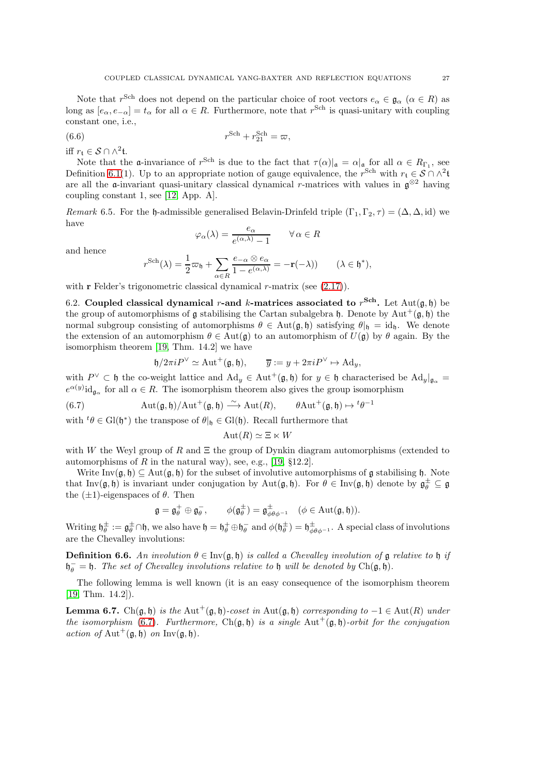Note that  $r^{\text{Sch}}$  does not depend on the particular choice of root vectors  $e_{\alpha} \in \mathfrak{g}_{\alpha}$  ( $\alpha \in R$ ) as long as  $[e_\alpha, e_{-\alpha}] = t_\alpha$  for all  $\alpha \in R$ . Furthermore, note that  $r^{\text{Sch}}$  is quasi-unitary with coupling constant one, i.e.,

$$
(6.6) \t\t\t r^{Sch} + r_{21}^{Sch} = \varpi,
$$

iff  $r_{\mathfrak{t}} \in \mathcal{S} \cap \wedge^2 {\mathfrak{t}}.$ 

Note that the **a**-invariance of  $r^{Sch}$  is due to the fact that  $\tau(\alpha)|_{\mathfrak{a}} = \alpha|_{\mathfrak{a}}$  for all  $\alpha \in R_{\Gamma_1}$ , see Definition [6.1\(](#page-24-1)1). Up to an appropriate notion of gauge equivalence, the r<sup>Sch</sup> with  $r_t \in S \cap \Lambda^2$ are all the  $\mathfrak{a}$ -invariant quasi-unitary classical dynamical r-matrices with values in  $\mathfrak{g}^{\otimes 2}$  having coupling constant 1, see [\[12,](#page-34-25) App. A].

<span id="page-26-1"></span>Remark 6.5. For the h-admissible generalised Belavin-Drinfeld triple  $(\Gamma_1, \Gamma_2, \tau) = (\Delta, \Delta, id)$  we have

$$
\varphi_{\alpha}(\lambda) = \frac{e_{\alpha}}{e^{(\alpha,\lambda)} - 1} \qquad \forall \alpha \in R
$$

and hence

$$
r^{\text{Sch}}(\lambda) = \frac{1}{2}\varpi_{\mathfrak{h}} + \sum_{\alpha \in R} \frac{e_{-\alpha} \otimes e_{\alpha}}{1 - e^{(\alpha, \lambda)}} = -\mathbf{r}(-\lambda)) \qquad (\lambda \in \mathfrak{h}^*),
$$

with  $\bf{r}$  Felder's trigonometric classical dynamical  $r$ -matrix (see  $(2.17)$ ).

6.2. Coupled classical dynamical r-and k-matrices associated to  $r^{Sch}$ . Let  $Aut(\mathfrak{g}, \mathfrak{h})$  be the group of automorphisms of g stabilising the Cartan subalgebra h. Denote by Aut<sup>+</sup>(g, h) the normal subgroup consisting of automorphisms  $\theta \in Aut(\mathfrak{g}, \mathfrak{h})$  satisfying  $\theta|_{\mathfrak{h}} = id_{\mathfrak{h}}$ . We denote the extension of an automorphism  $\theta \in Aut(\mathfrak{g})$  to an automorphism of  $U(\mathfrak{g})$  by  $\theta$  again. By the isomorphism theorem [\[19,](#page-34-10) Thm. 14.2] we have

<span id="page-26-0"></span>
$$
\mathfrak{h}/2\pi i P^{\vee} \simeq \text{Aut}^+(\mathfrak{g}, \mathfrak{h}), \qquad \overline{y} := y + 2\pi i P^{\vee} \mapsto \text{Ad}_y,
$$

with  $P^{\vee} \subset \mathfrak{h}$  the co-weight lattice and  $\text{Ad}_y \in \text{Aut}^+(\mathfrak{g},\mathfrak{h})$  for  $y \in \mathfrak{h}$  characterised be  $\text{Ad}_y|_{\mathfrak{g}_{\alpha}} =$  $e^{\alpha(y)}$ id<sub>gα</sub> for all  $\alpha \in R$ . The isomorphism theorem also gives the group isomorphism

(6.7) 
$$
\operatorname{Aut}(\mathfrak{g},\mathfrak{h})/\operatorname{Aut}^+(\mathfrak{g},\mathfrak{h}) \xrightarrow{\sim} \operatorname{Aut}(R), \qquad \theta \operatorname{Aut}^+(\mathfrak{g},\mathfrak{h}) \mapsto {}^t\theta^{-1}
$$

with  ${}^t\theta \in \text{Gl}(\mathfrak{h}^*)$  the transpose of  $\theta|_{\mathfrak{h}} \in \text{Gl}(\mathfrak{h})$ . Recall furthermore that

$$
Aut(R) \simeq \Xi \ltimes W
$$

with W the Weyl group of R and  $\Xi$  the group of Dynkin diagram automorphisms (extended to automorphisms of R in the natural way), see, e.g., [\[19,](#page-34-10)  $\S 12.2$ ].

Write Inv $(\mathfrak{g}, \mathfrak{h}) \subset \text{Aut}(\mathfrak{g}, \mathfrak{h})$  for the subset of involutive automorphisms of  $\mathfrak{g}$  stabilising  $\mathfrak{h}$ . Note that Inv $(\mathfrak{g}, \mathfrak{h})$  is invariant under conjugation by Aut $(\mathfrak{g}, \mathfrak{h})$ . For  $\theta \in \text{Inv}(\mathfrak{g}, \mathfrak{h})$  denote by  $\mathfrak{g}_{\theta}^{\pm} \subseteq \mathfrak{g}$ the  $(\pm 1)$ -eigenspaces of  $\theta$ . Then

$$
\mathfrak{g} = \mathfrak{g}^+_{\theta} \oplus \mathfrak{g}^-_{\theta}, \qquad \phi(\mathfrak{g}^{\pm}_{\theta}) = \mathfrak{g}^{\pm}_{\phi\theta\phi^{-1}} \quad (\phi \in \mathrm{Aut}(\mathfrak{g}, \mathfrak{h})).
$$

Writing  $\mathfrak{h}_{\theta}^{\pm} := \mathfrak{g}_{\theta}^{\pm} \cap \mathfrak{h}$ , we also have  $\mathfrak{h} = \mathfrak{h}_{\theta}^{\pm} \oplus \mathfrak{h}_{\theta}^{-}$  and  $\phi(\mathfrak{h}_{\theta}^{\pm}) = \mathfrak{h}_{\phi\theta\phi^{-1}}^{\pm}$ . A special class of involutions are the Chevalley involutions:

**Definition 6.6.** An involution  $\theta \in \text{Inv}(\mathfrak{g}, \mathfrak{h})$  is called a Chevalley involution of  $\mathfrak{g}$  relative to  $\mathfrak{h}$  if  $\mathfrak{h}_{\theta}^- = \mathfrak{h}$ . The set of Chevalley involutions relative to  $\mathfrak{h}$  will be denoted by Ch( $\mathfrak{g}, \mathfrak{h}$ ).

The following lemma is well known (it is an easy consequence of the isomorphism theorem [\[19,](#page-34-10) Thm. 14.2]).

<span id="page-26-2"></span>**Lemma 6.7.** Ch( $\mathfrak{g}, \mathfrak{h}$ ) is the Aut<sup>+</sup>( $\mathfrak{g}, \mathfrak{h}$ )-coset in Aut( $\mathfrak{g}, \mathfrak{h}$ ) corresponding to  $-1 \in \text{Aut}(R)$  under the isomorphism [\(6.7\)](#page-26-0). Furthermore,  $Ch(\mathfrak{g}, \mathfrak{h})$  is a single  $Aut^+(\mathfrak{g}, \mathfrak{h})$ -orbit for the conjugation action of Aut<sup>+</sup>( $\mathfrak{g}, \mathfrak{h}$ ) on Inv( $\mathfrak{g}, \mathfrak{h}$ ).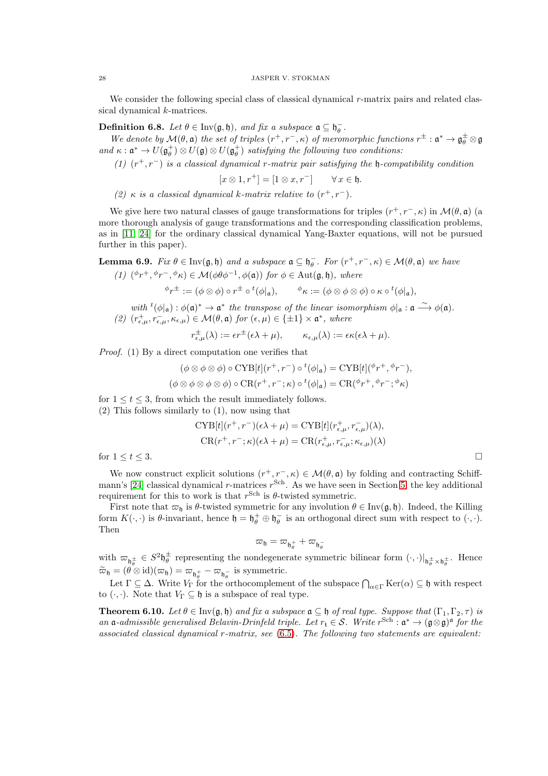We consider the following special class of classical dynamical r-matrix pairs and related classical dynamical k-matrices.

**Definition 6.8.** Let  $\theta \in Inv(\mathfrak{g}, \mathfrak{h})$ , and fix a subspace  $\mathfrak{a} \subseteq \mathfrak{h}_{\theta}^-$ .

We denote by  $\mathcal{M}(\theta, \mathfrak{a})$  the set of triples  $(r^+, r^-, \kappa)$  of meromorphic functions  $r^{\pm} : \mathfrak{a}^* \to \mathfrak{g}_{\theta}^{\pm} \otimes \mathfrak{g}$ and  $\kappa: \mathfrak{a}^* \to U(\mathfrak{g}_{\theta}^+) \otimes U(\mathfrak{g}) \otimes U(\mathfrak{g}_{\theta}^+)$  satisfying the following two conditions:

(1)  $(r^+, r^-)$  is a classical dynamical r-matrix pair satisfying the h-compatibility condition

 $[x \otimes 1, r^+] = [1 \otimes x, r^-] \quad \forall x \in \mathfrak{h}.$ 

(2)  $\kappa$  is a classical dynamical k-matrix relative to  $(r^+, r^-)$ .

We give here two natural classes of gauge transformations for triples  $(r^+, r^-, \kappa)$  in  $\mathcal{M}(\theta, \mathfrak{a})$  (a more thorough analysis of gauge transformations and the corresponding classification problems, as in [\[11,](#page-34-3) [24\]](#page-34-4) for the ordinary classical dynamical Yang-Baxter equations, will not be pursued further in this paper).

<span id="page-27-1"></span>**Lemma 6.9.** Fix  $\theta \in \text{Inv}(\mathfrak{g},\mathfrak{h})$  and a subspace  $\mathfrak{a} \subseteq \mathfrak{h}_{\theta}^-$ . For  $(r^+, r^-, \kappa) \in \mathcal{M}(\theta, \mathfrak{a})$  we have (1)  $({}^{\phi}r^+$ ,  ${}^{\phi}r^-$ ,  ${}^{\phi}\kappa$ )  $\in \mathcal{M}(\phi\theta\phi^{-1},\phi(\mathfrak{a}))$  for  $\phi \in \mathrm{Aut}(\mathfrak{g},\mathfrak{h})$ , where

$$
{}^{\phi}r^{\pm}:= (\phi \otimes \phi) \circ r^{\pm} \circ {}^t(\phi|_{\mathfrak{a}}), \qquad {}^{\phi}\kappa := (\phi \otimes \phi \otimes \phi) \circ \kappa \circ {}^t(\phi|_{\mathfrak{a}}),
$$

with  ${}^t{\phi}|_{\mathfrak{a}} : \phi(\mathfrak{a})^* \to \mathfrak{a}^*$  the transpose of the linear isomorphism  $\phi|_{\mathfrak{a}} : \mathfrak{a} \longrightarrow \phi(\mathfrak{a})$ . (2)  $(r_{\epsilon,\mu}^+, r_{\epsilon,\mu}^-, \kappa_{\epsilon,\mu}) \in \mathcal{M}(\theta, \mathfrak{a})$  for  $(\epsilon, \mu) \in {\pm 1} \times \mathfrak{a}^*,$  where

$$
r_{\epsilon,\mu}^{\pm}(\lambda) := \epsilon r^{\pm}(\epsilon \lambda + \mu), \qquad \kappa_{\epsilon,\mu}(\lambda) := \epsilon \kappa(\epsilon \lambda + \mu).
$$

Proof. (1) By a direct computation one verifies that

$$
(\phi \otimes \phi \otimes \phi) \circ \mathrm{CYB}[t](r^+, r^-) \circ {}^t(\phi|_{\mathfrak{a}}) = \mathrm{CYB}[t](\phi r^+, \phi r^-),
$$
  

$$
(\phi \otimes \phi \otimes \phi \otimes \phi) \circ \mathrm{CR}(r^+, r^-; \kappa) \circ {}^t(\phi|_{\mathfrak{a}}) = \mathrm{CR}(\phi r^+, \phi r^-; \phi \kappa)
$$

for  $1 \le t \le 3$ , from which the result immediately follows. (2) This follows similarly to  $(1)$ , now using that

(2) This follows similarly to 
$$
(1)
$$
, now using that

$$
\text{CYB}[t](r^+, r^-)(\epsilon \lambda + \mu) = \text{CYB}[t](r_{\epsilon,\mu}^+, r_{\epsilon,\mu}^-)(\lambda),
$$
  

$$
\text{CR}(r^+, r^-; \kappa)(\epsilon \lambda + \mu) = \text{CR}(r_{\epsilon,\mu}^+, r_{\epsilon,\mu}^-; \kappa_{\epsilon,\mu})(\lambda)
$$

for  $1 \le t \le 3$ .

We now construct explicit solutions  $(r^+, r^-, \kappa) \in \mathcal{M}(\theta, \mathfrak{a})$  by folding and contracting Schiff-mann's [\[24\]](#page-34-4) classical dynamical r-matrices  $r^{Sch}$ . As we have seen in Section [5,](#page-19-0) the key additional requirement for this to work is that  $r^{\text{Sch}}$  is  $\theta$ -twisted symmetric.

First note that  $\omega_{\mathfrak{h}}$  is  $\theta$ -twisted symmetric for any involution  $\theta \in Inv(\mathfrak{g}, \mathfrak{h})$ . Indeed, the Killing form  $K(\cdot, \cdot)$  is  $\theta$ -invariant, hence  $\mathfrak{h} = \mathfrak{h}_{\theta}^+ \oplus \mathfrak{h}_{\theta}^-$  is an orthogonal direct sum with respect to  $(\cdot, \cdot)$ . Then

$$
\varpi_{\mathfrak{h}}=\varpi_{\mathfrak{h}_{\theta}^+}+\varpi_{\mathfrak{h}_{\theta}^-}
$$

with  $\varpi_{\mathfrak{h}_{\theta}^{\pm}} \in S^2 \mathfrak{h}_{\theta}^{\pm}$  representing the nondegenerate symmetric bilinear form  $(\cdot, \cdot)|_{\mathfrak{h}_{\theta}^{\pm} \times \mathfrak{h}_{\theta}^{\pm}}$ . Hence  $\widetilde{\varpi}_{\mathfrak{h}} = (\theta \otimes id)(\varpi_{\mathfrak{h}}) = \varpi_{\mathfrak{h}_{\theta}^+} - \varpi_{\mathfrak{h}_{\theta}^-}$  is symmetric.

Let  $\Gamma \subseteq \Delta$ . Write  $V_{\Gamma}$  for the orthocomplement of the subspace  $\bigcap_{\alpha \in \Gamma} \text{Ker}(\alpha) \subseteq \mathfrak{h}$  with respect to  $(\cdot, \cdot)$ . Note that  $V_{\Gamma} \subseteq \mathfrak{h}$  is a subspace of real type.

<span id="page-27-0"></span>**Theorem 6.10.** Let  $\theta \in \text{Inv}(\mathfrak{g}, \mathfrak{h})$  and fix a subspace  $\mathfrak{a} \subseteq \mathfrak{h}$  of real type. Suppose that  $(\Gamma_1, \Gamma_2, \tau)$  is an  $\mathfrak{a}\text{-}admissible$  generalised Belavin-Drinfeld triple. Let  $r_{\mathfrak{t}} \in \mathcal{S}$ . Write  $r^{\text{Sch}} : \mathfrak{a}^* \to (\mathfrak{g} \otimes \mathfrak{g})^{\mathfrak{a}}$  for the associated classical dynamical r-matrix, see [\(6.5\)](#page-25-2). The following two statements are equivalent: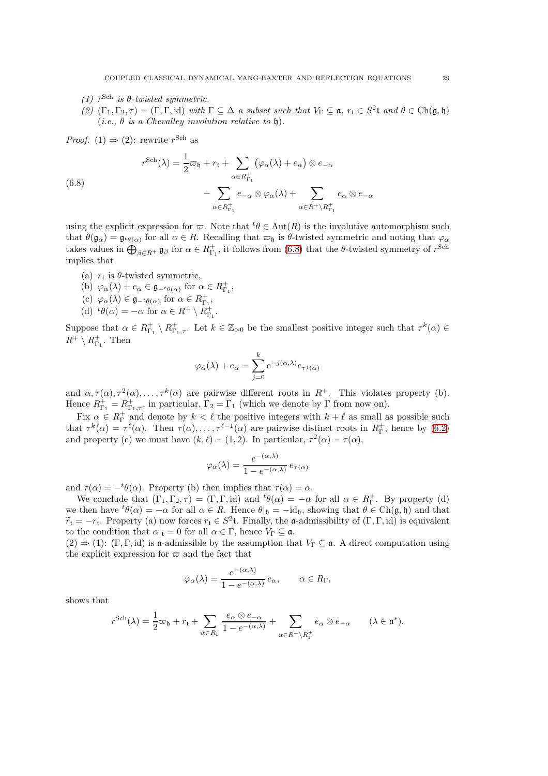- (1)  $r^{\text{Sch}}$  is  $\theta$ -twisted symmetric.
- (2)  $(\Gamma_1, \Gamma_2, \tau) = (\Gamma, \Gamma, id)$  with  $\Gamma \subseteq \Delta$  a subset such that  $V_{\Gamma} \subseteq \mathfrak{a}$ ,  $r_t \in S^2$ t and  $\theta \in Ch(\mathfrak{g}, \mathfrak{h})$ (*i.e.*,  $\theta$  *is a Chevalley involution relative to*  $\theta$ ).

*Proof.* (1)  $\Rightarrow$  (2): rewrite r<sup>Sch</sup> as

<span id="page-28-0"></span>(6.8)  

$$
r^{\text{Sch}}(\lambda) = \frac{1}{2}\varpi_{\mathfrak{h}} + r_{\mathfrak{t}} + \sum_{\alpha \in R_{\Gamma_1}^+} (\varphi_\alpha(\lambda) + e_\alpha) \otimes e_{-\alpha}
$$

$$
- \sum_{\alpha \in R_{\Gamma_1}^+} e_{-\alpha} \otimes \varphi_\alpha(\lambda) + \sum_{\alpha \in R^+ \backslash R_{\Gamma_1}^+} e_\alpha \otimes e_{-\alpha}
$$

using the explicit expression for  $\varpi$ . Note that  ${}^t\theta \in \text{Aut}(R)$  is the involutive automorphism such that  $\theta(\mathfrak{g}_{\alpha}) = \mathfrak{g}_{t\theta(\alpha)}$  for all  $\alpha \in R$ . Recalling that  $\varpi_{\mathfrak{h}}$  is  $\theta$ -twisted symmetric and noting that  $\varphi_{\alpha}$ takes values in  $\bigoplus_{\beta \in R^+} \mathfrak{g}_{\beta}$  for  $\alpha \in R^+_{\Gamma_1}$ , it follows from [\(6.8\)](#page-28-0) that the  $\theta$ -twisted symmetry of  $r^{\text{Sch}}$ implies that

- (a)  $r_t$  is  $\theta$ -twisted symmetric,
- (b)  $\varphi_{\alpha}(\lambda) + e_{\alpha} \in \mathfrak{g}_{-t\theta(\alpha)}$  for  $\alpha \in R_{\Gamma_1}^+$ ,
- (c)  $\varphi_{\alpha}(\lambda) \in \mathfrak{g}_{-t\theta(\alpha)}$  for  $\alpha \in R_{\Gamma_1}^+$ ,
- (d)  ${}^t\theta(\alpha) = -\alpha$  for  $\alpha \in R^+ \setminus R^+_{\Gamma_1}$ .

Suppose that  $\alpha \in R^+_{\Gamma_1} \setminus R^+_{\Gamma_1,\tau}$ . Let  $k \in \mathbb{Z}_{>0}$  be the smallest positive integer such that  $\tau^k(\alpha) \in$  $R^+ \setminus R^+_{\Gamma_1}$ . Then

$$
\varphi_{\alpha}(\lambda) + e_{\alpha} = \sum_{j=0}^{k} e^{-j(\alpha,\lambda)} e_{\tau^{j}(\alpha)}
$$

and  $\alpha, \tau(\alpha), \tau^2(\alpha), \ldots, \tau^k(\alpha)$  are pairwise different roots in  $R^+$ . This violates property (b). Hence  $R_{\Gamma_1}^+ = R_{\Gamma_1,\tau}^+$ , in particular,  $\Gamma_2 = \Gamma_1$  (which we denote by  $\Gamma$  from now on).

Fix  $\alpha \in R_{\Gamma}^+$  and denote by  $k < \ell$  the positive integers with  $k + \ell$  as small as possible such that  $\tau^k(\alpha) = \tau^{\ell}(\alpha)$ . Then  $\tau(\alpha), \ldots, \tau^{\ell-1}(\alpha)$  are pairwise distinct roots in  $R_{\Gamma}^+$ , hence by [\(6.2\)](#page-25-3) and property (c) we must have  $(k, \ell) = (1, 2)$ . In particular,  $\tau^2(\alpha) = \tau(\alpha)$ ,

$$
\varphi_{\alpha}(\lambda) = \frac{e^{-(\alpha,\lambda)}}{1 - e^{-(\alpha,\lambda)}} e_{\tau(\alpha)}
$$

and  $\tau(\alpha) = -t\theta(\alpha)$ . Property (b) then implies that  $\tau(\alpha) = \alpha$ .

We conclude that  $(\Gamma_1, \Gamma_2, \tau) = (\Gamma, \Gamma, id)$  and  ${}^t\theta(\alpha) = -\alpha$  for all  $\alpha \in R_{\Gamma}^{\pm}$ . By property (d) we then have  ${}^t\theta(\alpha) = -\alpha$  for all  $\alpha \in R$ . Hence  $\theta|_{\mathfrak{h}} = -id_{\mathfrak{h}}$ , showing that  $\theta \in Ch(\mathfrak{g}, \mathfrak{h})$  and that  $\widetilde{r}_t = -r_t$ . Property (a) now forces  $r_t \in S^2t$ . Finally, the a-admissibility of  $(\Gamma, \Gamma, id)$  is equivalent to the condition that  $\alpha|_t = 0$  for all  $\alpha \in \Gamma$ , hence  $V_\Gamma \subseteq \mathfrak{a}$ .

 $(2) \Rightarrow (1)$ :  $(\Gamma, \Gamma, id)$  is a-admissible by the assumption that  $V_{\Gamma} \subseteq \mathfrak{a}$ . A direct computation using the explicit expression for  $\varpi$  and the fact that

$$
\varphi_{\alpha}(\lambda) = \frac{e^{-(\alpha,\lambda)}}{1 - e^{-(\alpha,\lambda)}} e_{\alpha}, \qquad \alpha \in R_{\Gamma},
$$

shows that

$$
r^{\text{Sch}}(\lambda) = \frac{1}{2}\varpi_{\mathfrak{h}} + r_{\mathfrak{t}} + \sum_{\alpha \in R_{\Gamma}} \frac{e_{\alpha} \otimes e_{-\alpha}}{1 - e^{-(\alpha,\lambda)}} + \sum_{\alpha \in R^{+} \setminus R_{\Gamma}^{+}} e_{\alpha} \otimes e_{-\alpha} \qquad (\lambda \in \mathfrak{a}^{*}).
$$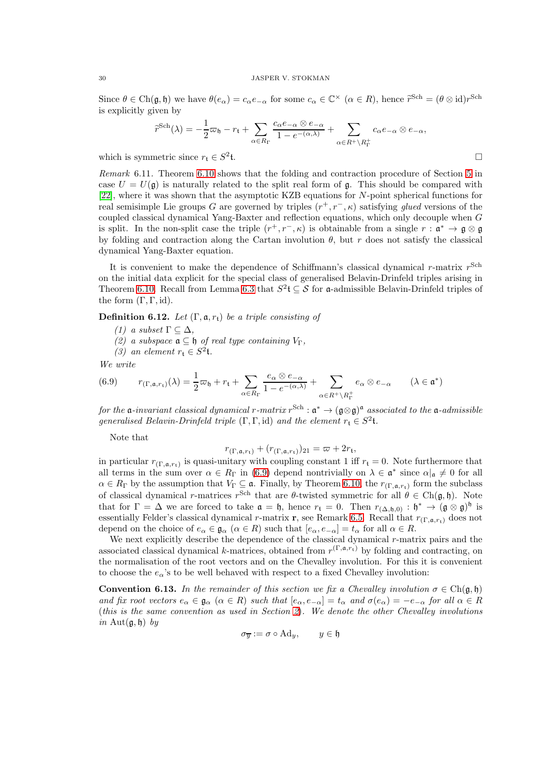Since  $\theta \in \text{Ch}(\mathfrak{g}, \mathfrak{h})$  we have  $\theta(e_{\alpha}) = c_{\alpha} e_{-\alpha}$  for some  $c_{\alpha} \in \mathbb{C}^{\times}$   $(\alpha \in R)$ , hence  $\tilde{r}^{\text{Sch}} = (\theta \otimes \text{id})r^{\text{Sch}}$ is explicitly given by

$$
\widetilde{r}^{\text{Sch}}(\lambda) = -\frac{1}{2}\varpi_{\mathfrak{h}} - r_{\mathfrak{t}} + \sum_{\alpha \in R_{\Gamma}} \frac{c_{\alpha}e_{-\alpha} \otimes e_{-\alpha}}{1 - e^{-(\alpha,\lambda)}} + \sum_{\alpha \in R^{+} \setminus R_{\Gamma}^{+}} c_{\alpha}e_{-\alpha} \otimes e_{-\alpha},
$$

which is symmetric since  $r_{\text{t}} \in S^2$ t.  $\Box$ 

Remark 6.11. Theorem [6.10](#page-27-0) shows that the folding and contraction procedure of Section [5](#page-19-0) in case  $U = U(\mathfrak{g})$  is naturally related to the split real form of  $\mathfrak{g}$ . This should be compared with [\[22\]](#page-34-5), where it was shown that the asymptotic KZB equations for N-point spherical functions for real semisimple Lie groups G are governed by triples  $(r^+, r^-, \kappa)$  satisfying glued versions of the coupled classical dynamical Yang-Baxter and reflection equations, which only decouple when  $G$ is split. In the non-split case the triple  $(r^+, r^-, \kappa)$  is obtainable from a single  $r : \mathfrak{a}^* \to \mathfrak{g} \otimes \mathfrak{g}$ by folding and contraction along the Cartan involution  $\theta$ , but r does not satisfy the classical dynamical Yang-Baxter equation.

It is convenient to make the dependence of Schiffmann's classical dynamical  $r$ -matrix  $r^{\text{Sch}}$ on the initial data explicit for the special class of generalised Belavin-Drinfeld triples arising in Theorem [6.10.](#page-27-0) Recall from Lemma [6.3](#page-25-4) that  $S^2 \mathfrak{t} \subseteq \mathcal{S}$  for a-admissible Belavin-Drinfeld triples of the form  $(\Gamma, \Gamma, id)$ .

<span id="page-29-0"></span>**Definition 6.12.** Let  $(\Gamma, \mathfrak{a}, r_t)$  be a triple consisting of

- (1) a subset  $\Gamma \subset \Delta$ ,
- (2) a subspace  $\mathfrak a ⊆ \mathfrak h$  of real type containing  $V_\Gamma,$
- <span id="page-29-1"></span>(3) an element  $r_{\mathfrak{t}} \in S^2{\mathfrak{t}}$ .

We write

(6.9) 
$$
r_{(\Gamma,\mathfrak{a},r_{\mathfrak{t}})}(\lambda) = \frac{1}{2}\varpi_{\mathfrak{h}} + r_{\mathfrak{t}} + \sum_{\alpha \in R_{\Gamma}} \frac{e_{\alpha} \otimes e_{-\alpha}}{1 - e^{-(\alpha,\lambda)}} + \sum_{\alpha \in R^{+} \setminus R_{\Gamma}^{+}} e_{\alpha} \otimes e_{-\alpha} \qquad (\lambda \in \mathfrak{a}^{*})
$$

for the  $\frak a$ -invariant classical dynamical r-matrix  $r^\text{Sch}:\frak a^*\to (\frak g\otimes \frak g)^{\frak a}$  associated to the  $\frak a$ -admissible generalised Belavin-Drinfeld triple  $(\Gamma, \Gamma, id)$  and the element  $r_t \in S^2$ t.

Note that

$$
r_{(\Gamma,\mathfrak{a},r_{\mathfrak{t}})} + (r_{(\Gamma,\mathfrak{a},r_{\mathfrak{t}})})_{21} = \varpi + 2r_{\mathfrak{t}},
$$

in particular  $r_{(\Gamma,\mathfrak{a},r_{\mathfrak{t}})}$  is quasi-unitary with coupling constant 1 iff  $r_{\mathfrak{t}} = 0$ . Note furthermore that all terms in the sum over  $\alpha \in R_{\Gamma}$  in [\(6.9\)](#page-29-1) depend nontrivially on  $\lambda \in \mathfrak{a}^*$  since  $\alpha|_{\mathfrak{a}} \neq 0$  for all  $\alpha \in R_{\Gamma}$  by the assumption that  $V_{\Gamma} \subseteq \mathfrak{a}$ . Finally, by Theorem [6.10,](#page-27-0) the  $r_{(\Gamma,\mathfrak{a},r_{\mathfrak{t}})}$  form the subclass of classical dynamical r-matrices r<sup>Sch</sup> that are  $\theta$ -twisted symmetric for all  $\theta \in Ch(\mathfrak{g}, \mathfrak{h})$ . Note that for  $\Gamma = \Delta$  we are forced to take  $\mathfrak{a} = \mathfrak{h}$ , hence  $r_{\mathfrak{t}} = 0$ . Then  $r_{(\Delta, \mathfrak{h},0)} : \mathfrak{h}^* \to (\mathfrak{g} \otimes \mathfrak{g})^{\mathfrak{h}}$  is essentially Felder's classical dynamical r-matrix r, see Remark [6.5.](#page-26-1) Recall that  $r_{(\Gamma,\mathfrak{a},r_t)}$  does not depend on the choice of  $e_{\alpha} \in \mathfrak{g}_{\alpha}$   $(\alpha \in R)$  such that  $[e_{\alpha}, e_{-\alpha}] = t_{\alpha}$  for all  $\alpha \in R$ .

We next explicitly describe the dependence of the classical dynamical r-matrix pairs and the associated classical dynamical k-matrices, obtained from  $r^{(\Gamma, \mathfrak{a}, r_t)}$  by folding and contracting, on the normalisation of the root vectors and on the Chevalley involution. For this it is convenient to choose the  $e_{\alpha}$ 's to be well behaved with respect to a fixed Chevalley involution:

**Convention 6.13.** In the remainder of this section we fix a Chevalley involution  $\sigma \in Ch(\mathfrak{g}, \mathfrak{h})$ and fix root vectors  $e_{\alpha} \in \mathfrak{g}_{\alpha}$   $(\alpha \in R)$  such that  $[e_{\alpha}, e_{-\alpha}] = t_{\alpha}$  and  $\sigma(e_{\alpha}) = -e_{-\alpha}$  for all  $\alpha \in R$ (this is the same convention as used in Section [2](#page-2-0)). We denote the other Chevalley involutions in Aut $(a, h)$  by

$$
\sigma_{\overline{y}} := \sigma \circ \mathrm{Ad}_y, \qquad y \in \mathfrak{h}
$$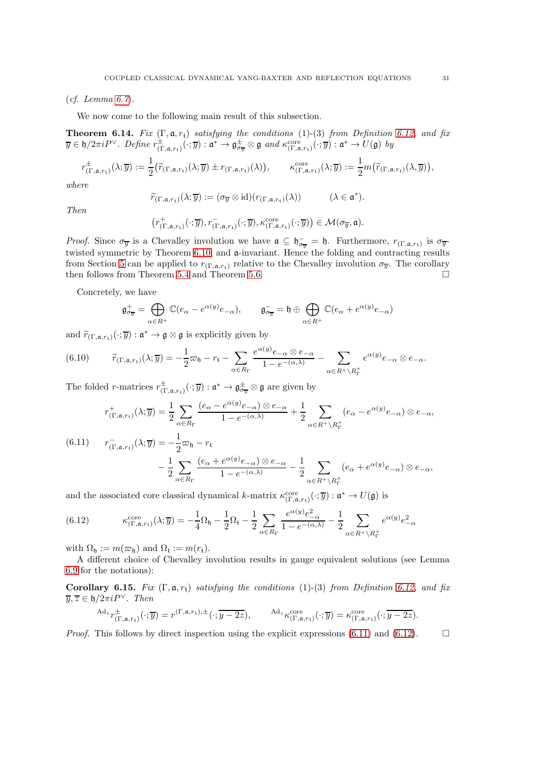$(cf. Lemma 6.7).$  $(cf. Lemma 6.7).$  $(cf. Lemma 6.7).$ 

We now come to the following main result of this subsection.

<span id="page-30-2"></span>**Theorem 6.14.** Fix  $(\Gamma, \mathfrak{a}, r_t)$  satisfying the conditions (1)-(3) from Definition [6.12,](#page-29-0) and fix  $\overline{y} \in \mathfrak{h}/2\pi i P^\vee$ . Define  $r_{(\Gamma,\mathfrak{a},r_{\mathfrak{t}})}^{\pm}(\cdot;\overline{y}) : \mathfrak{a}^* \to \mathfrak{g}^{\pm}_{\sigma_{\overline{y}}} \otimes \mathfrak{g}$  and  $\kappa_{(\Gamma,\mathfrak{a},r_{\mathfrak{t}})}^{\mathrm{core}}(\cdot;\overline{y}) : \mathfrak{a}^* \to U(\mathfrak{g})$  by

$$
r_{(\Gamma,\mathfrak{a},r_{\mathfrak{t}})}^{\pm}(\lambda;\overline{y}) := \frac{1}{2} \big( \widetilde{r}_{(\Gamma,\mathfrak{a},r_{\mathfrak{t}})}(\lambda;\overline{y}) \pm r_{(\Gamma,\mathfrak{a},r_{\mathfrak{t}})}(\lambda) \big), \qquad \kappa_{(\Gamma,\mathfrak{a},r_{\mathfrak{t}})}^{\mathrm{core}}(\lambda;\overline{y}) := \frac{1}{2} m \big( \widetilde{r}_{(\Gamma,\mathfrak{a},r_{\mathfrak{t}})}(\lambda,\overline{y}) \big),
$$

where

$$
\widetilde{r}_{(\Gamma,\mathfrak{a},r_{\mathfrak{t}})}(\lambda;\overline{y}):=(\sigma_{\overline{y}}\otimes\mathrm{id})(r_{(\Gamma,\mathfrak{a},r_{\mathfrak{t}})}(\lambda))\qquad\quad(\lambda\in\mathfrak{a}^*).
$$

Then

$$
\big(r^+_{(\Gamma, \mathfrak{a}, r_t)}(\cdot; \overline{y}), r^-_{(\Gamma, \mathfrak{a}, r_t)}(\cdot; \overline{y}), \kappa^{\mathrm{core}}_{(\Gamma, \mathfrak{a}, r_t)}(\cdot; \overline{y})\big) \in \mathcal{M}(\sigma_{\overline{y}}, \mathfrak{a}).
$$

*Proof.* Since  $\sigma_{\overline{y}}$  is a Chevalley involution we have  $\mathfrak{a} \subseteq \mathfrak{h}_{\sigma_{\overline{y}}} = \mathfrak{h}$ . Furthermore,  $r_{(\Gamma, \mathfrak{a}, r_t)}$  is  $\sigma_{\overline{y}}$ . twisted symmetric by Theorem [6.10,](#page-27-0) and a-invariant. Hence the folding and contracting results from Section [5](#page-19-0) can be applied to  $r_{(\Gamma,\mathfrak{a},r_{\mathfrak{t}})}$  relative to the Chevalley involution  $\sigma_{\overline{y}}$ . The corollary then follows from Theorem [5.4](#page-21-2) and Theorem [5.6.](#page-22-3)  $\Box$ 

Concretely, we have

$$
\mathfrak{g}_{\sigma_{\overline{y}}}^+ = \bigoplus_{\alpha \in R^+} \mathbb{C}(e_{\alpha} - e^{\alpha(y)}e_{-\alpha}), \qquad \mathfrak{g}_{\sigma_{\overline{y}}}^- = \mathfrak{h} \oplus \bigoplus_{\alpha \in R^+} \mathbb{C}(e_{\alpha} + e^{\alpha(y)}e_{-\alpha})
$$

and  $\widetilde{r}_{(\Gamma, \mathfrak{a}, r_{\mathfrak{t}})}(\cdot; \overline{y}) : \mathfrak{a}^* \to \mathfrak{g} \otimes \mathfrak{g}$  is explicitly given by

$$
(6.10) \qquad \widetilde{r}_{(\Gamma,\mathfrak{a},r_{\mathfrak{t}})}(\lambda;\overline{y}) = -\frac{1}{2}\varpi_{\mathfrak{h}} - r_{\mathfrak{t}} - \sum_{\alpha \in R_{\Gamma}} \frac{e^{\alpha(y)}e_{-\alpha} \otimes e_{-\alpha}}{1 - e^{-(\alpha,\lambda)}} - \sum_{\alpha \in R^{+} \setminus R_{\Gamma}^{+}} e^{\alpha(y)}e_{-\alpha} \otimes e_{-\alpha}.
$$

The folded *r*-matrices  $r_{(\Gamma,a,r_t)}^{\pm}(\cdot;\overline{y}) : \mathfrak{a}^* \to \mathfrak{g}_{\sigma_{\overline{y}}}^{\pm} \otimes \mathfrak{g}$  are given by

$$
r_{(\Gamma,\mathfrak{a},r_{\mathfrak{t}})}^{+}(\lambda;\overline{y}) = \frac{1}{2} \sum_{\alpha \in R_{\Gamma}} \frac{(e_{\alpha} - e^{\alpha(y)}e_{-\alpha}) \otimes e_{-\alpha}}{1 - e^{-(\alpha,\lambda)}} + \frac{1}{2} \sum_{\alpha \in R^{+} \backslash R_{\Gamma}^{+}} (e_{\alpha} - e^{\alpha(y)}e_{-\alpha}) \otimes e_{-\alpha},
$$
  
(6.11) 
$$
r_{(\Gamma,\mathfrak{a},r_{\mathfrak{t}})}^{-}(\lambda;\overline{y}) = -\frac{1}{2}\varpi_{\mathfrak{h}} - r_{\mathfrak{t}}
$$

$$
-\frac{1}{2} \sum_{\alpha \in R^{+}} \frac{(e_{\alpha} + e^{\alpha(y)}e_{-\alpha}) \otimes e_{-\alpha}}{1 - e^{-(\alpha,\lambda)}} - \frac{1}{2} \sum_{\alpha \in R^{+}} (e_{\alpha} + e^{\alpha(y)}e_{-\alpha}) \otimes e_{-\alpha},
$$

<span id="page-30-0"></span>2  $\alpha \in R_{\Gamma}$ 2  $\alpha \in R^+ \setminus R_\Gamma^+$ and the associated core classical dynamical k-matrix  $\kappa_{(\Gamma,\mathfrak{a},r_{\mathfrak{t}})}^{\text{core}}(\cdot;\overline{y}) : \mathfrak{a}^* \to U(\mathfrak{g})$  is

<span id="page-30-1"></span>(6.12) 
$$
\kappa_{(\Gamma,\mathfrak{a},r_{\mathfrak{t}})}^{\text{core}}(\lambda;\overline{y}) = -\frac{1}{4}\Omega_{\mathfrak{h}} - \frac{1}{2}\Omega_{\mathfrak{t}} - \frac{1}{2}\sum_{\alpha \in R_{\Gamma}} \frac{e^{\alpha(y)}e_{-\alpha}^{2}}{1 - e^{-(\alpha,\lambda)}} - \frac{1}{2}\sum_{\alpha \in R^{+}\backslash R_{\Gamma}^{+}} e^{\alpha(y)}e_{-\alpha}^{2}
$$

with  $\Omega_{\mathfrak{h}} := m(\varpi_{\mathfrak{h}})$  and  $\Omega_{\mathfrak{t}} := m(r_{\mathfrak{t}})$ .

 $A<sub>0</sub>$ 

A different choice of Chevalley involution results in gauge equivalent solutions (see Lemma [6.9](#page-27-1) for the notations):

<span id="page-30-3"></span>Corollary 6.15. Fix  $(\Gamma, \mathfrak{a}, r_t)$  satisfying the conditions (1)-(3) from Definition [6.12,](#page-29-0) and fix  $\overline{y}, \overline{z} \in \mathfrak{h}/2\pi i P^{\vee}$ . Then

$$
d_z r_{(\Gamma,\mathfrak{a},r_{\mathfrak{t}})}^{\pm}(\cdot;\overline{y}) = r^{(\Gamma,\mathfrak{a},r_{\mathfrak{t}}),\pm}(\cdot;\overline{y-2z}), \qquad \mathrm{Ad}_z \kappa_{(\Gamma,\mathfrak{a},r_{\mathfrak{t}})}^{\mathrm{core}}(\cdot;\overline{y}) = \kappa_{(\Gamma,\mathfrak{a},r_{\mathfrak{t}})}^{\mathrm{core}}(\cdot;\overline{y-2z}).
$$

*Proof.* This follows by direct inspection using the explicit expressions [\(6.11\)](#page-30-0) and [\(6.12\)](#page-30-1).  $\Box$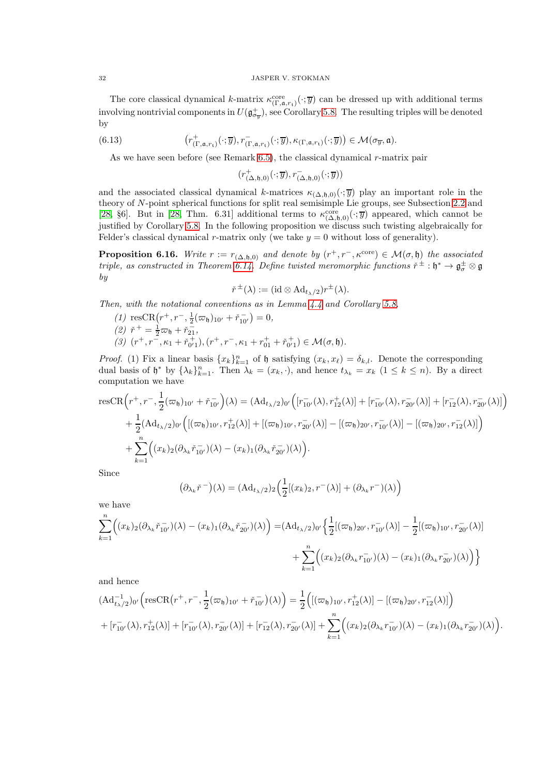The core classical dynamical k-matrix  $\kappa_{(\Gamma,\mathfrak{a},r_t)}^{\text{core}}(\cdot;\overline{y})$  can be dressed up with additional terms involving nontrivial components in  $U(\mathfrak{g}^+_{\sigma_y})$ , see Corollary [5.8.](#page-23-1) The resulting triples will be denoted by

(6.13) 
$$
\left(r^+_{(\Gamma,a,r_t)}(\cdot;\overline{y}),r^-_{(\Gamma,a,r_t)}(\cdot;\overline{y}),\kappa_{(\Gamma,a,r_t)}(\cdot;\overline{y})\right)\in \mathcal{M}(\sigma_{\overline{y}},\mathfrak{a}).
$$

As we have seen before (see Remark [6.5\)](#page-26-1), the classical dynamical r-matrix pair

<span id="page-31-1"></span> $(r^+_{(\Delta, \mathfrak{h},0)}(\cdot;\overline{y}), r^-_{(\Delta, \mathfrak{h},0)}(\cdot;\overline{y}))$ 

and the associated classical dynamical k-matrices  $\kappa_{(\Delta,\mathfrak{h},0)}(\cdot;\overline{y})$  play an important role in the theory of N-point spherical functions for split real semisimple Lie groups, see Subsection [2.2](#page-9-0) and [\[28,](#page-35-0) §6]. But in [\[28,](#page-35-0) Thm. 6.31] additional terms to  $\kappa_{(\Delta, \mathfrak{h},0)}^{\text{core}}(\cdot;\overline{y})$  appeared, which cannot be justified by Corollary [5.8.](#page-23-1) In the following proposition we discuss such twisting algebraically for Felder's classical dynamical r-matrix only (we take  $y = 0$  without loss of generality).

<span id="page-31-0"></span>**Proposition 6.16.** Write  $r := r_{(\Delta, \mathfrak{h}, 0)}$  and denote by  $(r^+, r^-, \kappa^{\text{core}}) \in \mathcal{M}(\sigma, \mathfrak{h})$  the associated triple, as constructed in Theorem [6.14.](#page-30-2) Define twisted meromorphic functions  $\check{r}^{\pm}:\check{h}^*\to\mathfrak{g}^{\pm}_{\sigma}\otimes\mathfrak{g}$ by

$$
\check{r}^{\pm}(\lambda) := (\mathrm{id} \otimes \mathrm{Ad}_{t_{\lambda}/2}) r^{\pm}(\lambda).
$$

Then, with the notational conventions as in Lemma [4.4](#page-19-1) and Corollary [5.8,](#page-23-1)

(1)  $\text{resCR}(r^+, r^-, \frac{1}{2}(\varpi_{\mathfrak{h}})_{10'} + \check{r}_{10'}^-) = 0,$ (2)  $\check{r}^+ = \frac{1}{2}\varpi_{\mathfrak{h}} + \check{r}_{21}^-$ (3)  $(r^+, r^-, \kappa_1 + \check{r}_{0'1}^+), (r^+, r^-, \kappa_1 + r_{01}^+ + \check{r}_{0'1}^+) \in \mathcal{M}(\sigma, \mathfrak{h}).$ 

*Proof.* (1) Fix a linear basis  $\{x_k\}_{k=1}^n$  of h satisfying  $(x_k, x_\ell) = \delta_{k,l}$ . Denote the corresponding dual basis of  $\mathfrak{h}^*$  by  $\{\lambda_k\}_{k=1}^n$ . Then  $\lambda_k = (x_k, \cdot)$ , and hence  $t_{\lambda_k} = x_k$   $(1 \leq k \leq n)$ . By a direct computation we have

$$
\begin{split} \text{resCR}\Big(r^{+}, &r^{-}, \frac{1}{2}(\varpi_{\mathfrak{h}})_{10'} + \check{r}_{10'}^{-}\Big)(\lambda) = (\text{Ad}_{t_{\lambda}/2})_{0'}\Big([r_{10'}^{-}(\lambda), r_{12}^{+}(\lambda)] + [r_{10'}^{-}(\lambda), r_{20'}^{-}(\lambda)] + [r_{12}^{-}(\lambda), r_{20'}^{-}(\lambda)]\Big) \\ &+ \frac{1}{2}(\text{Ad}_{t_{\lambda}/2})_{0'}\Big([(\varpi_{\mathfrak{h}})_{10'}, r_{12}^{+}(\lambda)] + [(\varpi_{\mathfrak{h}})_{10'}, r_{20'}^{-}(\lambda)] - [(\varpi_{\mathfrak{h}})_{20'}, r_{10'}^{-}(\lambda)] - [(\varpi_{\mathfrak{h}})_{20'}, r_{12}^{-}(\lambda)]\Big) \\ &+ \sum_{k=1}^{n}\Big((x_{k})_{2}(\partial_{\lambda_{k}}\check{r}_{10'}^{-})(\lambda) - (x_{k})_{1}(\partial_{\lambda_{k}}\check{r}_{20'}^{-})(\lambda)\Big). \end{split}
$$

Since

$$
(\partial_{\lambda_k}\check{r}^{-})(\lambda) = (\mathrm{Ad}_{t_{\lambda}/2})_2\Big(\frac{1}{2}[(x_k)_2, r^{-}(\lambda)] + (\partial_{\lambda_k}r^{-})(\lambda)\Big)
$$

we have

$$
\sum_{k=1}^{n} \Big( (x_k)_2 (\partial_{\lambda_k} \check{r}_{10'}^-(\lambda) - (x_k)_1 (\partial_{\lambda_k} \check{r}_{20'}^-(\lambda)) \Big) = (\mathrm{Ad}_{t_{\lambda}/2})_{0'} \Big\{ \frac{1}{2} [(\varpi_{\mathfrak{h}})_{20'}, r_{10'}^-(\lambda)] - \frac{1}{2} [(\varpi_{\mathfrak{h}})_{10'}, r_{20'}^-(\lambda)] \Big\} + \sum_{k=1}^{n} \Big( (x_k)_2 (\partial_{\lambda_k} \check{r}_{10'}^-(\lambda) - (x_k)_1 (\partial_{\lambda_k} \check{r}_{20'}^-(\lambda)) \Big) \Big\}
$$

and hence

$$
\begin{split}\n(\mathrm{Ad}_{t_{\lambda}/2}^{-1})_{0'} \Big( & \mathrm{resCR}\big(r^{+}, r^{-}, \frac{1}{2}(\varpi_{\mathfrak{h}})_{10'} + \check{r}_{10'}^{-}\big)(\lambda)\Big) = \frac{1}{2} \Big( [(\varpi_{\mathfrak{h}})_{10'}, r_{12}^{+}(\lambda)] - [(\varpi_{\mathfrak{h}})_{20'}, r_{12}^{-}(\lambda)] \Big) \\
& + [r_{10'}^{-}(\lambda), r_{12}^{+}(\lambda)] + [r_{10'}^{-}(\lambda), r_{20'}^{-}(\lambda)] + [r_{12}^{-}(\lambda), r_{20'}^{-}(\lambda)] + \sum_{k=1}^{n} \Big( (x_{k})_{2}(\partial_{\lambda_{k}} r_{10'}^{-}) (\lambda) - (x_{k})_{1}(\partial_{\lambda_{k}} r_{20'}^{-}) (\lambda) \Big).\n\end{split}
$$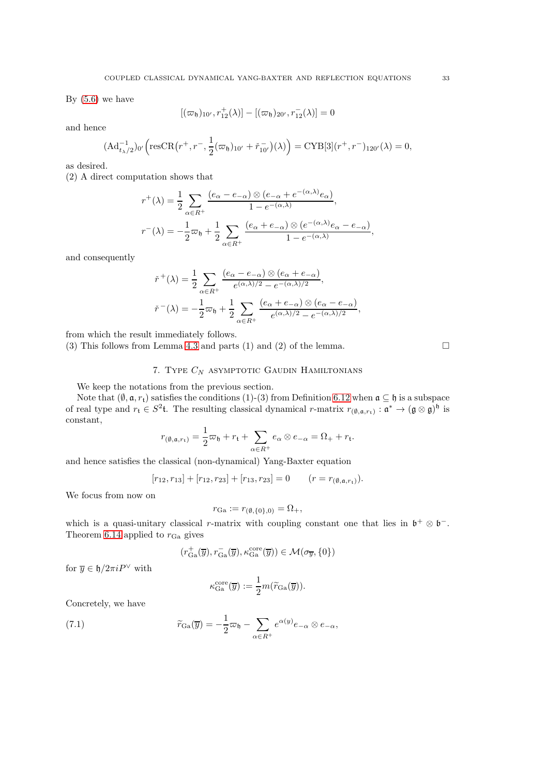By  $(5.6)$  we have

$$
[(\varpi_{\mathfrak{h}})_{10'}, r_{12}^+(\lambda)] - [(\varpi_{\mathfrak{h}})_{20'}, r_{12}^-(\lambda)] = 0
$$

and hence

$$
(\mathrm{Ad}_{t_{\lambda}/2}^{-1})_{0'} \Big( \mathrm{resCR}\big(r^{+}, r^{-}, \frac{1}{2}(\varpi_{\mathfrak{h}})_{10'} + \check{r}_{10'}^{-}\big)(\lambda)\Big) = \mathrm{CYB}[3](r^{+}, r^{-})_{120'}(\lambda) = 0,
$$

as desired.

(2) A direct computation shows that

$$
r^+(\lambda) = \frac{1}{2} \sum_{\alpha \in R^+} \frac{(e_\alpha - e_{-\alpha}) \otimes (e_{-\alpha} + e^{-(\alpha,\lambda)} e_\alpha)}{1 - e^{-(\alpha,\lambda)}},
$$
  

$$
r^-(\lambda) = -\frac{1}{2}\varpi_{\mathfrak{h}} + \frac{1}{2} \sum_{\alpha \in R^+} \frac{(e_\alpha + e_{-\alpha}) \otimes (e^{-(\alpha,\lambda)} e_\alpha - e_{-\alpha})}{1 - e^{-(\alpha,\lambda)}},
$$

and consequently

$$
\begin{split} &\check{r}^+(\lambda) = \frac{1}{2}\sum_{\alpha \in R^+} \frac{(e_\alpha - e_{-\alpha}) \otimes (e_\alpha + e_{-\alpha})}{e^{(\alpha,\lambda)/2} - e^{-(\alpha,\lambda)/2}},\\ &\check{r}^-(\lambda) = -\frac{1}{2}\varpi_\mathfrak{h} + \frac{1}{2}\sum_{\alpha \in R^+} \frac{(e_\alpha + e_{-\alpha}) \otimes (e_\alpha - e_{-\alpha})}{e^{(\alpha,\lambda)/2} - e^{-(\alpha,\lambda)/2}}, \end{split}
$$

from which the result immediately follows.

<span id="page-32-0"></span>(3) This follows from Lemma [4.3](#page-19-2) and parts (1) and (2) of the lemma.  $\square$ 

# 7. TYPE  $C_N$  asymptotic Gaudin Hamiltonians

We keep the notations from the previous section.

Note that  $(\emptyset, \mathfrak{a}, r_t)$  satisfies the conditions (1)-(3) from Definition [6.12](#page-29-0) when  $\mathfrak{a} \subseteq \mathfrak{h}$  is a subspace of real type and  $r_t \in S^2$ t. The resulting classical dynamical r-matrix  $r_{(\emptyset, \mathfrak{a}, r_t)} : \mathfrak{a}^* \to (\mathfrak{g} \otimes \mathfrak{g})^{\mathfrak{h}}$  is constant,

$$
r_{(\emptyset, \mathfrak{a}, r_{\mathfrak{t}})} = \frac{1}{2}\varpi_{\mathfrak{h}} + r_{\mathfrak{t}} + \sum_{\alpha \in R^{+}} e_{\alpha} \otimes e_{-\alpha} = \Omega_{+} + r_{\mathfrak{t}}.
$$

and hence satisfies the classical (non-dynamical) Yang-Baxter equation

$$
[r_{12}, r_{13}] + [r_{12}, r_{23}] + [r_{13}, r_{23}] = 0 \qquad (r = r_{(\emptyset, \mathfrak{a}, r_{\mathfrak{t}})}).
$$

We focus from now on

$$
r_{\mathbf{Ga}} := r_{(\emptyset, \{0\}, 0)} = \Omega_+,
$$

which is a quasi-unitary classical r-matrix with coupling constant one that lies in  $\mathfrak{b}^+ \otimes \mathfrak{b}^-$ . Theorem [6.14](#page-30-2) applied to  $r_{\text{Ga}}$  gives

$$
(r_{\rm Ga}^+(\overline{y}),r_{\rm Ga}^-(\overline{y}),\kappa_{\rm Ga}^{\rm core}(\overline{y}))\in\mathcal{M}(\sigma_{\overline{y}},\{0\})
$$

for  $\overline{y} \in \mathfrak{h}/2\pi i P^{\vee}$  with

$$
\kappa_{\text{Ga}}^{\text{core}}(\overline{y}) := \frac{1}{2} m(\widetilde{r}_{\text{Ga}}(\overline{y})).
$$

Concretely, we have

(7.1) 
$$
\widetilde{r}_{\text{Ga}}(\overline{y}) = -\frac{1}{2}\overline{\omega}_{\mathfrak{h}} - \sum_{\alpha \in R^{+}} e^{\alpha(y)} e_{-\alpha} \otimes e_{-\alpha},
$$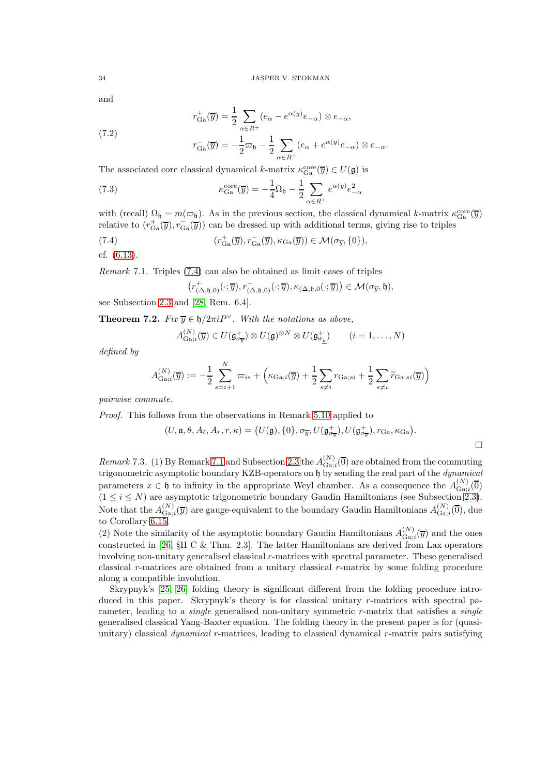and

$$
r_{\text{Ga}}^{+}(\overline{y}) = \frac{1}{2} \sum_{\alpha \in R^{+}} (e_{\alpha} - e^{\alpha(y)} e_{-\alpha}) \otimes e_{-\alpha},
$$

(7.2) 
$$
r_{\text{Ga}}^-(\overline{y}) = -\frac{1}{2}\overline{\omega}_\mathfrak{h} - \frac{1}{2}\sum_{\alpha \in R^+} (e_\alpha + e^{\alpha(y)}e_{-\alpha}) \otimes e_{-\alpha}.
$$

The associated core classical dynamical k-matrix  $\kappa_{Ga}^{\text{core}}(\overline{y}) \in U(\mathfrak{g})$  is

(7.3) 
$$
\kappa_{\text{Ga}}^{\text{core}}(\overline{y}) = -\frac{1}{4}\Omega_{\mathfrak{h}} - \frac{1}{2}\sum_{\alpha \in R^{+}} e^{\alpha(y)}e_{-\alpha}^{2}
$$

with (recall)  $\Omega_{\mathfrak{h}} = m(\varpi_{\mathfrak{h}})$ . As in the previous section, the classical dynamical k-matrix  $\kappa_{Ga}^{core}(\overline{y})$ relative to  $(r_{Ga}^+(\overline{y}), r_{Ga}^-(\overline{y}))$  can be dressed up with additional terms, giving rise to triples

(7.4) 
$$
(r_{Ga}^{+}(\overline{y}), r_{Ga}^{-}(\overline{y}), \kappa_{Ga}(\overline{y})) \in \mathcal{M}(\sigma_{\overline{y}}, \{0\}),
$$

$$
f_{B}(G, 12)
$$

cf. [\(6.13\)](#page-31-1).

<span id="page-33-1"></span>Remark 7.1. Triples [\(7.4\)](#page-33-0) can also be obtained as limit cases of triples

<span id="page-33-0"></span>
$$
\big(r^{+}_{(\Delta, \mathfrak{h}, 0)}(\cdot; \overline{y}), r^{-}_{(\Delta, \mathfrak{h}, 0)}(\cdot; \overline{y}), \kappa_{(\Delta, \mathfrak{h}, 0}(\cdot; \overline{y})\big) \in \mathcal{M}(\sigma_{\overline{y}}, \mathfrak{h}),
$$

see Subsection [2.3](#page-13-0) and [\[28,](#page-35-0) Rem. 6.4].

**Theorem 7.2.** Fix  $\overline{y} \in \mathfrak{h}/2\pi i P^{\vee}$ . With the notations as above,

$$
A_{\text{Ga};i}^{(N)}(\overline{y}) \in U(\mathfrak{g}_{\sigma_{\overline{y}}}^{+}) \otimes U(\mathfrak{g})^{\otimes N} \otimes U(\mathfrak{g}_{\sigma_{\underline{y}}}^{+}) \qquad (i = 1, \ldots, N)
$$

defined by

$$
A_{\text{Ga},i}^{(N)}(\overline{y}) := -\frac{1}{2} \sum_{s=i+1}^{N} \overline{\omega}_{is} + \left(\kappa_{\text{Ga},i}(\overline{y}) + \frac{1}{2} \sum_{s \neq i} r_{\text{Ga},si} + \frac{1}{2} \sum_{s \neq i} \widetilde{r}_{\text{Ga},si}(\overline{y})\right)
$$

pairwise commute.

Proof. This follows from the observations in Remark [5.10](#page-23-2) applied to

$$
(U, \mathfrak{a}, \theta, A_{\ell}, A_{r}, r, \kappa) = (U(\mathfrak{g}), \{0\}, \sigma_{\overline{y}}, U(\mathfrak{g}_{\sigma_{\overline{y}}}^+, U(\mathfrak{g}_{\sigma_{\overline{y}}}^+), r_{\text{Ga}}, \kappa_{\text{Ga}}).
$$

 $\Box$ 

Remark 7.3. (1) By Remark [7.1](#page-33-1) and Subsection [2.3](#page-13-0) the  $A_{\text{Ga}}^{(N)}$  $G_{\text{Ga};i}^{(N)}(0)$  are obtained from the commuting trigonometric asymptotic boundary KZB-operators on h by sending the real part of the dynamical parameters  $x \in \mathfrak{h}$  to infinity in the appropriate Weyl chamber. As a consequence the  $A_{\text{Ga}}^{(N)}$  $G_{\mathbf{a};i}^{(IV)}(\overline{0})$  $(1 \leq i \leq N)$  are asymptotic trigonometric boundary Gaudin Hamiltonians (see Subsection [2.3\)](#page-13-0). Note that the  $A_{\text{Ga}}^{(N)}$  $\Gamma_{\text{Ga}^{i}}^{(N)}(\overline{y})$  are gauge-equivalent to the boundary Gaudin Hamiltonians  $A_{\text{Ga}^{i}}^{(N)}$  $G_{a;i}^{(N)}(\overline{0}),$  due to Corollary [6.15.](#page-30-3)

(2) Note the similarity of the asymptotic boundary Gaudin Hamiltonians  $A_{\text{Ga}}^{(N)}$  $\mathcal{G}_{\mathbf{a};i}^{(N)}(\overline{y})$  and the ones constructed in [\[26,](#page-34-23)  $\S$ II C & Thm. 2.3]. The latter Hamiltonians are derived from Lax operators involving non-unitary generalised classical  $r$ -matrices with spectral parameter. These generalised classical r-matrices are obtained from a unitary classical r-matrix by some folding procedure along a compatible involution.

Skrypnyk's [\[25,](#page-34-22) [26\]](#page-34-23) folding theory is significant different from the folding procedure introduced in this paper. Skrypnyk's theory is for classical unitary r-matrices with spectral parameter, leading to a *single* generalised non-unitary symmetric  $r$ -matrix that satisfies a *single* generalised classical Yang-Baxter equation. The folding theory in the present paper is for (quasiunitary) classical *dynamical* r-matrices, leading to classical dynamical r-matrix pairs satisfying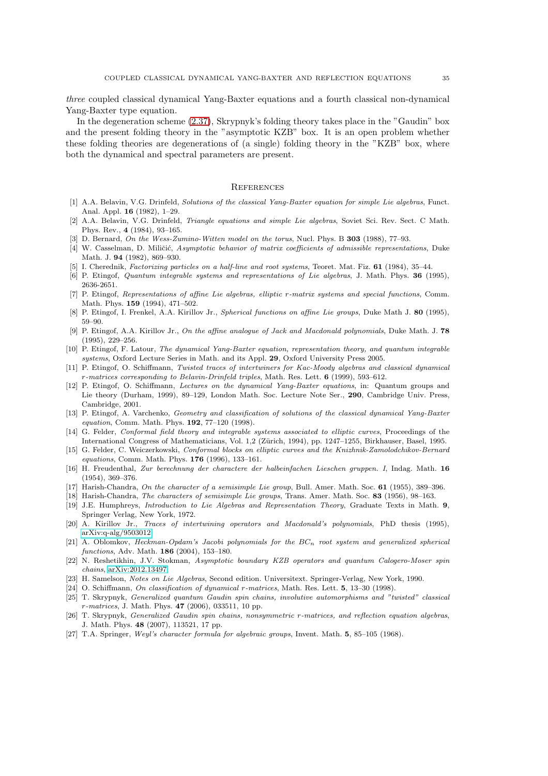three coupled classical dynamical Yang-Baxter equations and a fourth classical non-dynamical Yang-Baxter type equation.

In the degeneration scheme [\(2.37\)](#page-13-1), Skrypnyk's folding theory takes place in the "Gaudin" box and the present folding theory in the "asymptotic KZB" box. It is an open problem whether these folding theories are degenerations of (a single) folding theory in the "KZB" box, where both the dynamical and spectral parameters are present.

## **REFERENCES**

- <span id="page-34-20"></span>[1] A.A. Belavin, V.G. Drinfeld, Solutions of the classical Yang-Baxter equation for simple Lie algebras, Funct. Anal. Appl. 16 (1982), 1–29.
- <span id="page-34-21"></span>[2] A.A. Belavin, V.G. Drinfeld, *Triangle equations and simple Lie algebras*, Soviet Sci. Rev. Sect. C Math. Phys. Rev., 4 (1984), 93–165.
- <span id="page-34-17"></span><span id="page-34-11"></span>[3] D. Bernard, On the Wess-Zumino-Witten model on the torus, Nucl. Phys. B 303 (1988), 77–93.
- [4] W. Casselman, D. Miličić, Asymptotic behavior of matrix coefficients of admissible representations, Duke Math. J. 94 (1982), 869–930.
- <span id="page-34-24"></span><span id="page-34-6"></span>[5] I. Cherednik, Factorizing particles on a half-line and root systems, Teoret. Mat. Fiz. 61 (1984), 35–44.
- <span id="page-34-2"></span>[6] P. Etingof, Quantum integrable systems and representations of Lie algebras, J. Math. Phys. 36 (1995), 2636-2651.
- [7] P. Etingof, Representations of affine Lie algebras, elliptic r-matrix systems and special functions, Comm. Math. Phys. 159 (1994), 471–502.
- <span id="page-34-18"></span>[8] P. Etingof, I. Frenkel, A.A. Kirillov Jr., Spherical functions on affine Lie groups, Duke Math J. 80 (1995), 59–90.
- <span id="page-34-7"></span>[9] P. Etingof, A.A. Kirillov Jr., On the affine analogue of Jack and Macdonald polynomials, Duke Math. J. 78 (1995), 229–256.
- <span id="page-34-9"></span>[10] P. Etingof, F. Latour, The dynamical Yang-Baxter equation, representation theory, and quantum integrable systems, Oxford Lecture Series in Math. and its Appl. 29, Oxford University Press 2005.
- <span id="page-34-3"></span>[11] P. Etingof, O. Schiffmann, Twisted traces of intertwiners for Kac-Moody algebras and classical dynamical  $r$ -matrices corresponding to Belavin-Drinfeld triples, Math. Res. Lett. 6 (1999), 593–612.
- <span id="page-34-25"></span>[12] P. Etingof, O. Schiffmann, Lectures on the dynamical Yang-Baxter equations, in: Quantum groups and Lie theory (Durham, 1999), 89–129, London Math. Soc. Lecture Note Ser., 290, Cambridge Univ. Press, Cambridge, 2001.
- <span id="page-34-19"></span>[13] P. Etingof, A. Varchenko, Geometry and classification of solutions of the classical dynamical Yang-Baxter equation, Comm. Math. Phys. 192, 77–120 (1998).
- <span id="page-34-0"></span>[14] G. Felder, *Conformal field theory and integrable systems associated to elliptic curves*, Proceedings of the International Congress of Mathematicians, Vol. 1,2 (Zürich, 1994), pp. 1247–1255, Birkhauser, Basel, 1995.
- <span id="page-34-1"></span>[15] G. Felder, C. Weiczerkowski, Conformal blocks on elliptic curves and the Knizhnik-Zamolodchikov-Bernard equations, Comm. Math. Phys. **176** (1996), 133-161.
- <span id="page-34-12"></span>[16] H. Freudenthal, Zur berechnung der charactere der halbeinfachen Lieschen gruppen. I, Indag. Math. 16 (1954), 369–376.
- <span id="page-34-15"></span><span id="page-34-14"></span>[17] Harish-Chandra, On the character of a semisimple Lie group, Bull. Amer. Math. Soc. 61 (1955), 389–396.
- <span id="page-34-10"></span>[18] Harish-Chandra, *The characters of semisimple Lie groups*, Trans. Amer. Math. Soc. **83** (1956), 98–163.
- [19] J.E. Humphreys, Introduction to Lie Algebras and Representation Theory, Graduate Texts in Math. 9, Springer Verlag, New York, 1972.
- <span id="page-34-8"></span>[20] A. Kirillov Jr., Traces of intertwining operators and Macdonald's polynomials, PhD thesis (1995), [arXiv:q-alg/9503012.](http://arxiv.org/abs/q-alg/9503012)
- <span id="page-34-16"></span>[21] A. Oblomkov, Heckman-Opdam's Jacobi polynomials for the  $BC_n$  root system and generalized spherical functions, Adv. Math. 186 (2004), 153–180.
- <span id="page-34-5"></span>[22] N. Reshetikhin, J.V. Stokman, Asymptotic boundary KZB operators and quantum Calogero-Moser spin chains, [arXiv:2012.13497.](http://arxiv.org/abs/2012.13497)
- <span id="page-34-26"></span><span id="page-34-4"></span>[23] H. Samelson, Notes on Lie Algebras, Second edition. Universitext. Springer-Verlag, New York, 1990.
- <span id="page-34-22"></span>[24] O. Schiffmann, On classification of dynamical r-matrices, Math. Res. Lett. 5, 13–30 (1998).
- [25] T. Skrypnyk, Generalized quantum Gaudin spin chains, involutive automorphisms and "twisted" classical r-matrices, J. Math. Phys. 47 (2006), 033511, 10 pp.
- <span id="page-34-23"></span>[26] T. Skrypnyk, Generalized Gaudin spin chains, nonsymmetric r-matrices, and reflection equation algebras, J. Math. Phys. 48 (2007), 113521, 17 pp.
- <span id="page-34-13"></span>[27] T.A. Springer, Weyl's character formula for algebraic groups, Invent. Math. 5, 85–105 (1968).